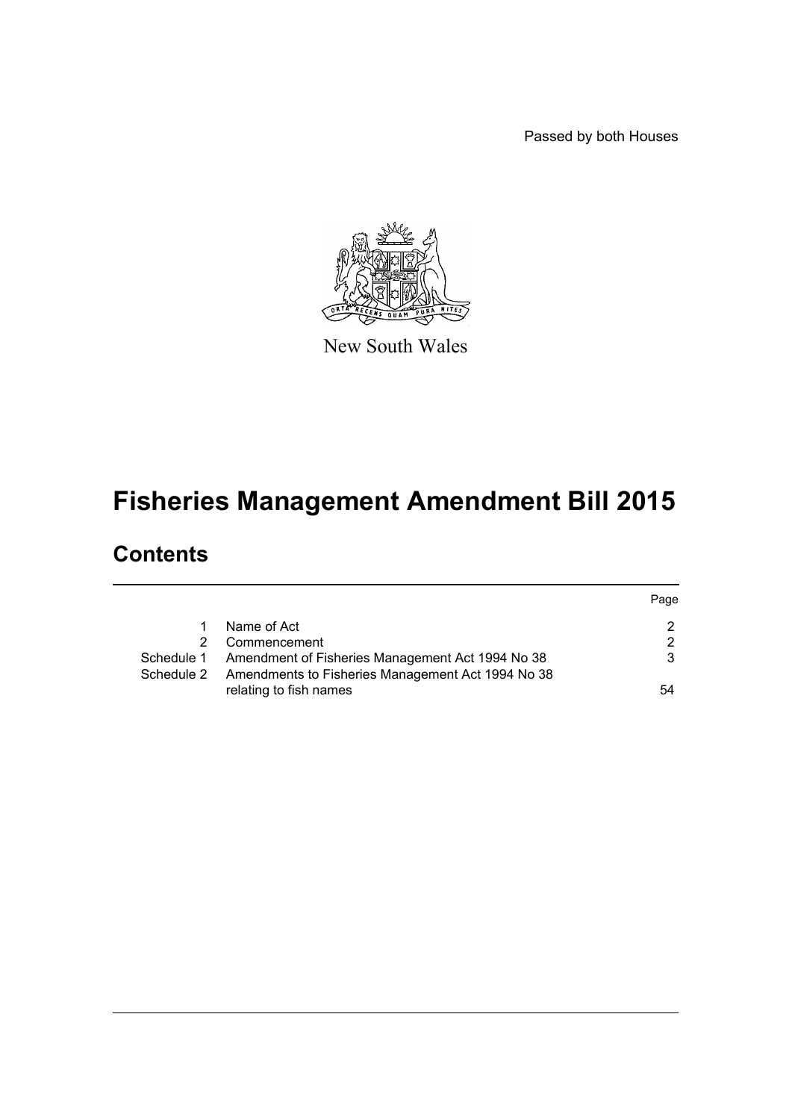Passed by both Houses



New South Wales

# **Fisheries Management Amendment Bill 2015**

# **Contents**

|            |                                                   | Page          |
|------------|---------------------------------------------------|---------------|
|            | Name of Act                                       | $\mathcal{P}$ |
|            | Commencement                                      | $\mathcal{P}$ |
| Schedule 1 | Amendment of Fisheries Management Act 1994 No 38  | 3             |
| Schedule 2 | Amendments to Fisheries Management Act 1994 No 38 |               |
|            | relating to fish names                            | 54            |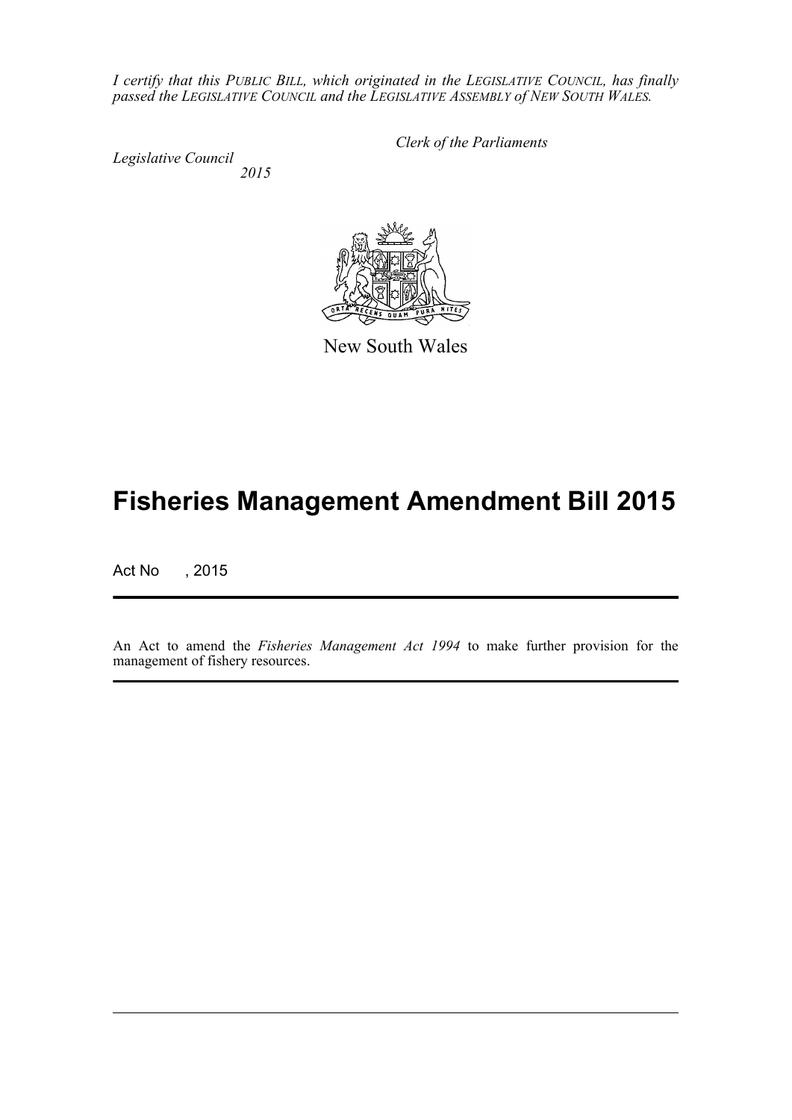*I certify that this PUBLIC BILL, which originated in the LEGISLATIVE COUNCIL, has finally passed the LEGISLATIVE COUNCIL and the LEGISLATIVE ASSEMBLY of NEW SOUTH WALES.*

*Legislative Council 2015* *Clerk of the Parliaments*



New South Wales

# **Fisheries Management Amendment Bill 2015**

Act No , 2015

An Act to amend the *Fisheries Management Act 1994* to make further provision for the management of fishery resources.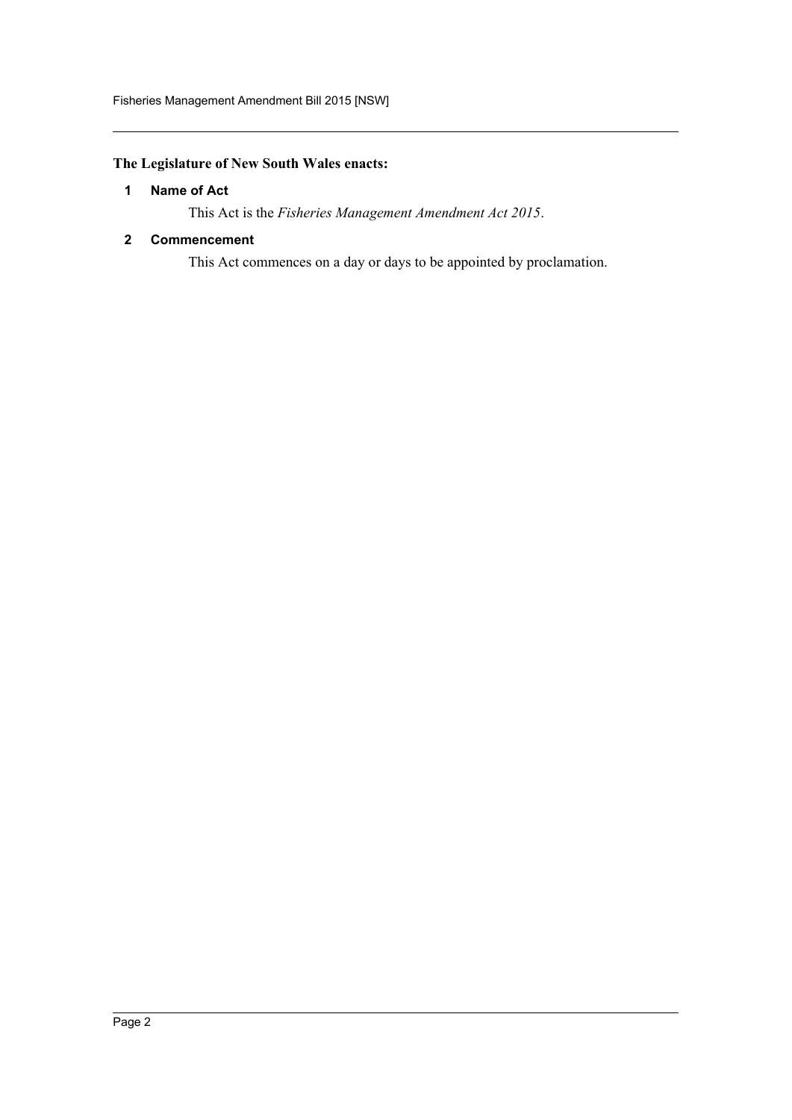# <span id="page-2-0"></span>**The Legislature of New South Wales enacts:**

#### **1 Name of Act**

This Act is the *Fisheries Management Amendment Act 2015*.

### <span id="page-2-1"></span>**2 Commencement**

This Act commences on a day or days to be appointed by proclamation.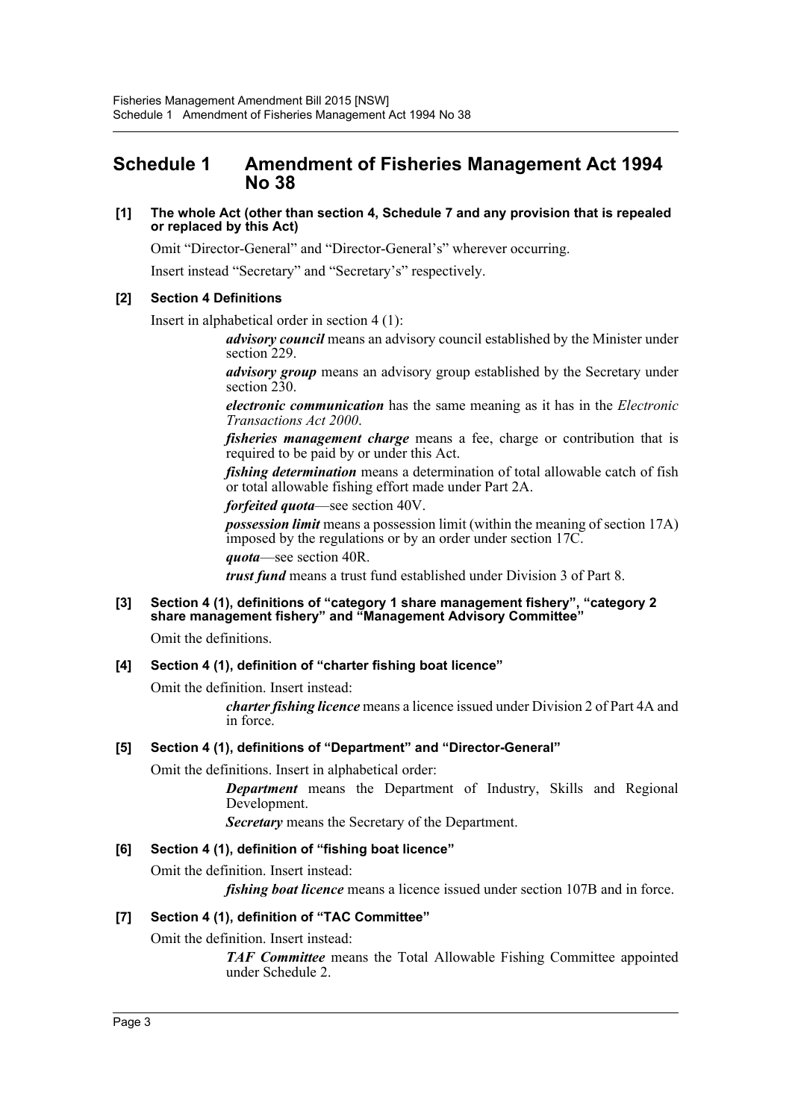# <span id="page-3-0"></span>**Schedule 1 Amendment of Fisheries Management Act 1994 No 38**

#### **[1] The whole Act (other than section 4, Schedule 7 and any provision that is repealed or replaced by this Act)**

Omit "Director-General" and "Director-General's" wherever occurring.

Insert instead "Secretary" and "Secretary's" respectively.

#### **[2] Section 4 Definitions**

Insert in alphabetical order in section 4 (1):

*advisory council* means an advisory council established by the Minister under section 229.

*advisory group* means an advisory group established by the Secretary under section 230.

*electronic communication* has the same meaning as it has in the *Electronic Transactions Act 2000*.

*fisheries management charge* means a fee, charge or contribution that is required to be paid by or under this Act.

*fishing determination* means a determination of total allowable catch of fish or total allowable fishing effort made under Part 2A.

*forfeited quota*—see section 40V.

*possession limit* means a possession limit (within the meaning of section 17A) imposed by the regulations or by an order under section 17C.

*quota*—see section 40R.

*trust fund* means a trust fund established under Division 3 of Part 8.

#### **[3] Section 4 (1), definitions of "category 1 share management fishery", "category 2 share management fishery" and "Management Advisory Committee"**

Omit the definitions.

### **[4] Section 4 (1), definition of "charter fishing boat licence"**

Omit the definition. Insert instead:

*charter fishing licence* means a licence issued under Division 2 of Part 4A and in force.

#### **[5] Section 4 (1), definitions of "Department" and "Director-General"**

Omit the definitions. Insert in alphabetical order:

*Department* means the Department of Industry, Skills and Regional Development.

*Secretary* means the Secretary of the Department.

### **[6] Section 4 (1), definition of "fishing boat licence"**

Omit the definition. Insert instead:

*fishing boat licence* means a licence issued under section 107B and in force.

### **[7] Section 4 (1), definition of "TAC Committee"**

Omit the definition. Insert instead:

*TAF Committee* means the Total Allowable Fishing Committee appointed under Schedule 2.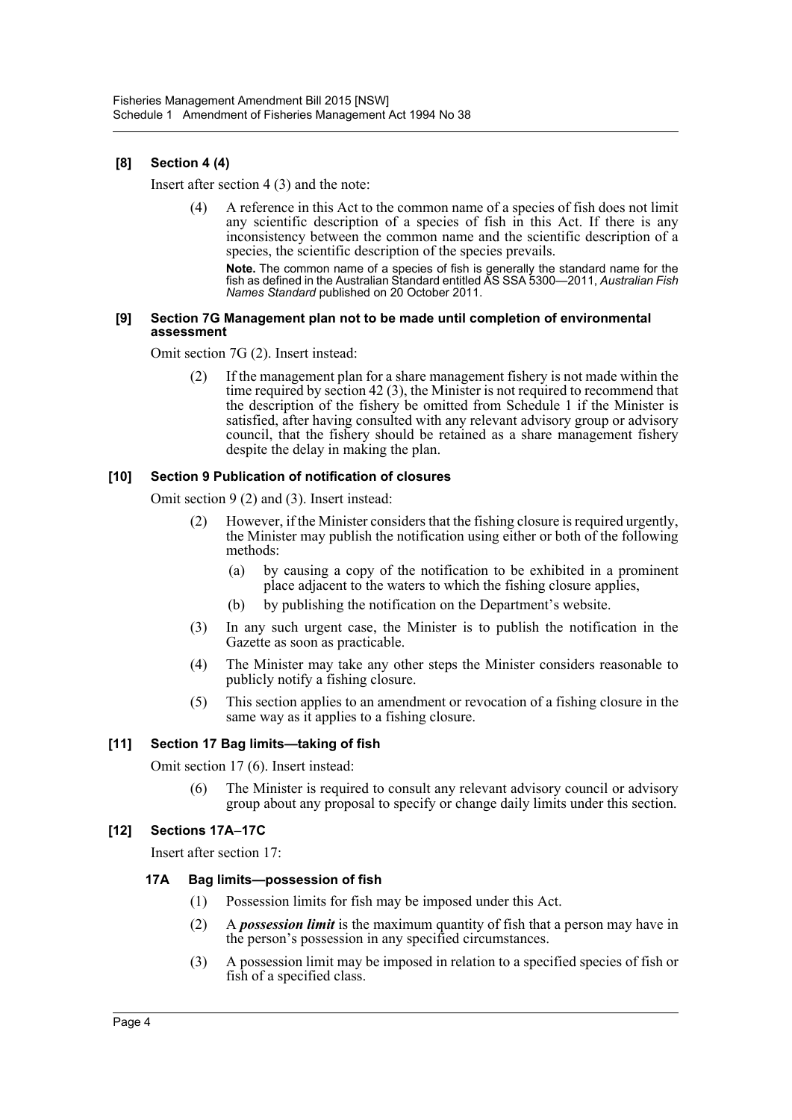### **[8] Section 4 (4)**

Insert after section 4 (3) and the note:

(4) A reference in this Act to the common name of a species of fish does not limit any scientific description of a species of fish in this Act. If there is any inconsistency between the common name and the scientific description of a species, the scientific description of the species prevails.

**Note.** The common name of a species of fish is generally the standard name for the fish as defined in the Australian Standard entitled AS SSA 5300—2011, *Australian Fish Names Standard* published on 20 October 2011.

#### **[9] Section 7G Management plan not to be made until completion of environmental assessment**

Omit section 7G (2). Insert instead:

If the management plan for a share management fishery is not made within the time required by section 42 (3), the Minister is not required to recommend that the description of the fishery be omitted from Schedule 1 if the Minister is satisfied, after having consulted with any relevant advisory group or advisory council, that the fishery should be retained as a share management fishery despite the delay in making the plan.

#### **[10] Section 9 Publication of notification of closures**

Omit section 9 (2) and (3). Insert instead:

- (2) However, if the Minister considers that the fishing closure is required urgently, the Minister may publish the notification using either or both of the following methods:
	- (a) by causing a copy of the notification to be exhibited in a prominent place adjacent to the waters to which the fishing closure applies,
	- (b) by publishing the notification on the Department's website.
- (3) In any such urgent case, the Minister is to publish the notification in the Gazette as soon as practicable.
- (4) The Minister may take any other steps the Minister considers reasonable to publicly notify a fishing closure.
- (5) This section applies to an amendment or revocation of a fishing closure in the same way as it applies to a fishing closure.

### **[11] Section 17 Bag limits—taking of fish**

Omit section 17 (6). Insert instead:

(6) The Minister is required to consult any relevant advisory council or advisory group about any proposal to specify or change daily limits under this section.

### **[12] Sections 17A–17C**

Insert after section 17:

#### **17A Bag limits—possession of fish**

- (1) Possession limits for fish may be imposed under this Act.
- (2) A *possession limit* is the maximum quantity of fish that a person may have in the person's possession in any specified circumstances.
- (3) A possession limit may be imposed in relation to a specified species of fish or fish of a specified class.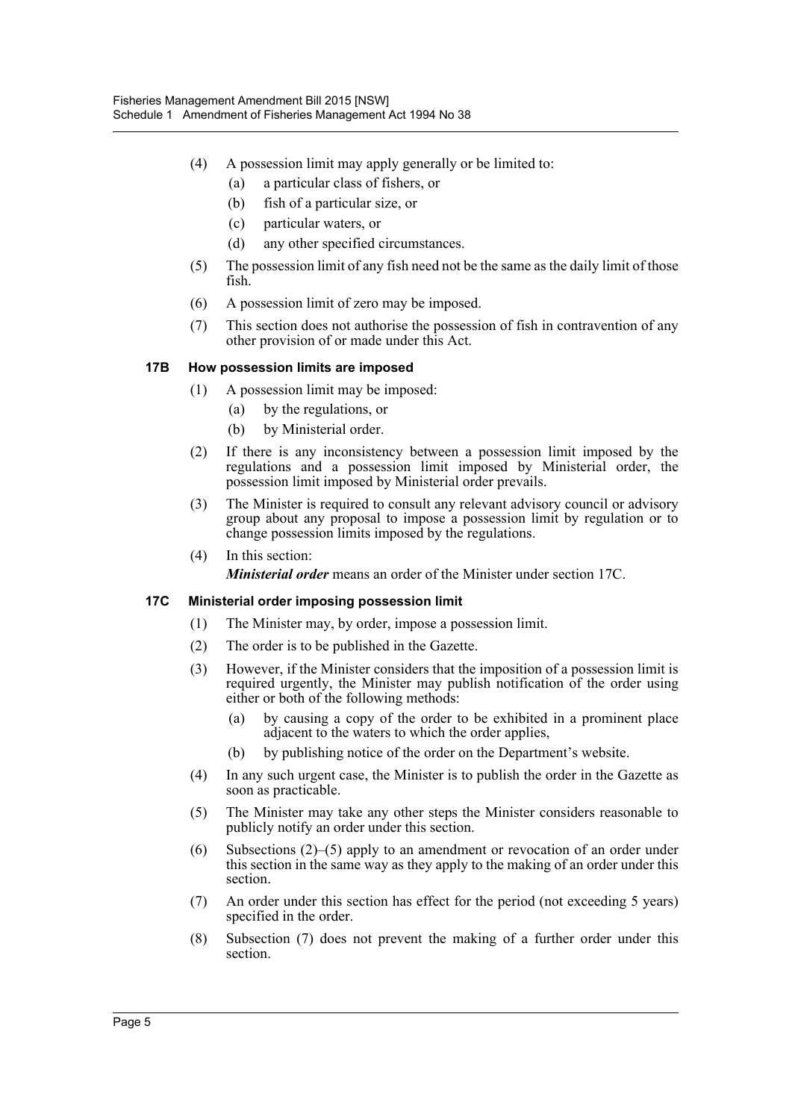- (4) A possession limit may apply generally or be limited to:
	- (a) a particular class of fishers, or
	- (b) fish of a particular size, or
	- (c) particular waters, or
	- (d) any other specified circumstances.
- (5) The possession limit of any fish need not be the same as the daily limit of those fish.
- (6) A possession limit of zero may be imposed.
- (7) This section does not authorise the possession of fish in contravention of any other provision of or made under this Act.

### **17B How possession limits are imposed**

- (1) A possession limit may be imposed:
	- (a) by the regulations, or
	- (b) by Ministerial order.
- (2) If there is any inconsistency between a possession limit imposed by the regulations and a possession limit imposed by Ministerial order, the possession limit imposed by Ministerial order prevails.
- (3) The Minister is required to consult any relevant advisory council or advisory group about any proposal to impose a possession limit by regulation or to change possession limits imposed by the regulations.
- (4) In this section:

*Ministerial order* means an order of the Minister under section 17C.

#### **17C Ministerial order imposing possession limit**

- (1) The Minister may, by order, impose a possession limit.
- (2) The order is to be published in the Gazette.
- (3) However, if the Minister considers that the imposition of a possession limit is required urgently, the Minister may publish notification of the order using either or both of the following methods:
	- (a) by causing a copy of the order to be exhibited in a prominent place adjacent to the waters to which the order applies,
	- (b) by publishing notice of the order on the Department's website.
- (4) In any such urgent case, the Minister is to publish the order in the Gazette as soon as practicable.
- (5) The Minister may take any other steps the Minister considers reasonable to publicly notify an order under this section.
- (6) Subsections (2)–(5) apply to an amendment or revocation of an order under this section in the same way as they apply to the making of an order under this section.
- (7) An order under this section has effect for the period (not exceeding 5 years) specified in the order.
- (8) Subsection (7) does not prevent the making of a further order under this section.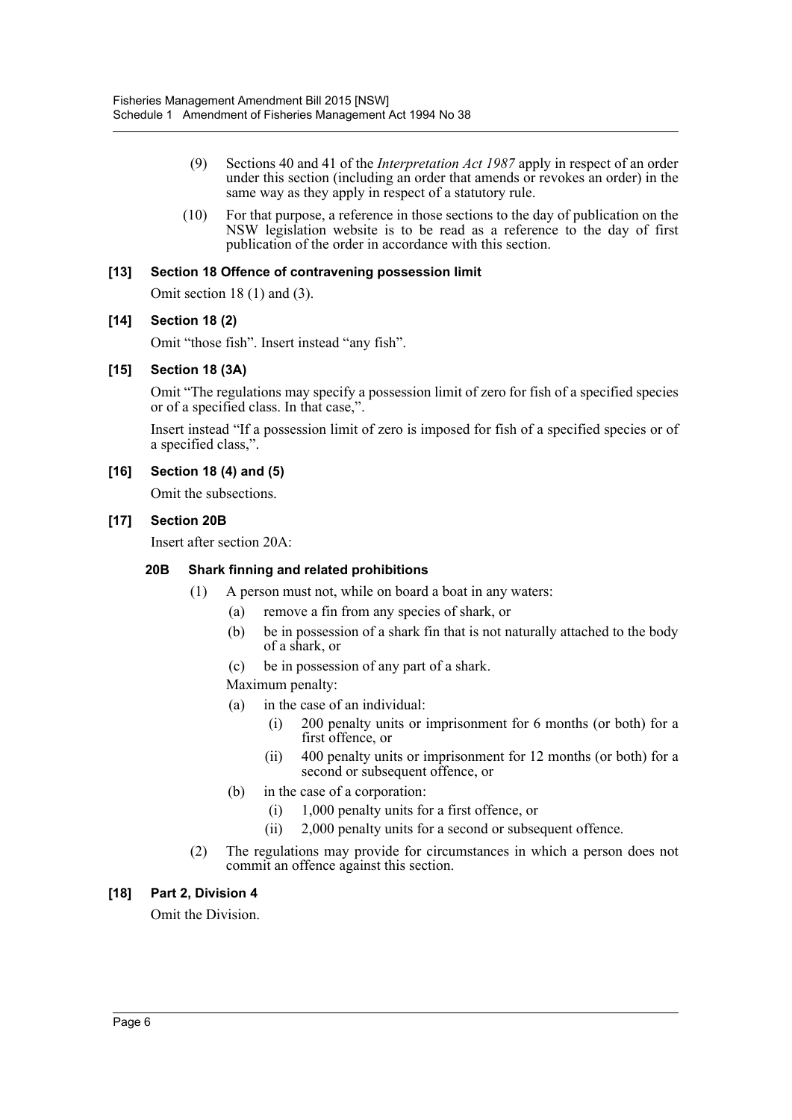- (9) Sections 40 and 41 of the *Interpretation Act 1987* apply in respect of an order under this section (including an order that amends or revokes an order) in the same way as they apply in respect of a statutory rule.
- (10) For that purpose, a reference in those sections to the day of publication on the NSW legislation website is to be read as a reference to the day of first publication of the order in accordance with this section.

#### **[13] Section 18 Offence of contravening possession limit**

Omit section 18 (1) and (3).

#### **[14] Section 18 (2)**

Omit "those fish". Insert instead "any fish".

#### **[15] Section 18 (3A)**

Omit "The regulations may specify a possession limit of zero for fish of a specified species or of a specified class. In that case,".

Insert instead "If a possession limit of zero is imposed for fish of a specified species or of a specified class,".

#### **[16] Section 18 (4) and (5)**

Omit the subsections.

#### **[17] Section 20B**

Insert after section 20A:

### **20B Shark finning and related prohibitions**

- (1) A person must not, while on board a boat in any waters:
	- (a) remove a fin from any species of shark, or
	- (b) be in possession of a shark fin that is not naturally attached to the body of a shark, or
	- (c) be in possession of any part of a shark.

Maximum penalty:

- (a) in the case of an individual:
	- (i) 200 penalty units or imprisonment for 6 months (or both) for a first offence, or
	- (ii) 400 penalty units or imprisonment for 12 months (or both) for a second or subsequent offence, or
- (b) in the case of a corporation:
	- (i) 1,000 penalty units for a first offence, or
	- (ii) 2,000 penalty units for a second or subsequent offence.
- (2) The regulations may provide for circumstances in which a person does not commit an offence against this section.

### **[18] Part 2, Division 4**

Omit the Division.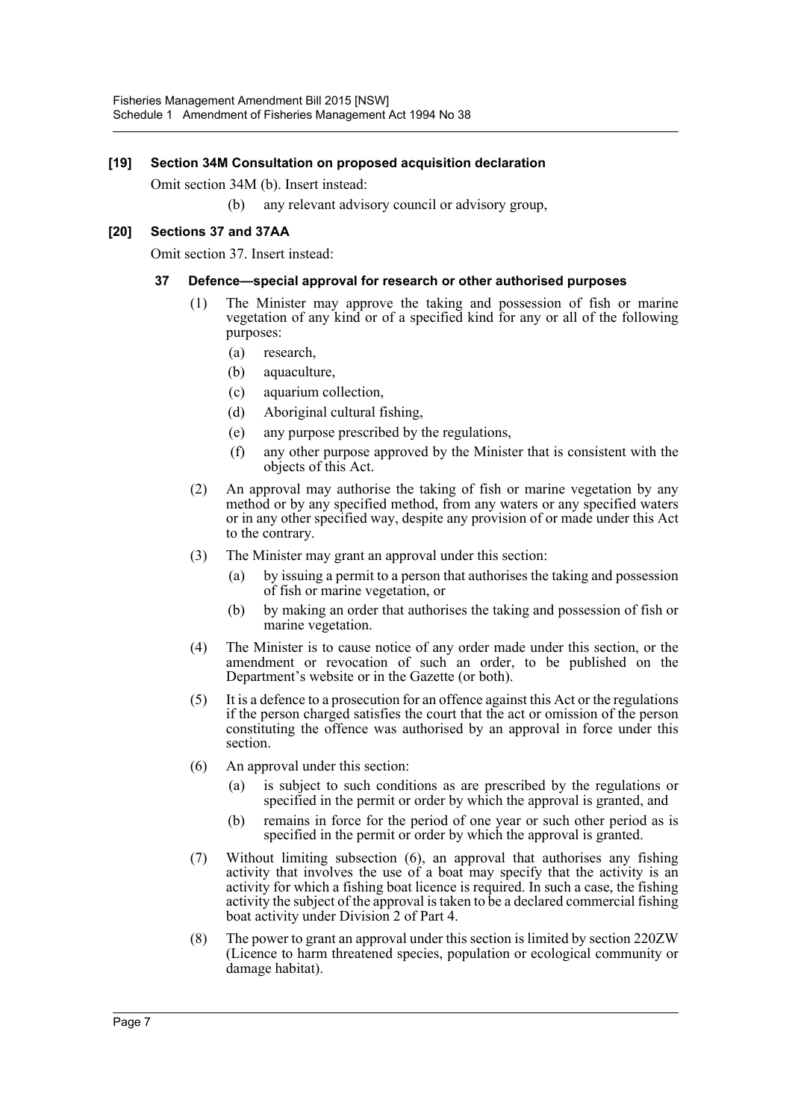#### **[19] Section 34M Consultation on proposed acquisition declaration**

Omit section 34M (b). Insert instead:

(b) any relevant advisory council or advisory group,

#### **[20] Sections 37 and 37AA**

Omit section 37. Insert instead:

#### **37 Defence—special approval for research or other authorised purposes**

- (1) The Minister may approve the taking and possession of fish or marine vegetation of any kind or of a specified kind for any or all of the following purposes:
	- (a) research,
	- (b) aquaculture,
	- (c) aquarium collection,
	- (d) Aboriginal cultural fishing,
	- (e) any purpose prescribed by the regulations,
	- (f) any other purpose approved by the Minister that is consistent with the objects of this Act.
- (2) An approval may authorise the taking of fish or marine vegetation by any method or by any specified method, from any waters or any specified waters or in any other specified way, despite any provision of or made under this Act to the contrary.
- (3) The Minister may grant an approval under this section:
	- (a) by issuing a permit to a person that authorises the taking and possession of fish or marine vegetation, or
	- (b) by making an order that authorises the taking and possession of fish or marine vegetation.
- (4) The Minister is to cause notice of any order made under this section, or the amendment or revocation of such an order, to be published on the Department's website or in the Gazette (or both).
- (5) It is a defence to a prosecution for an offence against this Act or the regulations if the person charged satisfies the court that the act or omission of the person constituting the offence was authorised by an approval in force under this section.
- (6) An approval under this section:
	- (a) is subject to such conditions as are prescribed by the regulations or specified in the permit or order by which the approval is granted, and
	- (b) remains in force for the period of one year or such other period as is specified in the permit or order by which the approval is granted.
- (7) Without limiting subsection (6), an approval that authorises any fishing activity that involves the use of a boat may specify that the activity is an activity for which a fishing boat licence is required. In such a case, the fishing activity the subject of the approval is taken to be a declared commercial fishing boat activity under Division 2 of Part 4.
- (8) The power to grant an approval under this section is limited by section 220ZW (Licence to harm threatened species, population or ecological community or damage habitat).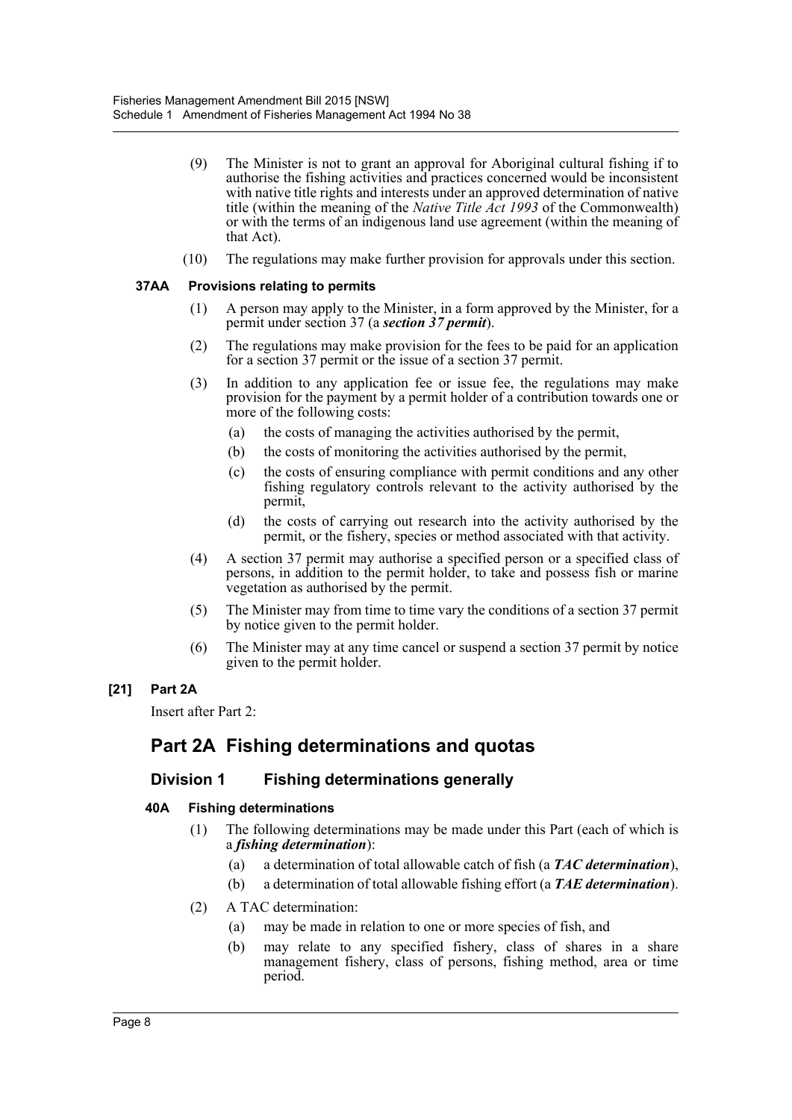- (9) The Minister is not to grant an approval for Aboriginal cultural fishing if to authorise the fishing activities and practices concerned would be inconsistent with native title rights and interests under an approved determination of native title (within the meaning of the *Native Title Act 1993* of the Commonwealth) or with the terms of an indigenous land use agreement (within the meaning of that Act).
- (10) The regulations may make further provision for approvals under this section.

### **37AA Provisions relating to permits**

- (1) A person may apply to the Minister, in a form approved by the Minister, for a permit under section 37 (a *section 37 permit*).
- (2) The regulations may make provision for the fees to be paid for an application for a section 37 permit or the issue of a section 37 permit.
- (3) In addition to any application fee or issue fee, the regulations may make provision for the payment by a permit holder of a contribution towards one or more of the following costs:
	- (a) the costs of managing the activities authorised by the permit,
	- (b) the costs of monitoring the activities authorised by the permit,
	- (c) the costs of ensuring compliance with permit conditions and any other fishing regulatory controls relevant to the activity authorised by the permit,
	- (d) the costs of carrying out research into the activity authorised by the permit, or the fishery, species or method associated with that activity.
- (4) A section 37 permit may authorise a specified person or a specified class of persons, in addition to the permit holder, to take and possess fish or marine vegetation as authorised by the permit.
- (5) The Minister may from time to time vary the conditions of a section 37 permit by notice given to the permit holder.
- (6) The Minister may at any time cancel or suspend a section 37 permit by notice given to the permit holder.

### **[21] Part 2A**

Insert after Part 2:

# **Part 2A Fishing determinations and quotas**

## **Division 1 Fishing determinations generally**

### **40A Fishing determinations**

- (1) The following determinations may be made under this Part (each of which is a *fishing determination*):
	- (a) a determination of total allowable catch of fish (a *TAC determination*),
	- (b) a determination of total allowable fishing effort (a *TAE determination*).
- (2) A TAC determination:
	- (a) may be made in relation to one or more species of fish, and
	- (b) may relate to any specified fishery, class of shares in a share management fishery, class of persons, fishing method, area or time period.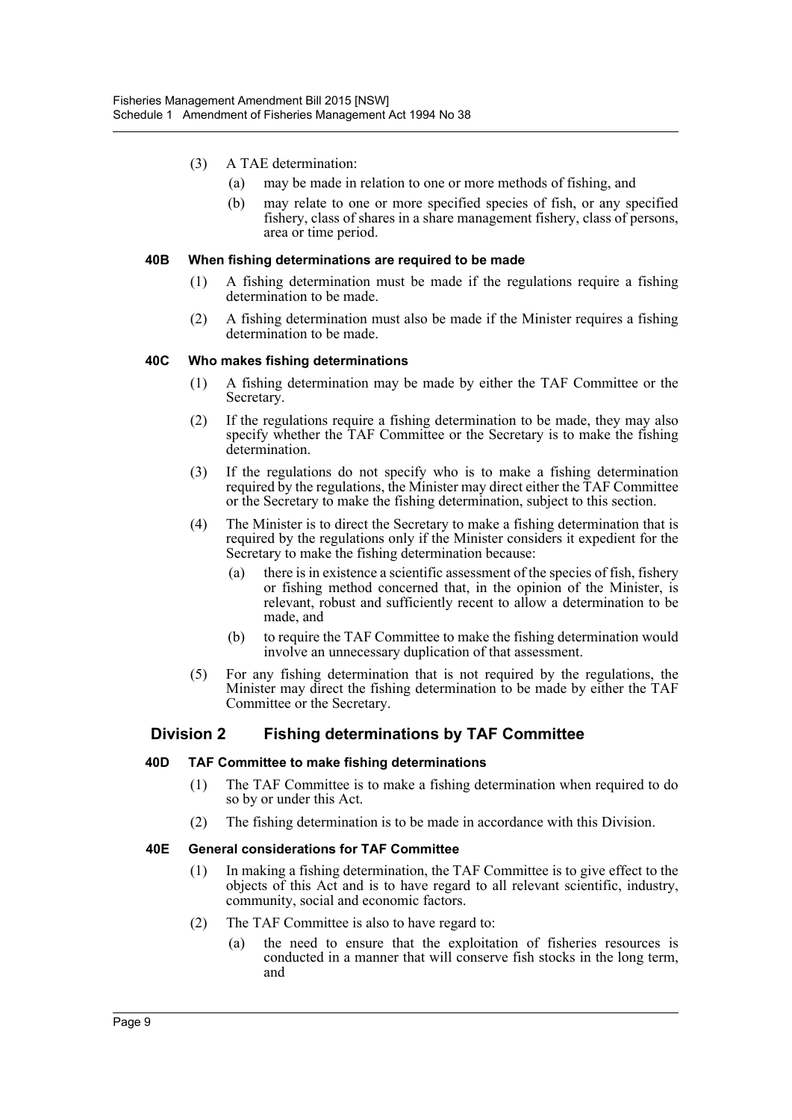- (3) A TAE determination:
	- (a) may be made in relation to one or more methods of fishing, and
	- (b) may relate to one or more specified species of fish, or any specified fishery, class of shares in a share management fishery, class of persons, area or time period.

#### **40B When fishing determinations are required to be made**

- (1) A fishing determination must be made if the regulations require a fishing determination to be made.
- (2) A fishing determination must also be made if the Minister requires a fishing determination to be made.

#### **40C Who makes fishing determinations**

- (1) A fishing determination may be made by either the TAF Committee or the Secretary.
- (2) If the regulations require a fishing determination to be made, they may also specify whether the TAF Committee or the Secretary is to make the fishing determination.
- (3) If the regulations do not specify who is to make a fishing determination required by the regulations, the Minister may direct either the TAF Committee or the Secretary to make the fishing determination, subject to this section.
- (4) The Minister is to direct the Secretary to make a fishing determination that is required by the regulations only if the Minister considers it expedient for the Secretary to make the fishing determination because:
	- (a) there is in existence a scientific assessment of the species of fish, fishery or fishing method concerned that, in the opinion of the Minister, is relevant, robust and sufficiently recent to allow a determination to be made, and
	- (b) to require the TAF Committee to make the fishing determination would involve an unnecessary duplication of that assessment.
- (5) For any fishing determination that is not required by the regulations, the Minister may direct the fishing determination to be made by either the TAF Committee or the Secretary.

### **Division 2 Fishing determinations by TAF Committee**

#### **40D TAF Committee to make fishing determinations**

- (1) The TAF Committee is to make a fishing determination when required to do so by or under this Act.
- (2) The fishing determination is to be made in accordance with this Division.

#### **40E General considerations for TAF Committee**

- (1) In making a fishing determination, the TAF Committee is to give effect to the objects of this Act and is to have regard to all relevant scientific, industry, community, social and economic factors.
- (2) The TAF Committee is also to have regard to:
	- (a) the need to ensure that the exploitation of fisheries resources is conducted in a manner that will conserve fish stocks in the long term, and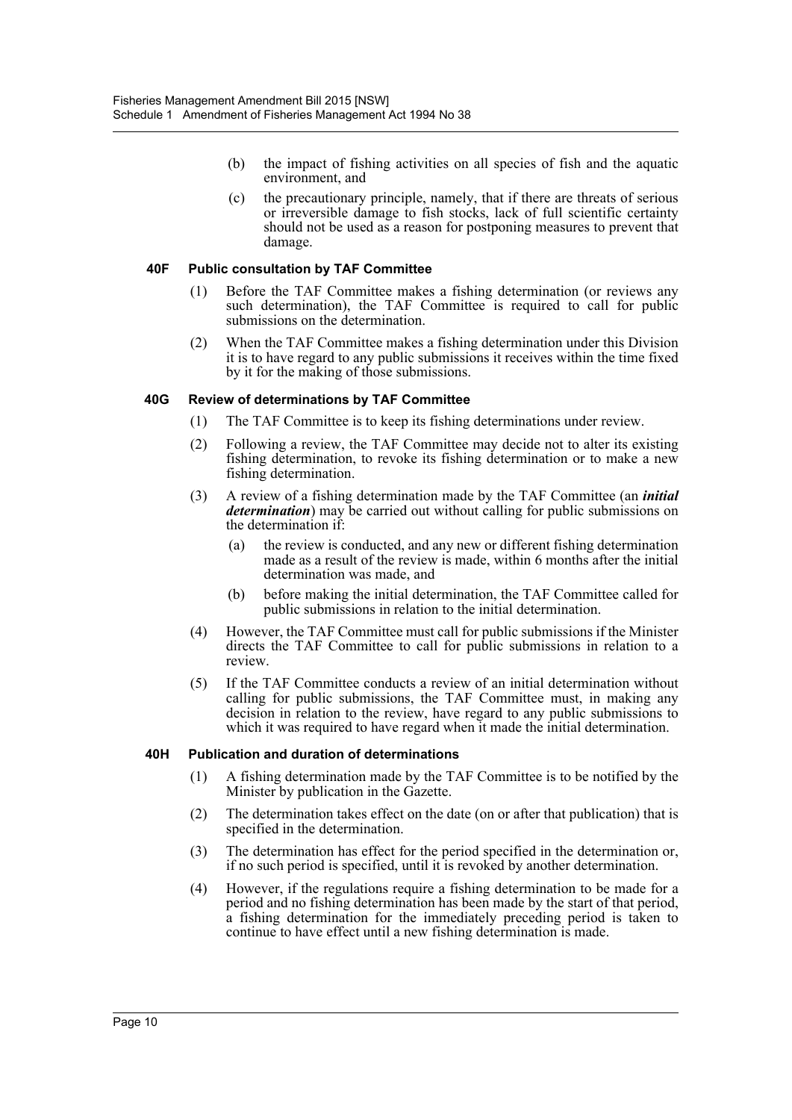- (b) the impact of fishing activities on all species of fish and the aquatic environment, and
- (c) the precautionary principle, namely, that if there are threats of serious or irreversible damage to fish stocks, lack of full scientific certainty should not be used as a reason for postponing measures to prevent that damage.

#### **40F Public consultation by TAF Committee**

- (1) Before the TAF Committee makes a fishing determination (or reviews any such determination), the TAF Committee is required to call for public submissions on the determination.
- (2) When the TAF Committee makes a fishing determination under this Division it is to have regard to any public submissions it receives within the time fixed by it for the making of those submissions.

#### **40G Review of determinations by TAF Committee**

- (1) The TAF Committee is to keep its fishing determinations under review.
- (2) Following a review, the TAF Committee may decide not to alter its existing fishing determination, to revoke its fishing determination or to make a new fishing determination.
- (3) A review of a fishing determination made by the TAF Committee (an *initial determination*) may be carried out without calling for public submissions on the determination if:
	- (a) the review is conducted, and any new or different fishing determination made as a result of the review is made, within 6 months after the initial determination was made, and
	- (b) before making the initial determination, the TAF Committee called for public submissions in relation to the initial determination.
- (4) However, the TAF Committee must call for public submissions if the Minister directs the TAF Committee to call for public submissions in relation to a review.
- (5) If the TAF Committee conducts a review of an initial determination without calling for public submissions, the TAF Committee must, in making any decision in relation to the review, have regard to any public submissions to which it was required to have regard when it made the initial determination.

#### **40H Publication and duration of determinations**

- (1) A fishing determination made by the TAF Committee is to be notified by the Minister by publication in the Gazette.
- (2) The determination takes effect on the date (on or after that publication) that is specified in the determination.
- (3) The determination has effect for the period specified in the determination or, if no such period is specified, until it is revoked by another determination.
- (4) However, if the regulations require a fishing determination to be made for a period and no fishing determination has been made by the start of that period, a fishing determination for the immediately preceding period is taken to continue to have effect until a new fishing determination is made.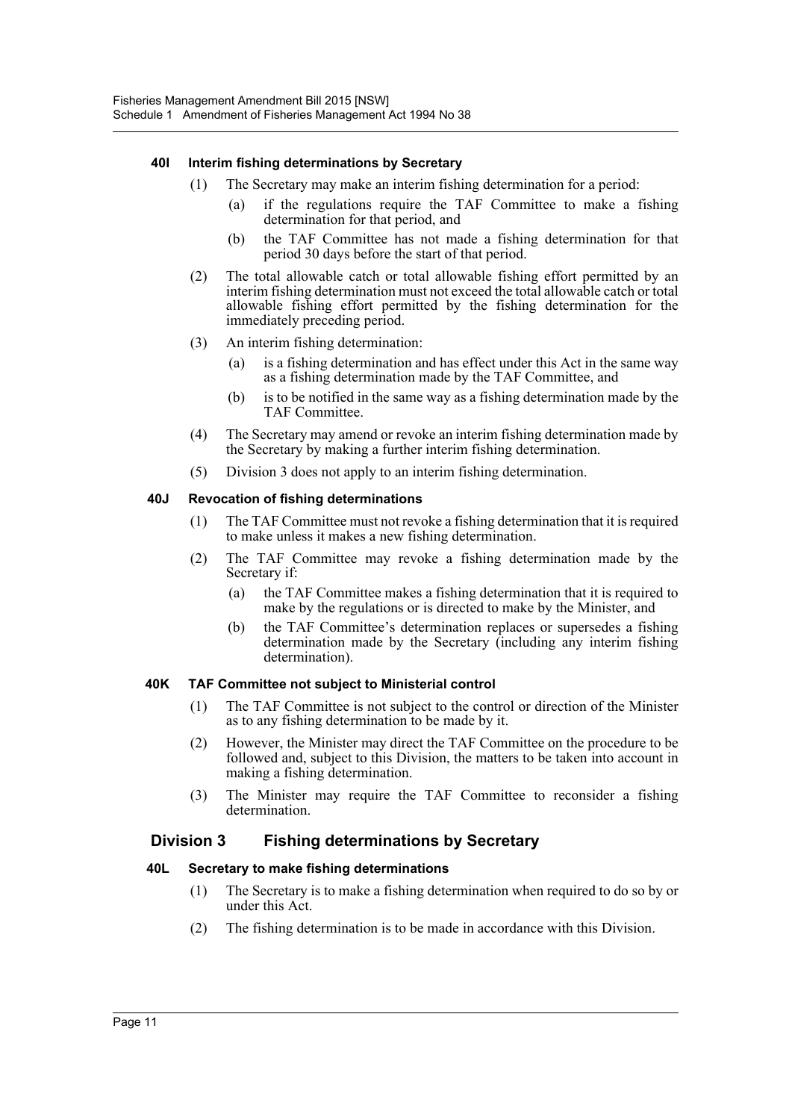#### **40I Interim fishing determinations by Secretary**

- (1) The Secretary may make an interim fishing determination for a period:
	- (a) if the regulations require the TAF Committee to make a fishing determination for that period, and
	- (b) the TAF Committee has not made a fishing determination for that period 30 days before the start of that period.
- (2) The total allowable catch or total allowable fishing effort permitted by an interim fishing determination must not exceed the total allowable catch or total allowable fishing effort permitted by the fishing determination for the immediately preceding period.
- (3) An interim fishing determination:
	- (a) is a fishing determination and has effect under this Act in the same way as a fishing determination made by the TAF Committee, and
	- (b) is to be notified in the same way as a fishing determination made by the TAF Committee.
- (4) The Secretary may amend or revoke an interim fishing determination made by the Secretary by making a further interim fishing determination.
- (5) Division 3 does not apply to an interim fishing determination.

#### **40J Revocation of fishing determinations**

- (1) The TAF Committee must not revoke a fishing determination that it is required to make unless it makes a new fishing determination.
- (2) The TAF Committee may revoke a fishing determination made by the Secretary if:
	- (a) the TAF Committee makes a fishing determination that it is required to make by the regulations or is directed to make by the Minister, and
	- (b) the TAF Committee's determination replaces or supersedes a fishing determination made by the Secretary (including any interim fishing determination).

#### **40K TAF Committee not subject to Ministerial control**

- (1) The TAF Committee is not subject to the control or direction of the Minister as to any fishing determination to be made by it.
- (2) However, the Minister may direct the TAF Committee on the procedure to be followed and, subject to this Division, the matters to be taken into account in making a fishing determination.
- (3) The Minister may require the TAF Committee to reconsider a fishing determination.

### **Division 3 Fishing determinations by Secretary**

#### **40L Secretary to make fishing determinations**

- (1) The Secretary is to make a fishing determination when required to do so by or under this Act.
- (2) The fishing determination is to be made in accordance with this Division.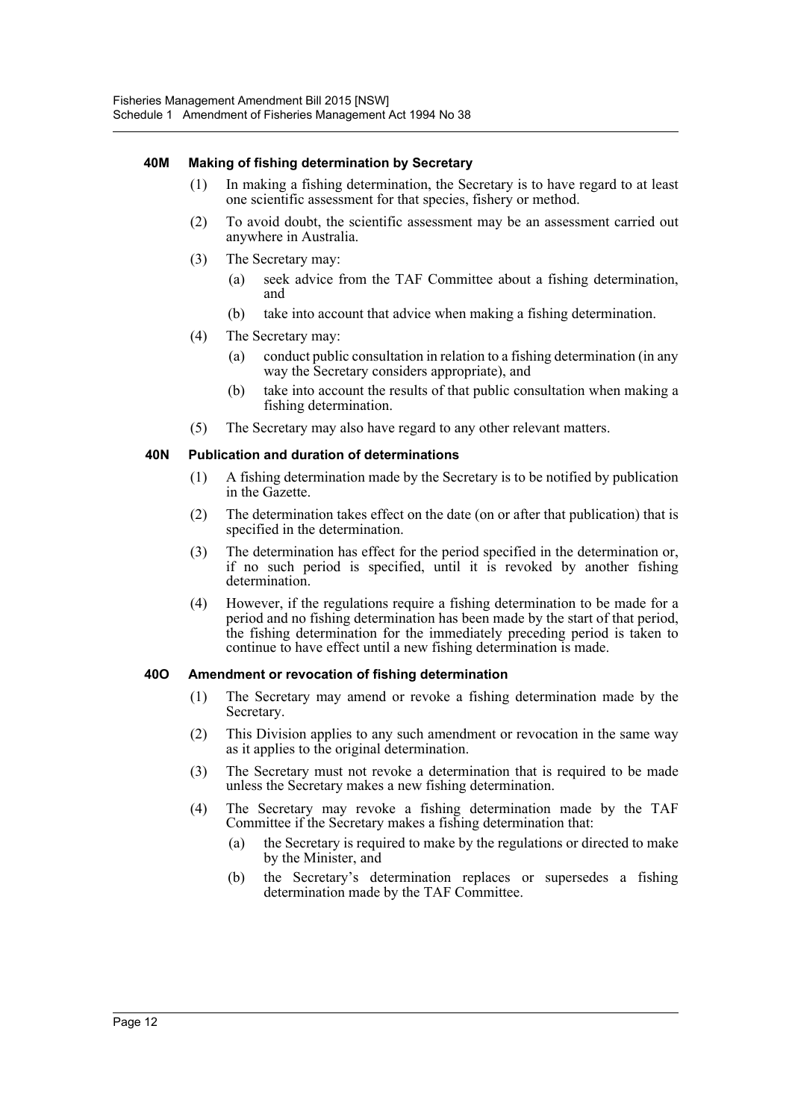#### **40M Making of fishing determination by Secretary**

- (1) In making a fishing determination, the Secretary is to have regard to at least one scientific assessment for that species, fishery or method.
- (2) To avoid doubt, the scientific assessment may be an assessment carried out anywhere in Australia.
- (3) The Secretary may:
	- (a) seek advice from the TAF Committee about a fishing determination, and
	- (b) take into account that advice when making a fishing determination.
- (4) The Secretary may:
	- (a) conduct public consultation in relation to a fishing determination (in any way the Secretary considers appropriate), and
	- (b) take into account the results of that public consultation when making a fishing determination.
- (5) The Secretary may also have regard to any other relevant matters.

#### **40N Publication and duration of determinations**

- (1) A fishing determination made by the Secretary is to be notified by publication in the Gazette.
- (2) The determination takes effect on the date (on or after that publication) that is specified in the determination.
- (3) The determination has effect for the period specified in the determination or, if no such period is specified, until it is revoked by another fishing determination.
- (4) However, if the regulations require a fishing determination to be made for a period and no fishing determination has been made by the start of that period, the fishing determination for the immediately preceding period is taken to continue to have effect until a new fishing determination is made.

#### **40O Amendment or revocation of fishing determination**

- (1) The Secretary may amend or revoke a fishing determination made by the Secretary.
- (2) This Division applies to any such amendment or revocation in the same way as it applies to the original determination.
- (3) The Secretary must not revoke a determination that is required to be made unless the Secretary makes a new fishing determination.
- (4) The Secretary may revoke a fishing determination made by the TAF Committee if the Secretary makes a fishing determination that:
	- (a) the Secretary is required to make by the regulations or directed to make by the Minister, and
	- (b) the Secretary's determination replaces or supersedes a fishing determination made by the TAF Committee.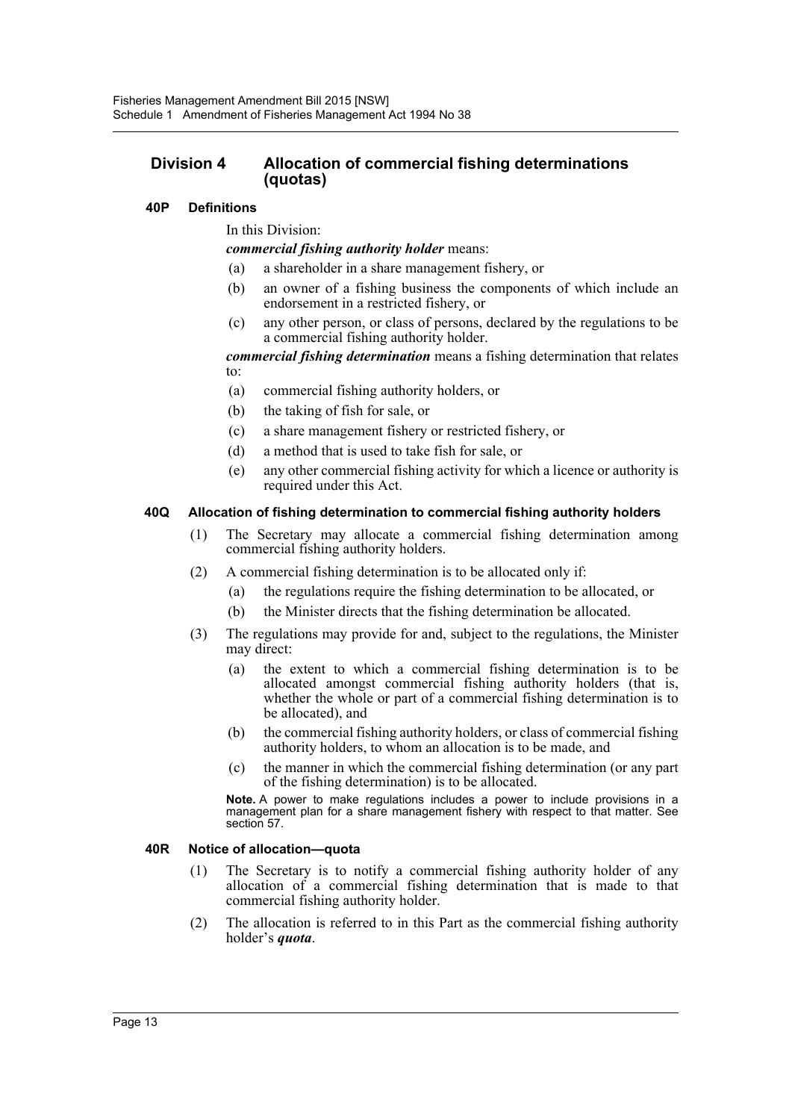### **Division 4 Allocation of commercial fishing determinations (quotas)**

#### **40P Definitions**

In this Division:

*commercial fishing authority holder* means:

- (a) a shareholder in a share management fishery, or
- (b) an owner of a fishing business the components of which include an endorsement in a restricted fishery, or
- (c) any other person, or class of persons, declared by the regulations to be a commercial fishing authority holder.

*commercial fishing determination* means a fishing determination that relates to:

- (a) commercial fishing authority holders, or
- (b) the taking of fish for sale, or
- (c) a share management fishery or restricted fishery, or
- (d) a method that is used to take fish for sale, or
- (e) any other commercial fishing activity for which a licence or authority is required under this Act.

#### **40Q Allocation of fishing determination to commercial fishing authority holders**

- (1) The Secretary may allocate a commercial fishing determination among commercial fishing authority holders.
- (2) A commercial fishing determination is to be allocated only if:
	- (a) the regulations require the fishing determination to be allocated, or
	- (b) the Minister directs that the fishing determination be allocated.
- (3) The regulations may provide for and, subject to the regulations, the Minister may direct:
	- (a) the extent to which a commercial fishing determination is to be allocated amongst commercial fishing authority holders (that is, whether the whole or part of a commercial fishing determination is to be allocated), and
	- (b) the commercial fishing authority holders, or class of commercial fishing authority holders, to whom an allocation is to be made, and
	- (c) the manner in which the commercial fishing determination (or any part of the fishing determination) is to be allocated.

**Note.** A power to make regulations includes a power to include provisions in a management plan for a share management fishery with respect to that matter. See section 57.

#### **40R Notice of allocation—quota**

- (1) The Secretary is to notify a commercial fishing authority holder of any allocation of a commercial fishing determination that is made to that commercial fishing authority holder.
- (2) The allocation is referred to in this Part as the commercial fishing authority holder's *quota*.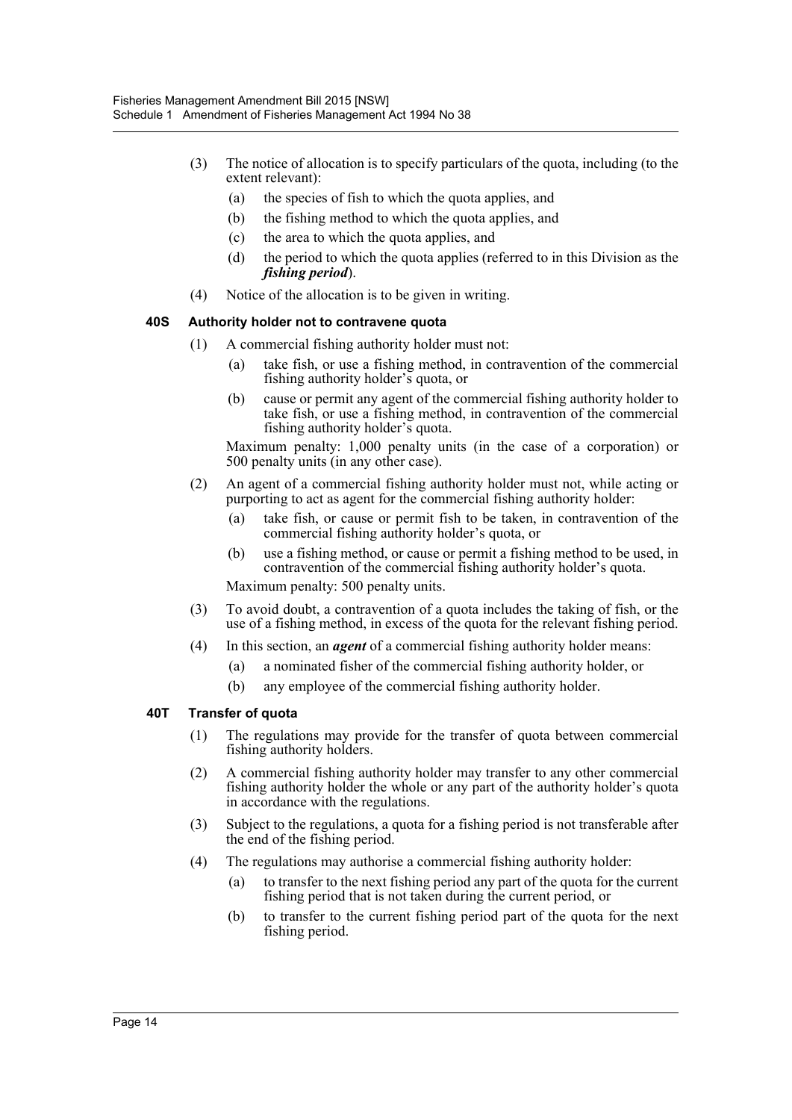- (3) The notice of allocation is to specify particulars of the quota, including (to the extent relevant):
	- (a) the species of fish to which the quota applies, and
	- (b) the fishing method to which the quota applies, and
	- (c) the area to which the quota applies, and
	- (d) the period to which the quota applies (referred to in this Division as the *fishing period*).
- (4) Notice of the allocation is to be given in writing.

#### **40S Authority holder not to contravene quota**

- (1) A commercial fishing authority holder must not:
	- (a) take fish, or use a fishing method, in contravention of the commercial fishing authority holder's quota, or
	- (b) cause or permit any agent of the commercial fishing authority holder to take fish, or use a fishing method, in contravention of the commercial fishing authority holder's quota.

Maximum penalty: 1,000 penalty units (in the case of a corporation) or 500 penalty units (in any other case).

- (2) An agent of a commercial fishing authority holder must not, while acting or purporting to act as agent for the commercial fishing authority holder:
	- (a) take fish, or cause or permit fish to be taken, in contravention of the commercial fishing authority holder's quota, or
	- (b) use a fishing method, or cause or permit a fishing method to be used, in contravention of the commercial fishing authority holder's quota.

Maximum penalty: 500 penalty units.

- (3) To avoid doubt, a contravention of a quota includes the taking of fish, or the use of a fishing method, in excess of the quota for the relevant fishing period.
- (4) In this section, an *agent* of a commercial fishing authority holder means:
	- (a) a nominated fisher of the commercial fishing authority holder, or
	- (b) any employee of the commercial fishing authority holder.

#### **40T Transfer of quota**

- (1) The regulations may provide for the transfer of quota between commercial fishing authority holders.
- (2) A commercial fishing authority holder may transfer to any other commercial fishing authority holder the whole or any part of the authority holder's quota in accordance with the regulations.
- (3) Subject to the regulations, a quota for a fishing period is not transferable after the end of the fishing period.
- (4) The regulations may authorise a commercial fishing authority holder:
	- (a) to transfer to the next fishing period any part of the quota for the current fishing period that is not taken during the current period, or
	- (b) to transfer to the current fishing period part of the quota for the next fishing period.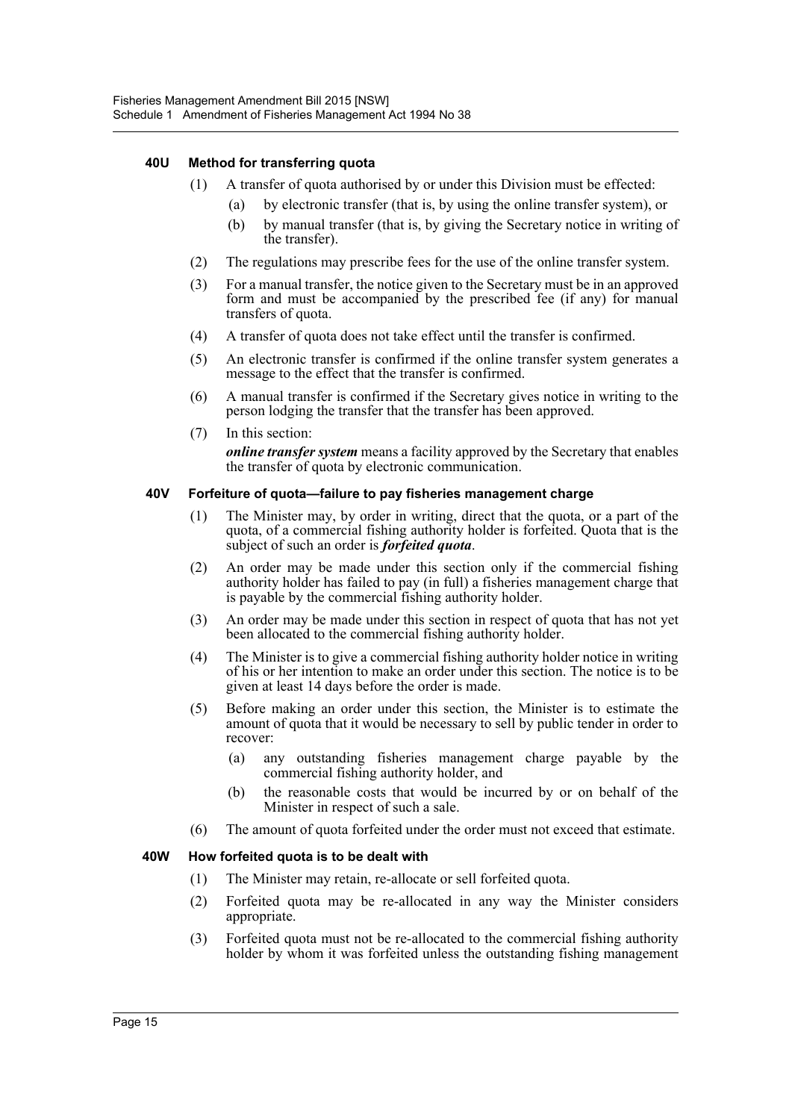#### **40U Method for transferring quota**

- (1) A transfer of quota authorised by or under this Division must be effected:
	- (a) by electronic transfer (that is, by using the online transfer system), or
	- (b) by manual transfer (that is, by giving the Secretary notice in writing of the transfer).
- (2) The regulations may prescribe fees for the use of the online transfer system.
- (3) For a manual transfer, the notice given to the Secretary must be in an approved form and must be accompanied by the prescribed fee (if any) for manual transfers of quota.
- (4) A transfer of quota does not take effect until the transfer is confirmed.
- (5) An electronic transfer is confirmed if the online transfer system generates a message to the effect that the transfer is confirmed.
- (6) A manual transfer is confirmed if the Secretary gives notice in writing to the person lodging the transfer that the transfer has been approved.
- (7) In this section:

*online transfer system* means a facility approved by the Secretary that enables the transfer of quota by electronic communication.

#### **40V Forfeiture of quota—failure to pay fisheries management charge**

- (1) The Minister may, by order in writing, direct that the quota, or a part of the quota, of a commercial fishing authority holder is forfeited. Quota that is the subject of such an order is *forfeited quota*.
- (2) An order may be made under this section only if the commercial fishing authority holder has failed to pay (in full) a fisheries management charge that is payable by the commercial fishing authority holder.
- (3) An order may be made under this section in respect of quota that has not yet been allocated to the commercial fishing authority holder.
- (4) The Minister is to give a commercial fishing authority holder notice in writing of his or her intention to make an order under this section. The notice is to be given at least 14 days before the order is made.
- (5) Before making an order under this section, the Minister is to estimate the amount of quota that it would be necessary to sell by public tender in order to recover:
	- (a) any outstanding fisheries management charge payable by the commercial fishing authority holder, and
	- (b) the reasonable costs that would be incurred by or on behalf of the Minister in respect of such a sale.
- (6) The amount of quota forfeited under the order must not exceed that estimate.

#### **40W How forfeited quota is to be dealt with**

- (1) The Minister may retain, re-allocate or sell forfeited quota.
- (2) Forfeited quota may be re-allocated in any way the Minister considers appropriate.
- (3) Forfeited quota must not be re-allocated to the commercial fishing authority holder by whom it was forfeited unless the outstanding fishing management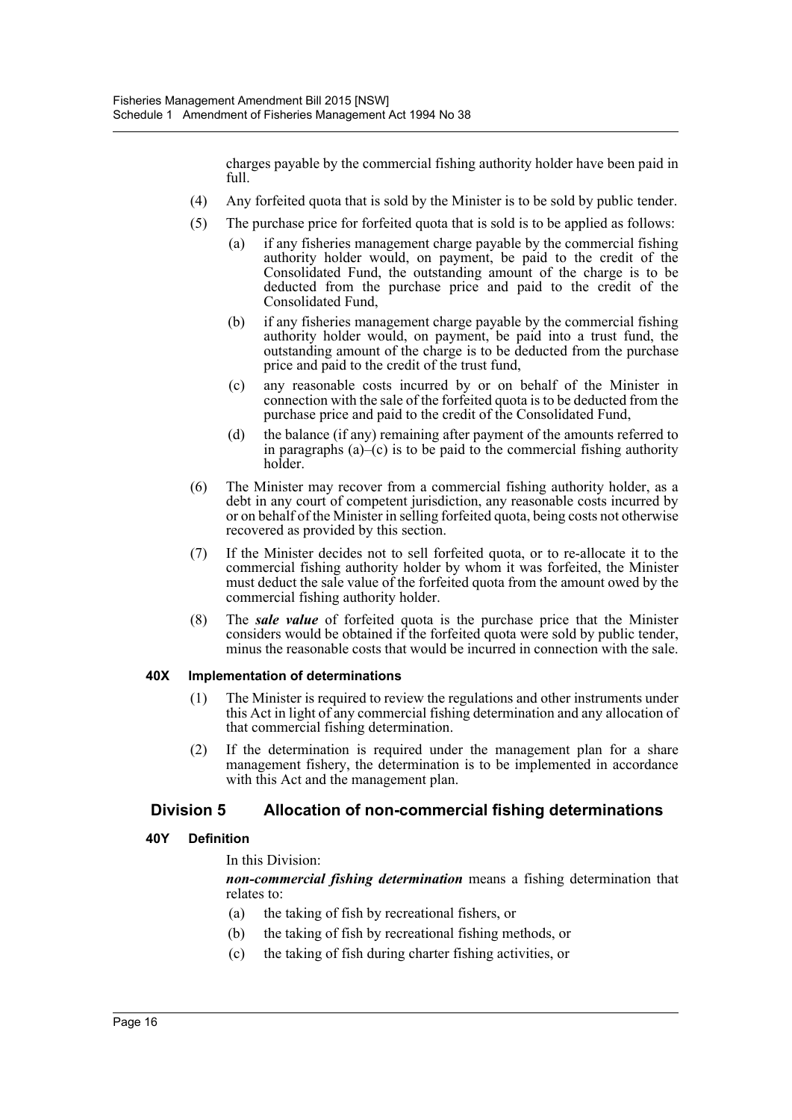charges payable by the commercial fishing authority holder have been paid in full.

- (4) Any forfeited quota that is sold by the Minister is to be sold by public tender.
- (5) The purchase price for forfeited quota that is sold is to be applied as follows:
	- (a) if any fisheries management charge payable by the commercial fishing authority holder would, on payment, be paid to the credit of the Consolidated Fund, the outstanding amount of the charge is to be deducted from the purchase price and paid to the credit of the Consolidated Fund,
	- (b) if any fisheries management charge payable by the commercial fishing authority holder would, on payment, be paid into a trust fund, the outstanding amount of the charge is to be deducted from the purchase price and paid to the credit of the trust fund,
	- (c) any reasonable costs incurred by or on behalf of the Minister in connection with the sale of the forfeited quota is to be deducted from the purchase price and paid to the credit of the Consolidated Fund,
	- (d) the balance (if any) remaining after payment of the amounts referred to in paragraphs  $(a)$ – $(c)$  is to be paid to the commercial fishing authority holder.
- (6) The Minister may recover from a commercial fishing authority holder, as a debt in any court of competent jurisdiction, any reasonable costs incurred by or on behalf of the Minister in selling forfeited quota, being costs not otherwise recovered as provided by this section.
- (7) If the Minister decides not to sell forfeited quota, or to re-allocate it to the commercial fishing authority holder by whom it was forfeited, the Minister must deduct the sale value of the forfeited quota from the amount owed by the commercial fishing authority holder.
- (8) The *sale value* of forfeited quota is the purchase price that the Minister considers would be obtained if the forfeited quota were sold by public tender, minus the reasonable costs that would be incurred in connection with the sale.

#### **40X Implementation of determinations**

- (1) The Minister is required to review the regulations and other instruments under this Act in light of any commercial fishing determination and any allocation of that commercial fishing determination.
- (2) If the determination is required under the management plan for a share management fishery, the determination is to be implemented in accordance with this Act and the management plan.

## **Division 5 Allocation of non-commercial fishing determinations**

### **40Y Definition**

### In this Division:

*non-commercial fishing determination* means a fishing determination that relates to:

- (a) the taking of fish by recreational fishers, or
- (b) the taking of fish by recreational fishing methods, or
- (c) the taking of fish during charter fishing activities, or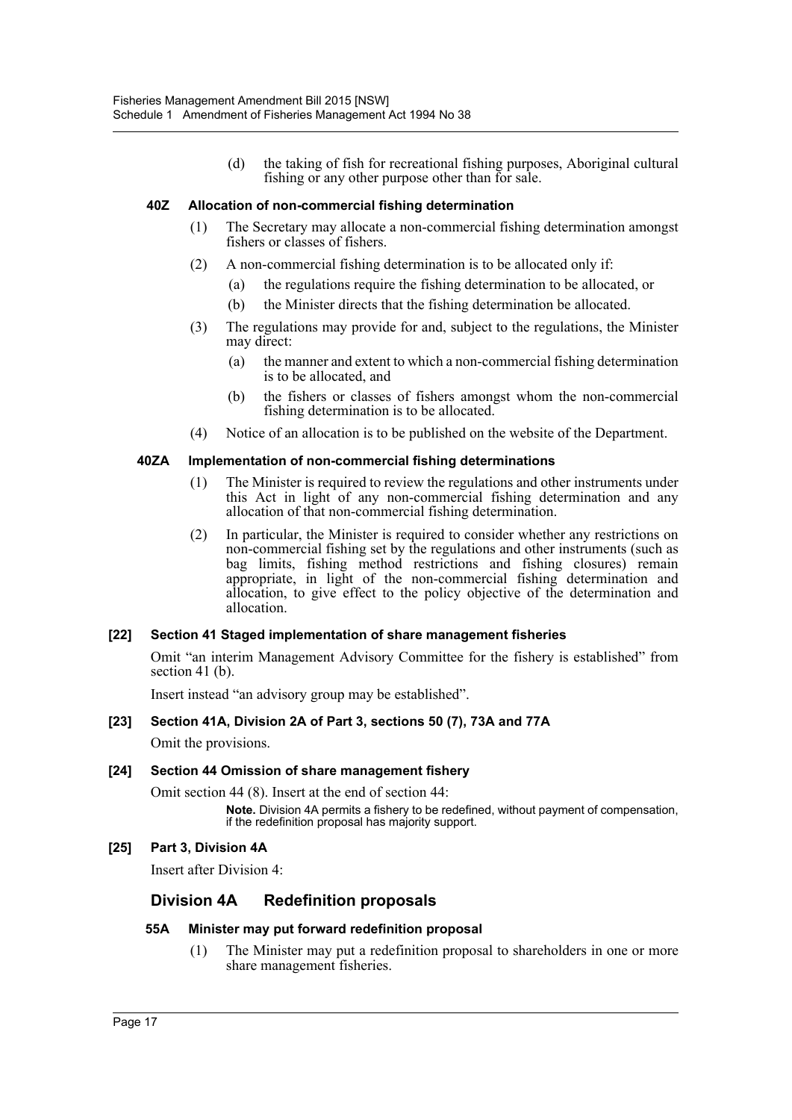(d) the taking of fish for recreational fishing purposes, Aboriginal cultural fishing or any other purpose other than for sale.

#### **40Z Allocation of non-commercial fishing determination**

- (1) The Secretary may allocate a non-commercial fishing determination amongst fishers or classes of fishers.
- (2) A non-commercial fishing determination is to be allocated only if:
	- (a) the regulations require the fishing determination to be allocated, or
	- (b) the Minister directs that the fishing determination be allocated.
- (3) The regulations may provide for and, subject to the regulations, the Minister may direct:
	- (a) the manner and extent to which a non-commercial fishing determination is to be allocated, and
	- (b) the fishers or classes of fishers amongst whom the non-commercial fishing determination is to be allocated.
- (4) Notice of an allocation is to be published on the website of the Department.

#### **40ZA Implementation of non-commercial fishing determinations**

- (1) The Minister is required to review the regulations and other instruments under this Act in light of any non-commercial fishing determination and any allocation of that non-commercial fishing determination.
- (2) In particular, the Minister is required to consider whether any restrictions on non-commercial fishing set by the regulations and other instruments (such as bag limits, fishing method restrictions and fishing closures) remain appropriate, in light of the non-commercial fishing determination and allocation, to give effect to the policy objective of the determination and allocation.

#### **[22] Section 41 Staged implementation of share management fisheries**

Omit "an interim Management Advisory Committee for the fishery is established" from section 41 (b).

Insert instead "an advisory group may be established".

### **[23] Section 41A, Division 2A of Part 3, sections 50 (7), 73A and 77A**

Omit the provisions.

#### **[24] Section 44 Omission of share management fishery**

Omit section 44 (8). Insert at the end of section 44: **Note.** Division 4A permits a fishery to be redefined, without payment of compensation, if the redefinition proposal has majority support.

### **[25] Part 3, Division 4A**

Insert after Division 4:

## **Division 4A Redefinition proposals**

#### **55A Minister may put forward redefinition proposal**

(1) The Minister may put a redefinition proposal to shareholders in one or more share management fisheries.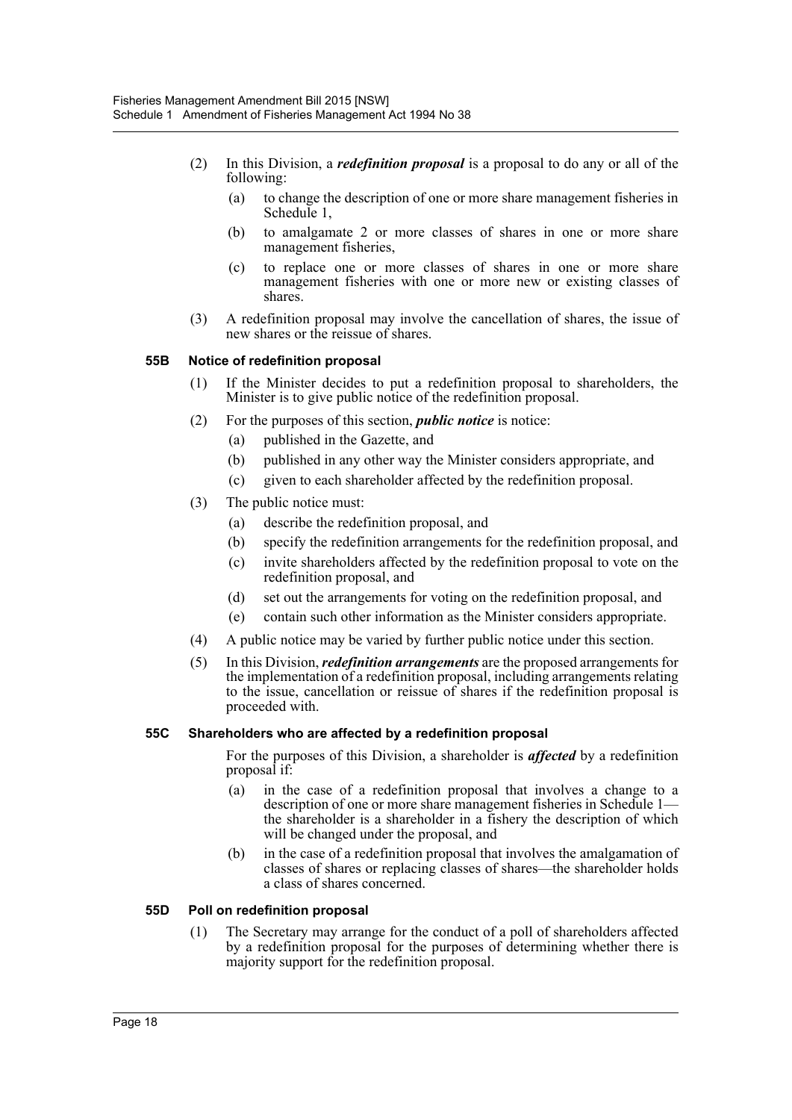- (2) In this Division, a *redefinition proposal* is a proposal to do any or all of the following:
	- (a) to change the description of one or more share management fisheries in Schedule 1,
	- (b) to amalgamate 2 or more classes of shares in one or more share management fisheries,
	- (c) to replace one or more classes of shares in one or more share management fisheries with one or more new or existing classes of shares.
- (3) A redefinition proposal may involve the cancellation of shares, the issue of new shares or the reissue of shares.

#### **55B Notice of redefinition proposal**

- (1) If the Minister decides to put a redefinition proposal to shareholders, the Minister is to give public notice of the redefinition proposal.
- (2) For the purposes of this section, *public notice* is notice:
	- (a) published in the Gazette, and
	- (b) published in any other way the Minister considers appropriate, and
	- (c) given to each shareholder affected by the redefinition proposal.
- (3) The public notice must:
	- (a) describe the redefinition proposal, and
	- (b) specify the redefinition arrangements for the redefinition proposal, and
	- (c) invite shareholders affected by the redefinition proposal to vote on the redefinition proposal, and
	- (d) set out the arrangements for voting on the redefinition proposal, and
	- (e) contain such other information as the Minister considers appropriate.
- (4) A public notice may be varied by further public notice under this section.
- (5) In this Division, *redefinition arrangements* are the proposed arrangements for the implementation of a redefinition proposal, including arrangements relating to the issue, cancellation or reissue of shares if the redefinition proposal is proceeded with.

#### **55C Shareholders who are affected by a redefinition proposal**

For the purposes of this Division, a shareholder is *affected* by a redefinition proposal if:

- (a) in the case of a redefinition proposal that involves a change to a description of one or more share management fisheries in Schedule 1 the shareholder is a shareholder in a fishery the description of which will be changed under the proposal, and
- (b) in the case of a redefinition proposal that involves the amalgamation of classes of shares or replacing classes of shares—the shareholder holds a class of shares concerned.

#### **55D Poll on redefinition proposal**

(1) The Secretary may arrange for the conduct of a poll of shareholders affected by a redefinition proposal for the purposes of determining whether there is majority support for the redefinition proposal.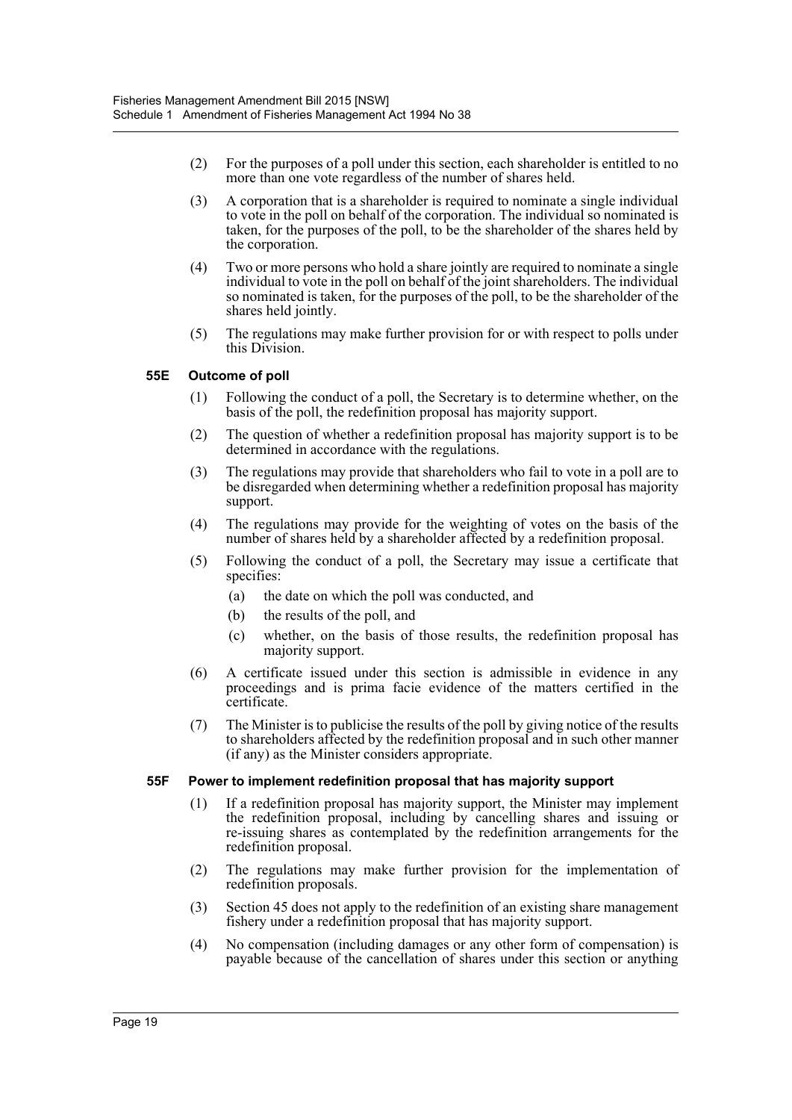- (2) For the purposes of a poll under this section, each shareholder is entitled to no more than one vote regardless of the number of shares held.
- (3) A corporation that is a shareholder is required to nominate a single individual to vote in the poll on behalf of the corporation. The individual so nominated is taken, for the purposes of the poll, to be the shareholder of the shares held by the corporation.
- (4) Two or more persons who hold a share jointly are required to nominate a single individual to vote in the poll on behalf of the joint shareholders. The individual so nominated is taken, for the purposes of the poll, to be the shareholder of the shares held jointly.
- (5) The regulations may make further provision for or with respect to polls under this Division.

#### **55E Outcome of poll**

- (1) Following the conduct of a poll, the Secretary is to determine whether, on the basis of the poll, the redefinition proposal has majority support.
- (2) The question of whether a redefinition proposal has majority support is to be determined in accordance with the regulations.
- (3) The regulations may provide that shareholders who fail to vote in a poll are to be disregarded when determining whether a redefinition proposal has majority support.
- (4) The regulations may provide for the weighting of votes on the basis of the number of shares held by a shareholder affected by a redefinition proposal.
- (5) Following the conduct of a poll, the Secretary may issue a certificate that specifies:
	- (a) the date on which the poll was conducted, and
	- (b) the results of the poll, and
	- (c) whether, on the basis of those results, the redefinition proposal has majority support.
- (6) A certificate issued under this section is admissible in evidence in any proceedings and is prima facie evidence of the matters certified in the certificate.
- (7) The Minister is to publicise the results of the poll by giving notice of the results to shareholders affected by the redefinition proposal and in such other manner (if any) as the Minister considers appropriate.

#### **55F Power to implement redefinition proposal that has majority support**

- (1) If a redefinition proposal has majority support, the Minister may implement the redefinition proposal, including by cancelling shares and issuing or re-issuing shares as contemplated by the redefinition arrangements for the redefinition proposal.
- (2) The regulations may make further provision for the implementation of redefinition proposals.
- (3) Section 45 does not apply to the redefinition of an existing share management fishery under a redefinition proposal that has majority support.
- (4) No compensation (including damages or any other form of compensation) is payable because of the cancellation of shares under this section or anything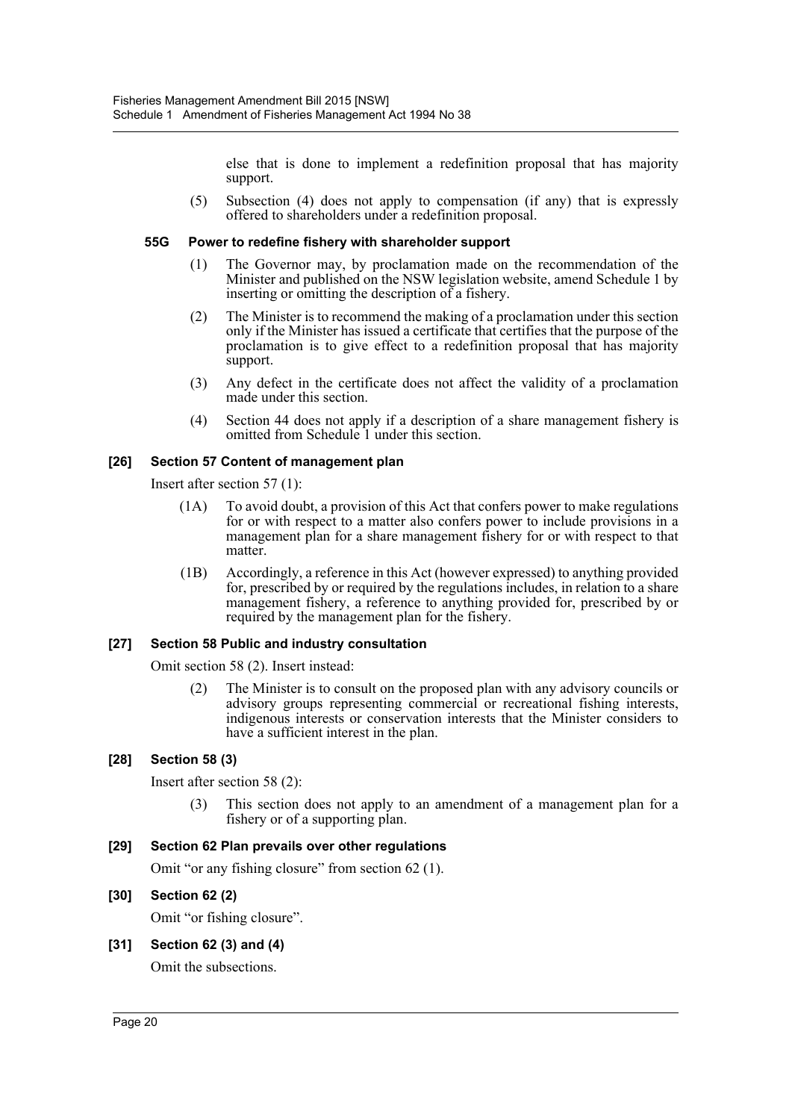else that is done to implement a redefinition proposal that has majority support.

(5) Subsection (4) does not apply to compensation (if any) that is expressly offered to shareholders under a redefinition proposal.

#### **55G Power to redefine fishery with shareholder support**

- (1) The Governor may, by proclamation made on the recommendation of the Minister and published on the NSW legislation website, amend Schedule 1 by inserting or omitting the description of a fishery.
- (2) The Minister is to recommend the making of a proclamation under this section only if the Minister has issued a certificate that certifies that the purpose of the proclamation is to give effect to a redefinition proposal that has majority support.
- (3) Any defect in the certificate does not affect the validity of a proclamation made under this section.
- (4) Section 44 does not apply if a description of a share management fishery is omitted from Schedule 1 under this section.

#### **[26] Section 57 Content of management plan**

Insert after section 57 (1):

- (1A) To avoid doubt, a provision of this Act that confers power to make regulations for or with respect to a matter also confers power to include provisions in a management plan for a share management fishery for or with respect to that matter.
- (1B) Accordingly, a reference in this Act (however expressed) to anything provided for, prescribed by or required by the regulations includes, in relation to a share management fishery, a reference to anything provided for, prescribed by or required by the management plan for the fishery.

#### **[27] Section 58 Public and industry consultation**

Omit section 58 (2). Insert instead:

(2) The Minister is to consult on the proposed plan with any advisory councils or advisory groups representing commercial or recreational fishing interests, indigenous interests or conservation interests that the Minister considers to have a sufficient interest in the plan.

#### **[28] Section 58 (3)**

Insert after section 58 (2):

(3) This section does not apply to an amendment of a management plan for a fishery or of a supporting plan.

#### **[29] Section 62 Plan prevails over other regulations**

Omit "or any fishing closure" from section 62 (1).

#### **[30] Section 62 (2)**

Omit "or fishing closure".

### **[31] Section 62 (3) and (4)**

Omit the subsections.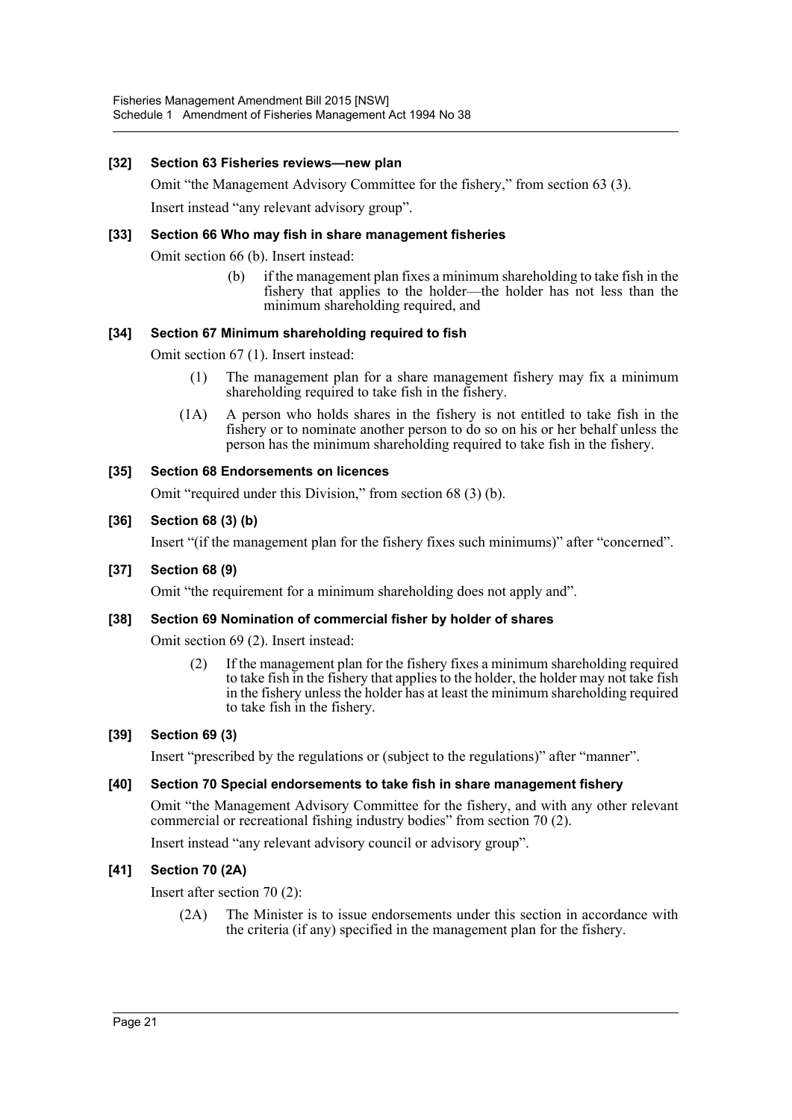#### **[32] Section 63 Fisheries reviews—new plan**

Omit "the Management Advisory Committee for the fishery," from section 63 (3).

Insert instead "any relevant advisory group".

#### **[33] Section 66 Who may fish in share management fisheries**

Omit section 66 (b). Insert instead:

(b) if the management plan fixes a minimum shareholding to take fish in the fishery that applies to the holder—the holder has not less than the minimum shareholding required, and

#### **[34] Section 67 Minimum shareholding required to fish**

Omit section 67 (1). Insert instead:

- (1) The management plan for a share management fishery may fix a minimum shareholding required to take fish in the fishery.
- (1A) A person who holds shares in the fishery is not entitled to take fish in the fishery or to nominate another person to do so on his or her behalf unless the person has the minimum shareholding required to take fish in the fishery.

#### **[35] Section 68 Endorsements on licences**

Omit "required under this Division," from section 68 (3) (b).

#### **[36] Section 68 (3) (b)**

Insert "(if the management plan for the fishery fixes such minimums)" after "concerned".

#### **[37] Section 68 (9)**

Omit "the requirement for a minimum shareholding does not apply and".

#### **[38] Section 69 Nomination of commercial fisher by holder of shares**

Omit section 69 (2). Insert instead:

(2) If the management plan for the fishery fixes a minimum shareholding required to take fish in the fishery that applies to the holder, the holder may not take fish in the fishery unless the holder has at least the minimum shareholding required to take fish in the fishery.

#### **[39] Section 69 (3)**

Insert "prescribed by the regulations or (subject to the regulations)" after "manner".

#### **[40] Section 70 Special endorsements to take fish in share management fishery**

Omit "the Management Advisory Committee for the fishery, and with any other relevant commercial or recreational fishing industry bodies" from section 70 (2).

Insert instead "any relevant advisory council or advisory group".

### **[41] Section 70 (2A)**

Insert after section 70 (2):

(2A) The Minister is to issue endorsements under this section in accordance with the criteria (if any) specified in the management plan for the fishery.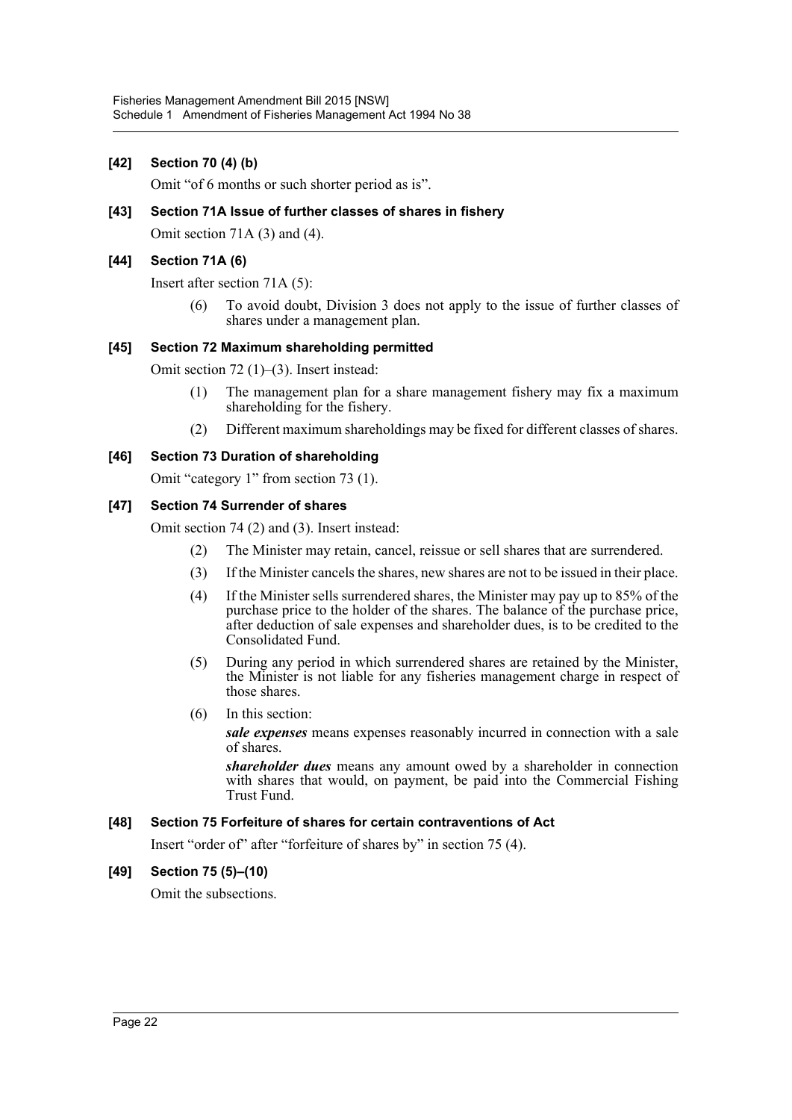#### **[42] Section 70 (4) (b)**

Omit "of 6 months or such shorter period as is".

#### **[43] Section 71A Issue of further classes of shares in fishery**

Omit section 71A (3) and (4).

#### **[44] Section 71A (6)**

Insert after section 71A (5):

(6) To avoid doubt, Division 3 does not apply to the issue of further classes of shares under a management plan.

#### **[45] Section 72 Maximum shareholding permitted**

Omit section 72 (1)–(3). Insert instead:

- (1) The management plan for a share management fishery may fix a maximum shareholding for the fishery.
- (2) Different maximum shareholdings may be fixed for different classes of shares.

#### **[46] Section 73 Duration of shareholding**

Omit "category 1" from section 73 (1).

#### **[47] Section 74 Surrender of shares**

Omit section 74 (2) and (3). Insert instead:

- (2) The Minister may retain, cancel, reissue or sell shares that are surrendered.
- (3) If the Minister cancels the shares, new shares are not to be issued in their place.
- (4) If the Minister sells surrendered shares, the Minister may pay up to 85% of the purchase price to the holder of the shares. The balance of the purchase price, after deduction of sale expenses and shareholder dues, is to be credited to the Consolidated Fund.
- (5) During any period in which surrendered shares are retained by the Minister, the Minister is not liable for any fisheries management charge in respect of those shares.
- (6) In this section:

*sale expenses* means expenses reasonably incurred in connection with a sale of shares.

*shareholder dues* means any amount owed by a shareholder in connection with shares that would, on payment, be paid into the Commercial Fishing Trust Fund.

#### **[48] Section 75 Forfeiture of shares for certain contraventions of Act**

Insert "order of" after "forfeiture of shares by" in section 75 (4).

#### **[49] Section 75 (5)–(10)**

Omit the subsections.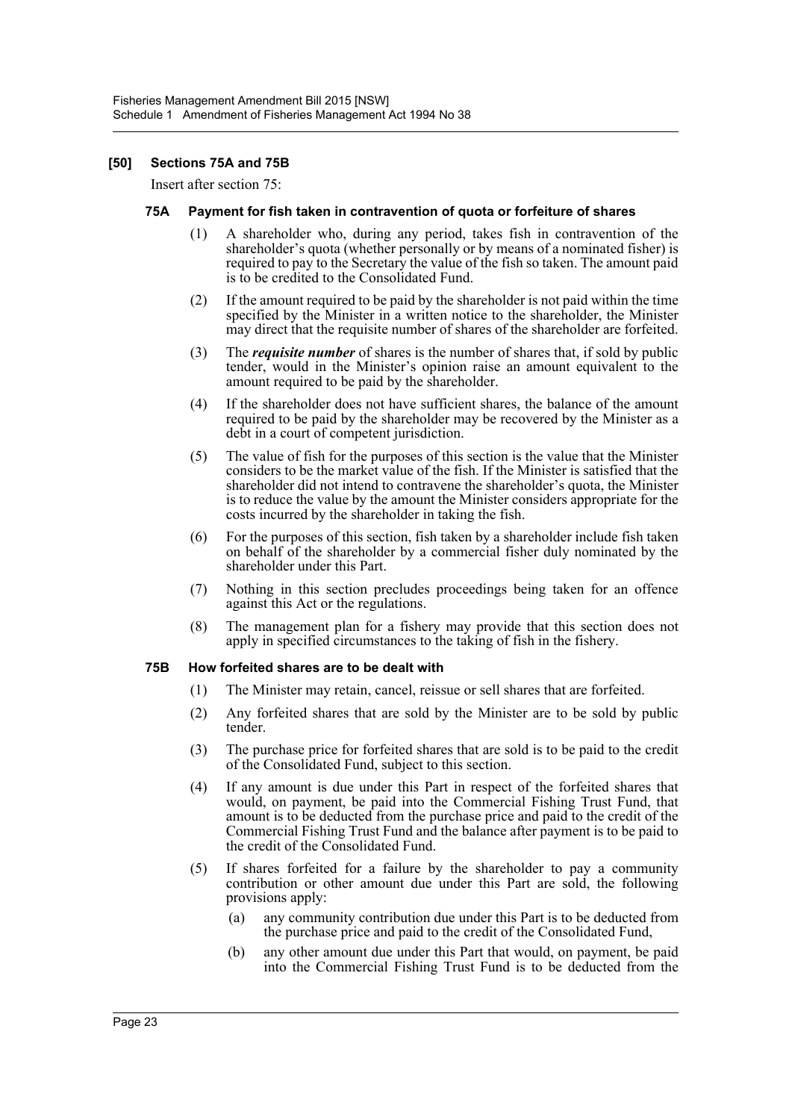#### **[50] Sections 75A and 75B**

Insert after section 75:

#### **75A Payment for fish taken in contravention of quota or forfeiture of shares**

- (1) A shareholder who, during any period, takes fish in contravention of the shareholder's quota (whether personally or by means of a nominated fisher) is required to pay to the Secretary the value of the fish so taken. The amount paid is to be credited to the Consolidated Fund.
- (2) If the amount required to be paid by the shareholder is not paid within the time specified by the Minister in a written notice to the shareholder, the Minister may direct that the requisite number of shares of the shareholder are forfeited.
- (3) The *requisite number* of shares is the number of shares that, if sold by public tender, would in the Minister's opinion raise an amount equivalent to the amount required to be paid by the shareholder.
- (4) If the shareholder does not have sufficient shares, the balance of the amount required to be paid by the shareholder may be recovered by the Minister as a debt in a court of competent jurisdiction.
- (5) The value of fish for the purposes of this section is the value that the Minister considers to be the market value of the fish. If the Minister is satisfied that the shareholder did not intend to contravene the shareholder's quota, the Minister is to reduce the value by the amount the Minister considers appropriate for the costs incurred by the shareholder in taking the fish.
- (6) For the purposes of this section, fish taken by a shareholder include fish taken on behalf of the shareholder by a commercial fisher duly nominated by the shareholder under this Part.
- (7) Nothing in this section precludes proceedings being taken for an offence against this Act or the regulations.
- (8) The management plan for a fishery may provide that this section does not apply in specified circumstances to the taking of fish in the fishery.

#### **75B How forfeited shares are to be dealt with**

- (1) The Minister may retain, cancel, reissue or sell shares that are forfeited.
- (2) Any forfeited shares that are sold by the Minister are to be sold by public tender.
- (3) The purchase price for forfeited shares that are sold is to be paid to the credit of the Consolidated Fund, subject to this section.
- (4) If any amount is due under this Part in respect of the forfeited shares that would, on payment, be paid into the Commercial Fishing Trust Fund, that amount is to be deducted from the purchase price and paid to the credit of the Commercial Fishing Trust Fund and the balance after payment is to be paid to the credit of the Consolidated Fund.
- (5) If shares forfeited for a failure by the shareholder to pay a community contribution or other amount due under this Part are sold, the following provisions apply:
	- (a) any community contribution due under this Part is to be deducted from the purchase price and paid to the credit of the Consolidated Fund,
	- (b) any other amount due under this Part that would, on payment, be paid into the Commercial Fishing Trust Fund is to be deducted from the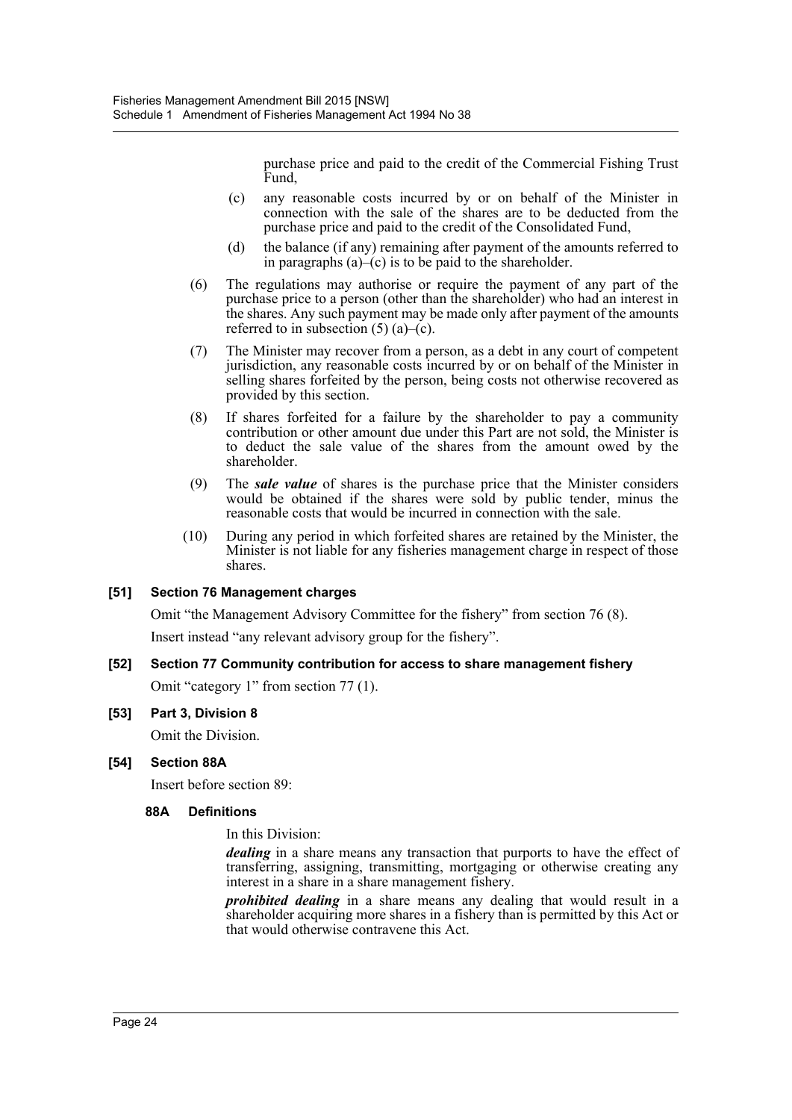purchase price and paid to the credit of the Commercial Fishing Trust Fund,

- (c) any reasonable costs incurred by or on behalf of the Minister in connection with the sale of the shares are to be deducted from the purchase price and paid to the credit of the Consolidated Fund,
- (d) the balance (if any) remaining after payment of the amounts referred to in paragraphs  $(a)$ – $(c)$  is to be paid to the shareholder.
- (6) The regulations may authorise or require the payment of any part of the purchase price to a person (other than the shareholder) who had an interest in the shares. Any such payment may be made only after payment of the amounts referred to in subsection  $(5)$  (a)–(c).
- (7) The Minister may recover from a person, as a debt in any court of competent jurisdiction, any reasonable costs incurred by or on behalf of the Minister in selling shares forfeited by the person, being costs not otherwise recovered as provided by this section.
- (8) If shares forfeited for a failure by the shareholder to pay a community contribution or other amount due under this Part are not sold, the Minister is to deduct the sale value of the shares from the amount owed by the shareholder.
- (9) The *sale value* of shares is the purchase price that the Minister considers would be obtained if the shares were sold by public tender, minus the reasonable costs that would be incurred in connection with the sale.
- (10) During any period in which forfeited shares are retained by the Minister, the Minister is not liable for any fisheries management charge in respect of those shares.

### **[51] Section 76 Management charges**

Omit "the Management Advisory Committee for the fishery" from section 76 (8).

Insert instead "any relevant advisory group for the fishery".

### **[52] Section 77 Community contribution for access to share management fishery**

Omit "category 1" from section 77 (1).

#### **[53] Part 3, Division 8**

Omit the Division.

### **[54] Section 88A**

Insert before section 89:

#### **88A Definitions**

In this Division:

*dealing* in a share means any transaction that purports to have the effect of transferring, assigning, transmitting, mortgaging or otherwise creating any interest in a share in a share management fishery.

*prohibited dealing* in a share means any dealing that would result in a shareholder acquiring more shares in a fishery than is permitted by this Act or that would otherwise contravene this Act.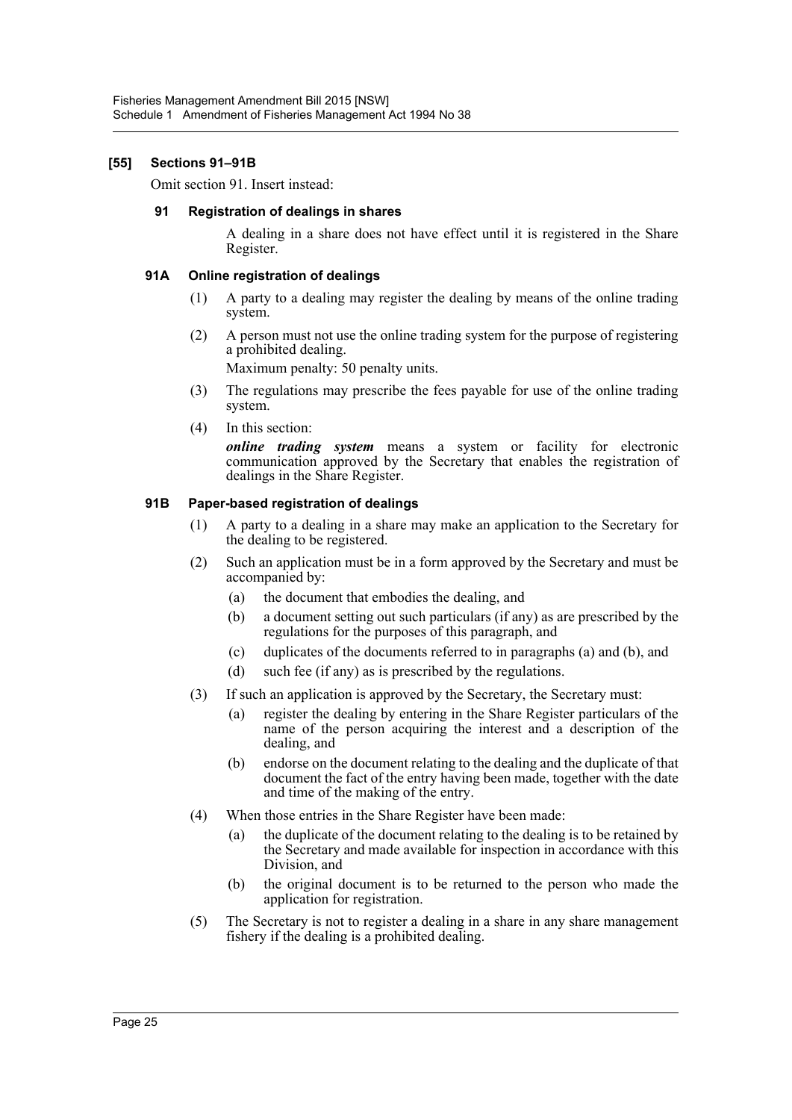#### **[55] Sections 91–91B**

Omit section 91. Insert instead:

#### **91 Registration of dealings in shares**

A dealing in a share does not have effect until it is registered in the Share Register.

#### **91A Online registration of dealings**

- (1) A party to a dealing may register the dealing by means of the online trading system.
- (2) A person must not use the online trading system for the purpose of registering a prohibited dealing.

Maximum penalty: 50 penalty units.

- (3) The regulations may prescribe the fees payable for use of the online trading system.
- (4) In this section:

*online trading system* means a system or facility for electronic communication approved by the Secretary that enables the registration of dealings in the Share Register.

#### **91B Paper-based registration of dealings**

- (1) A party to a dealing in a share may make an application to the Secretary for the dealing to be registered.
- (2) Such an application must be in a form approved by the Secretary and must be accompanied by:
	- (a) the document that embodies the dealing, and
	- (b) a document setting out such particulars (if any) as are prescribed by the regulations for the purposes of this paragraph, and
	- (c) duplicates of the documents referred to in paragraphs (a) and (b), and
	- (d) such fee (if any) as is prescribed by the regulations.
- (3) If such an application is approved by the Secretary, the Secretary must:
	- (a) register the dealing by entering in the Share Register particulars of the name of the person acquiring the interest and a description of the dealing, and
	- (b) endorse on the document relating to the dealing and the duplicate of that document the fact of the entry having been made, together with the date and time of the making of the entry.
- (4) When those entries in the Share Register have been made:
	- (a) the duplicate of the document relating to the dealing is to be retained by the Secretary and made available for inspection in accordance with this Division, and
	- (b) the original document is to be returned to the person who made the application for registration.
- (5) The Secretary is not to register a dealing in a share in any share management fishery if the dealing is a prohibited dealing.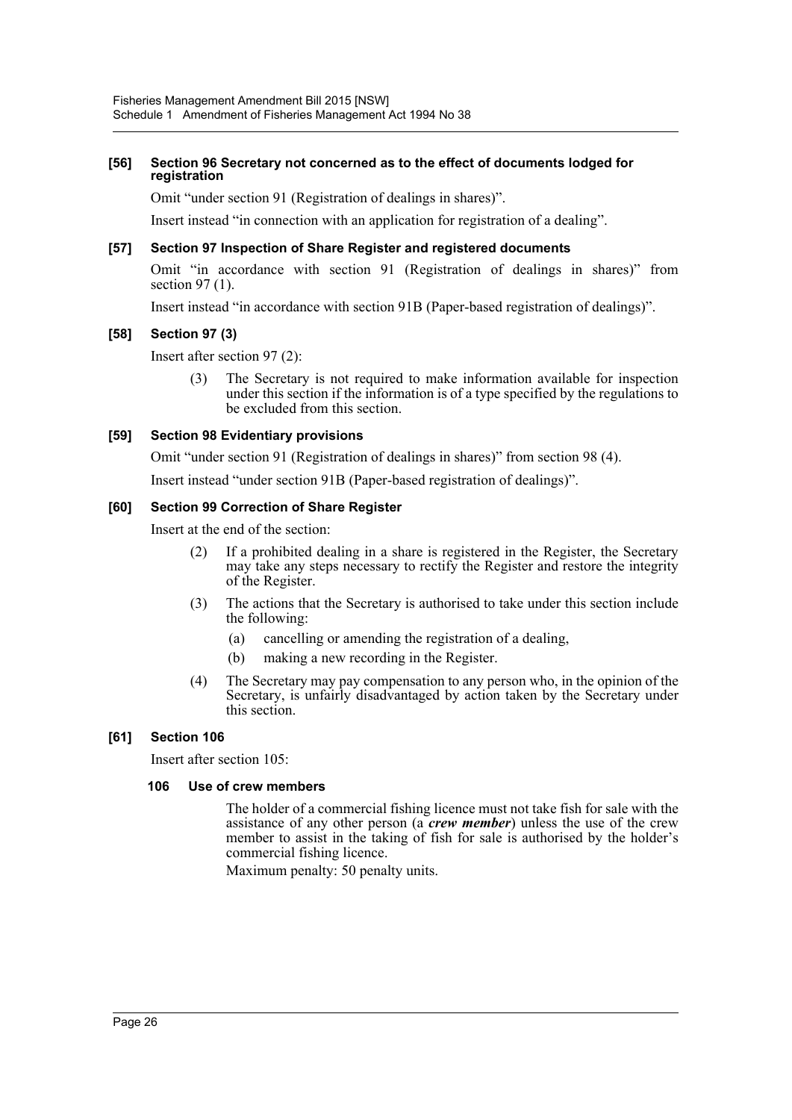#### **[56] Section 96 Secretary not concerned as to the effect of documents lodged for registration**

Omit "under section 91 (Registration of dealings in shares)".

Insert instead "in connection with an application for registration of a dealing".

#### **[57] Section 97 Inspection of Share Register and registered documents**

Omit "in accordance with section 91 (Registration of dealings in shares)" from section 97 (1).

Insert instead "in accordance with section 91B (Paper-based registration of dealings)".

#### **[58] Section 97 (3)**

Insert after section 97 (2):

(3) The Secretary is not required to make information available for inspection under this section if the information is of a type specified by the regulations to be excluded from this section.

#### **[59] Section 98 Evidentiary provisions**

Omit "under section 91 (Registration of dealings in shares)" from section 98 (4).

Insert instead "under section 91B (Paper-based registration of dealings)".

#### **[60] Section 99 Correction of Share Register**

Insert at the end of the section:

- (2) If a prohibited dealing in a share is registered in the Register, the Secretary may take any steps necessary to rectify the Register and restore the integrity of the Register.
- (3) The actions that the Secretary is authorised to take under this section include the following:
	- (a) cancelling or amending the registration of a dealing,
	- (b) making a new recording in the Register.
- (4) The Secretary may pay compensation to any person who, in the opinion of the Secretary, is unfairly disadvantaged by action taken by the Secretary under this section.

#### **[61] Section 106**

Insert after section 105:

#### **106 Use of crew members**

The holder of a commercial fishing licence must not take fish for sale with the assistance of any other person (a *crew member*) unless the use of the crew member to assist in the taking of fish for sale is authorised by the holder's commercial fishing licence.

Maximum penalty: 50 penalty units.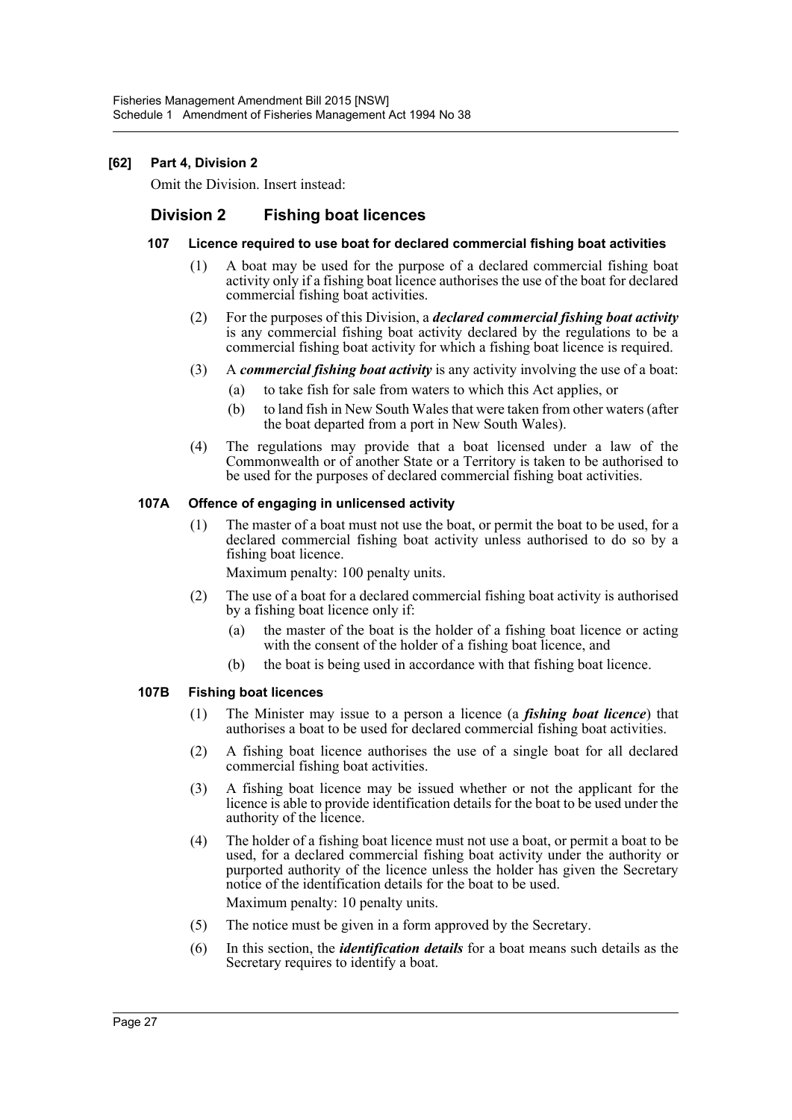### **[62] Part 4, Division 2**

Omit the Division. Insert instead:

# **Division 2 Fishing boat licences**

#### **107 Licence required to use boat for declared commercial fishing boat activities**

- (1) A boat may be used for the purpose of a declared commercial fishing boat activity only if a fishing boat licence authorises the use of the boat for declared commercial fishing boat activities.
- (2) For the purposes of this Division, a *declared commercial fishing boat activity* is any commercial fishing boat activity declared by the regulations to be a commercial fishing boat activity for which a fishing boat licence is required.
- (3) A *commercial fishing boat activity* is any activity involving the use of a boat:
	- (a) to take fish for sale from waters to which this Act applies, or
	- (b) to land fish in New South Wales that were taken from other waters (after the boat departed from a port in New South Wales).
- (4) The regulations may provide that a boat licensed under a law of the Commonwealth or of another State or a Territory is taken to be authorised to be used for the purposes of declared commercial fishing boat activities.

#### **107A Offence of engaging in unlicensed activity**

(1) The master of a boat must not use the boat, or permit the boat to be used, for a declared commercial fishing boat activity unless authorised to do so by a fishing boat licence.

Maximum penalty: 100 penalty units.

- (2) The use of a boat for a declared commercial fishing boat activity is authorised by a fishing boat licence only if:
	- (a) the master of the boat is the holder of a fishing boat licence or acting with the consent of the holder of a fishing boat licence, and
	- (b) the boat is being used in accordance with that fishing boat licence.

#### **107B Fishing boat licences**

- (1) The Minister may issue to a person a licence (a *fishing boat licence*) that authorises a boat to be used for declared commercial fishing boat activities.
- (2) A fishing boat licence authorises the use of a single boat for all declared commercial fishing boat activities.
- (3) A fishing boat licence may be issued whether or not the applicant for the licence is able to provide identification details for the boat to be used under the authority of the licence.
- (4) The holder of a fishing boat licence must not use a boat, or permit a boat to be used, for a declared commercial fishing boat activity under the authority or purported authority of the licence unless the holder has given the Secretary notice of the identification details for the boat to be used. Maximum penalty: 10 penalty units.
- (5) The notice must be given in a form approved by the Secretary.
- (6) In this section, the *identification details* for a boat means such details as the Secretary requires to identify a boat.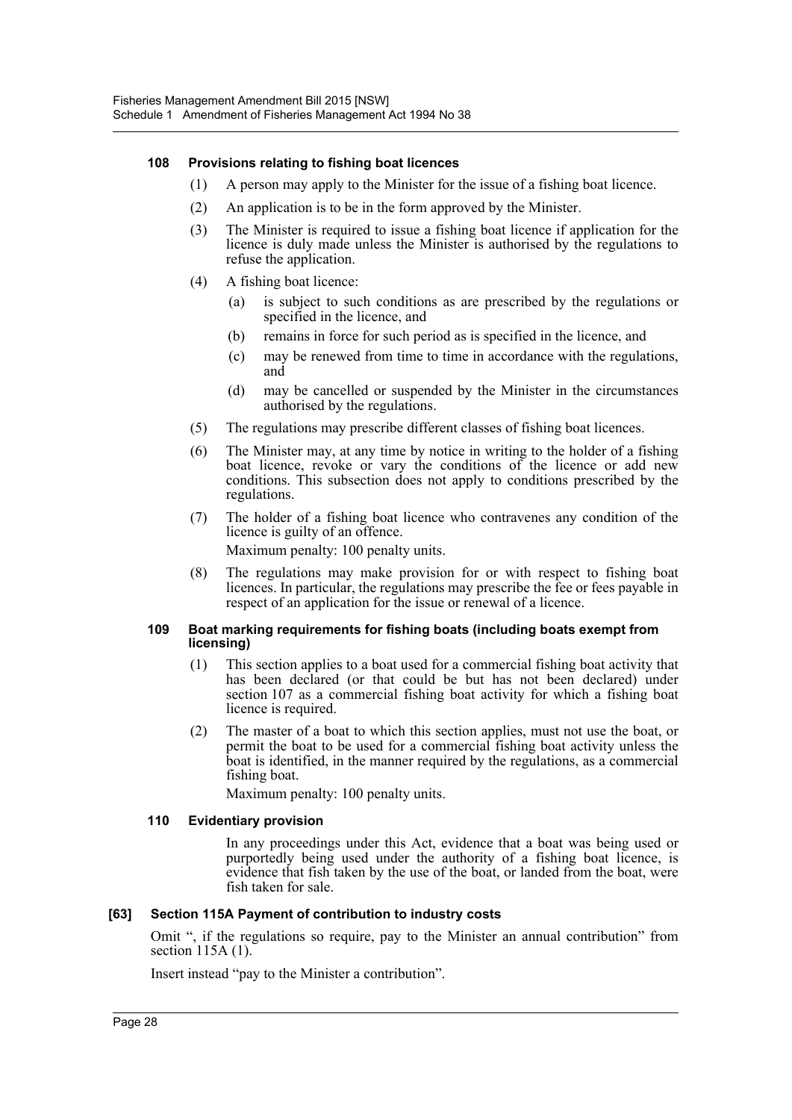#### **108 Provisions relating to fishing boat licences**

- (1) A person may apply to the Minister for the issue of a fishing boat licence.
- (2) An application is to be in the form approved by the Minister.
- (3) The Minister is required to issue a fishing boat licence if application for the licence is duly made unless the Minister is authorised by the regulations to refuse the application.
- (4) A fishing boat licence:
	- (a) is subject to such conditions as are prescribed by the regulations or specified in the licence, and
	- (b) remains in force for such period as is specified in the licence, and
	- (c) may be renewed from time to time in accordance with the regulations, and
	- (d) may be cancelled or suspended by the Minister in the circumstances authorised by the regulations.
- (5) The regulations may prescribe different classes of fishing boat licences.
- (6) The Minister may, at any time by notice in writing to the holder of a fishing boat licence, revoke or vary the conditions of the licence or add new conditions. This subsection does not apply to conditions prescribed by the regulations.
- (7) The holder of a fishing boat licence who contravenes any condition of the licence is guilty of an offence.

Maximum penalty: 100 penalty units.

(8) The regulations may make provision for or with respect to fishing boat licences. In particular, the regulations may prescribe the fee or fees payable in respect of an application for the issue or renewal of a licence.

#### **109 Boat marking requirements for fishing boats (including boats exempt from licensing)**

- (1) This section applies to a boat used for a commercial fishing boat activity that has been declared (or that could be but has not been declared) under section 107 as a commercial fishing boat activity for which a fishing boat licence is required.
- (2) The master of a boat to which this section applies, must not use the boat, or permit the boat to be used for a commercial fishing boat activity unless the boat is identified, in the manner required by the regulations, as a commercial fishing boat.

Maximum penalty: 100 penalty units.

#### **110 Evidentiary provision**

In any proceedings under this Act, evidence that a boat was being used or purportedly being used under the authority of a fishing boat licence, is evidence that fish taken by the use of the boat, or landed from the boat, were fish taken for sale.

#### **[63] Section 115A Payment of contribution to industry costs**

Omit ", if the regulations so require, pay to the Minister an annual contribution" from section 115A (1).

Insert instead "pay to the Minister a contribution".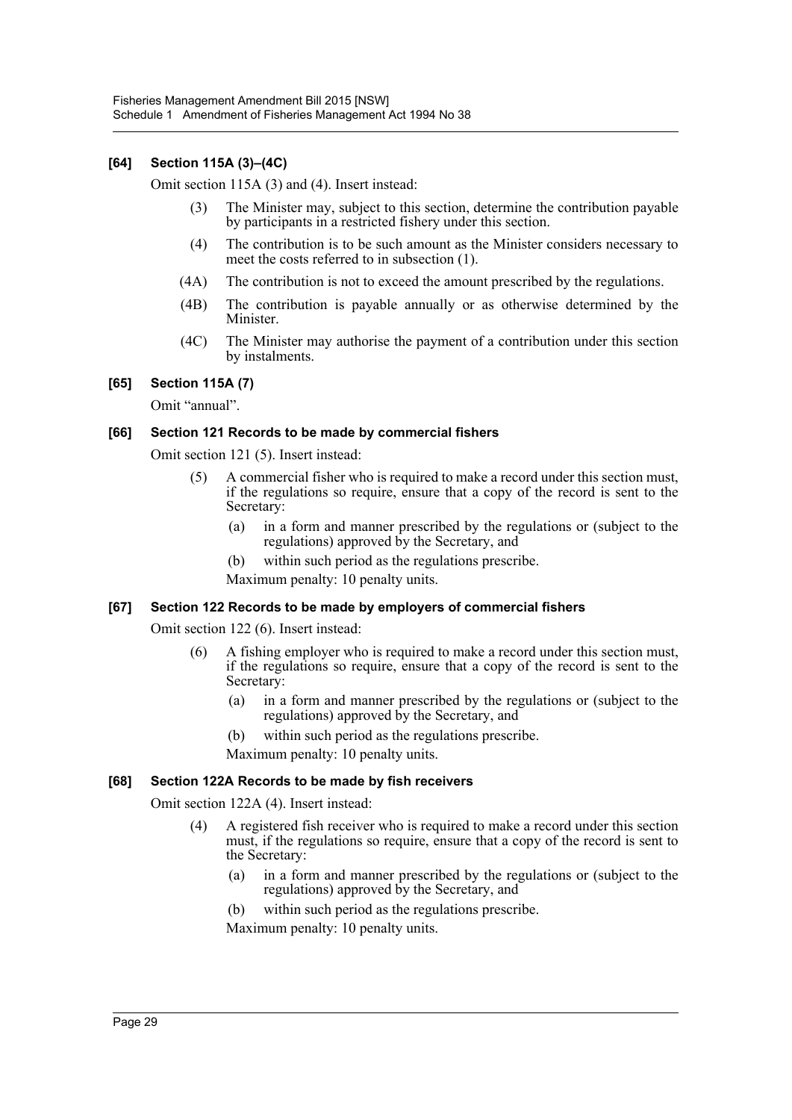#### **[64] Section 115A (3)–(4C)**

Omit section 115A (3) and (4). Insert instead:

- (3) The Minister may, subject to this section, determine the contribution payable by participants in a restricted fishery under this section.
- (4) The contribution is to be such amount as the Minister considers necessary to meet the costs referred to in subsection (1).
- (4A) The contribution is not to exceed the amount prescribed by the regulations.
- (4B) The contribution is payable annually or as otherwise determined by the Minister.
- (4C) The Minister may authorise the payment of a contribution under this section by instalments.

#### **[65] Section 115A (7)**

Omit "annual".

#### **[66] Section 121 Records to be made by commercial fishers**

Omit section 121 (5). Insert instead:

- (5) A commercial fisher who is required to make a record under this section must, if the regulations so require, ensure that a copy of the record is sent to the Secretary:
	- (a) in a form and manner prescribed by the regulations or (subject to the regulations) approved by the Secretary, and
	- (b) within such period as the regulations prescribe.
	- Maximum penalty: 10 penalty units.

#### **[67] Section 122 Records to be made by employers of commercial fishers**

Omit section 122 (6). Insert instead:

- (6) A fishing employer who is required to make a record under this section must, if the regulations so require, ensure that a copy of the record is sent to the Secretary:
	- (a) in a form and manner prescribed by the regulations or (subject to the regulations) approved by the Secretary, and
	- (b) within such period as the regulations prescribe.

Maximum penalty: 10 penalty units.

#### **[68] Section 122A Records to be made by fish receivers**

Omit section 122A (4). Insert instead:

- (4) A registered fish receiver who is required to make a record under this section must, if the regulations so require, ensure that a copy of the record is sent to the Secretary:
	- (a) in a form and manner prescribed by the regulations or (subject to the regulations) approved by the Secretary, and
	- (b) within such period as the regulations prescribe.
	- Maximum penalty: 10 penalty units.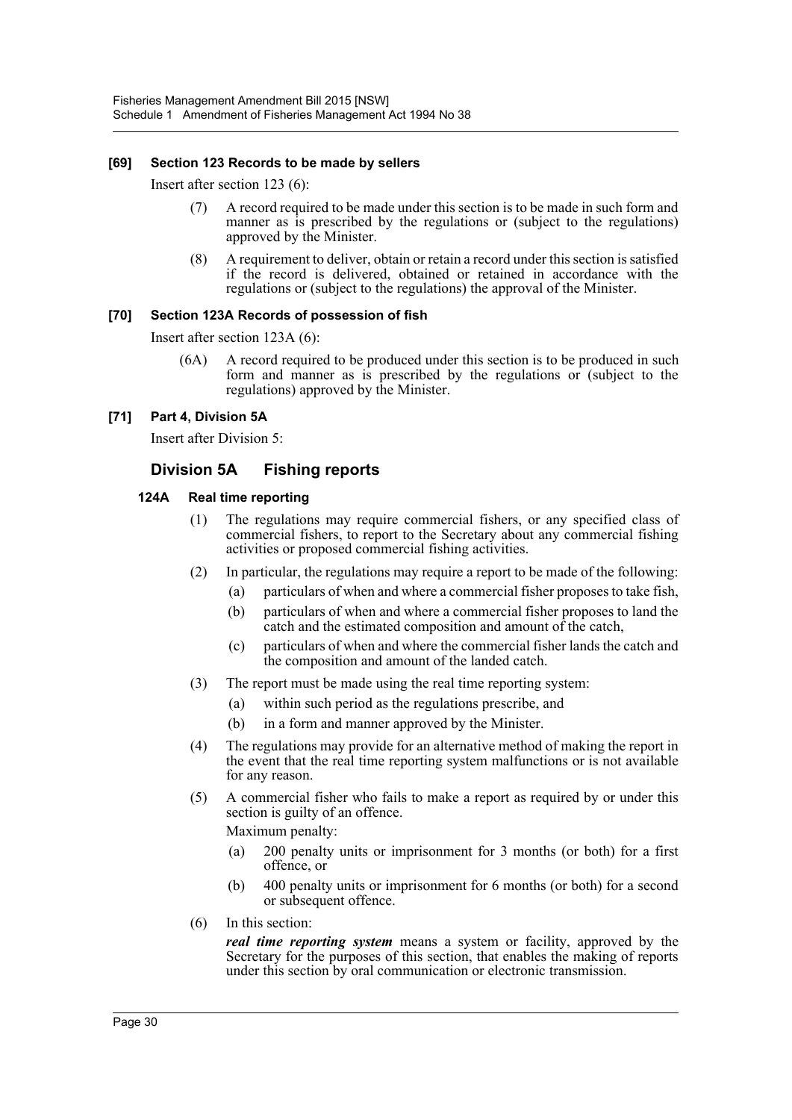#### **[69] Section 123 Records to be made by sellers**

Insert after section 123 (6):

- (7) A record required to be made under this section is to be made in such form and manner as is prescribed by the regulations or (subject to the regulations) approved by the Minister.
- (8) A requirement to deliver, obtain or retain a record under this section is satisfied if the record is delivered, obtained or retained in accordance with the regulations or (subject to the regulations) the approval of the Minister.

#### **[70] Section 123A Records of possession of fish**

Insert after section 123A (6):

(6A) A record required to be produced under this section is to be produced in such form and manner as is prescribed by the regulations or (subject to the regulations) approved by the Minister.

#### **[71] Part 4, Division 5A**

Insert after Division 5:

### **Division 5A Fishing reports**

#### **124A Real time reporting**

- (1) The regulations may require commercial fishers, or any specified class of commercial fishers, to report to the Secretary about any commercial fishing activities or proposed commercial fishing activities.
- (2) In particular, the regulations may require a report to be made of the following:
	- (a) particulars of when and where a commercial fisher proposes to take fish,
	- (b) particulars of when and where a commercial fisher proposes to land the catch and the estimated composition and amount of the catch,
	- (c) particulars of when and where the commercial fisher lands the catch and the composition and amount of the landed catch.
- (3) The report must be made using the real time reporting system:
	- (a) within such period as the regulations prescribe, and
	- (b) in a form and manner approved by the Minister.
- (4) The regulations may provide for an alternative method of making the report in the event that the real time reporting system malfunctions or is not available for any reason.
- (5) A commercial fisher who fails to make a report as required by or under this section is guilty of an offence. Maximum penalty:
	- (a) 200 penalty units or imprisonment for 3 months (or both) for a first offence, or
	- (b) 400 penalty units or imprisonment for 6 months (or both) for a second or subsequent offence.
- (6) In this section:

*real time reporting system* means a system or facility, approved by the Secretary for the purposes of this section, that enables the making of reports under this section by oral communication or electronic transmission.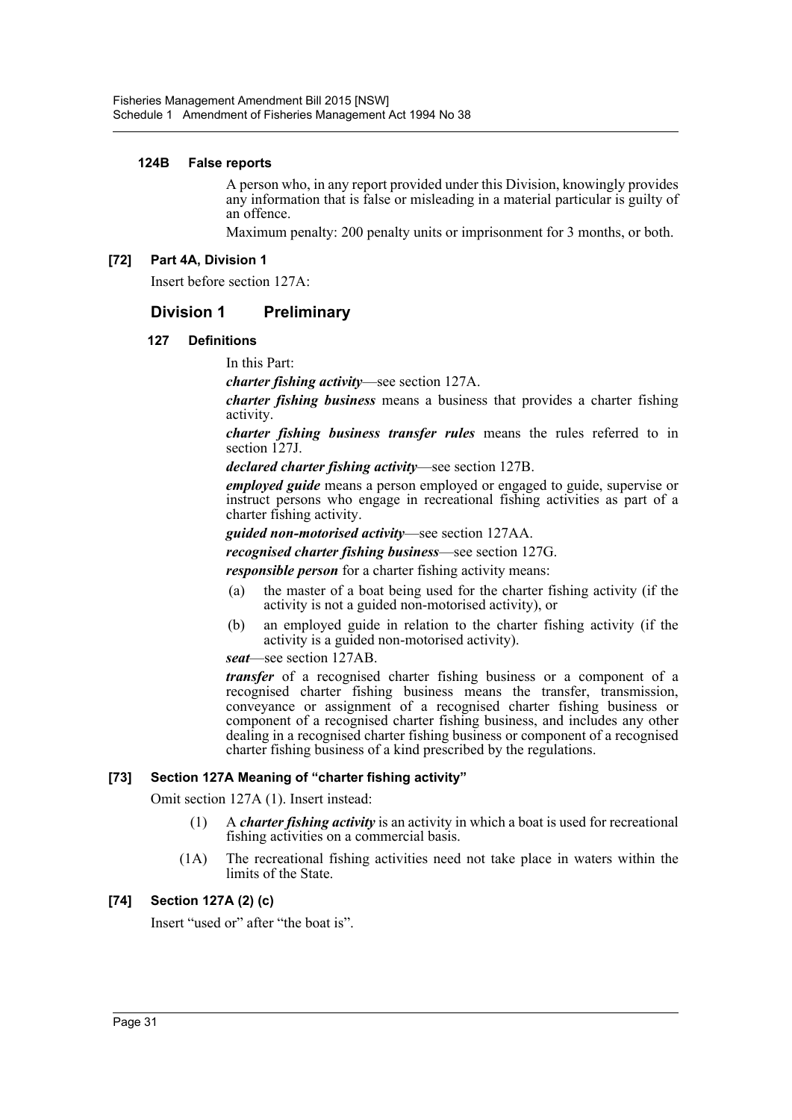#### **124B False reports**

A person who, in any report provided under this Division, knowingly provides any information that is false or misleading in a material particular is guilty of an offence.

Maximum penalty: 200 penalty units or imprisonment for 3 months, or both.

#### **[72] Part 4A, Division 1**

Insert before section 127A:

### **Division 1 Preliminary**

#### **127 Definitions**

In this Part:

*charter fishing activity*—see section 127A.

*charter fishing business* means a business that provides a charter fishing activity.

*charter fishing business transfer rules* means the rules referred to in section 127J.

*declared charter fishing activity*—see section 127B.

*employed guide* means a person employed or engaged to guide, supervise or instruct persons who engage in recreational fishing activities as part of a charter fishing activity.

*guided non-motorised activity*—see section 127AA.

*recognised charter fishing business*—see section 127G.

*responsible person* for a charter fishing activity means:

- (a) the master of a boat being used for the charter fishing activity (if the activity is not a guided non-motorised activity), or
- (b) an employed guide in relation to the charter fishing activity (if the activity is a guided non-motorised activity).

*seat*—see section 127AB.

*transfer* of a recognised charter fishing business or a component of a recognised charter fishing business means the transfer, transmission, conveyance or assignment of a recognised charter fishing business or component of a recognised charter fishing business, and includes any other dealing in a recognised charter fishing business or component of a recognised charter fishing business of a kind prescribed by the regulations.

#### **[73] Section 127A Meaning of "charter fishing activity"**

Omit section 127A (1). Insert instead:

- (1) A *charter fishing activity* is an activity in which a boat is used for recreational fishing activities on a commercial basis.
- (1A) The recreational fishing activities need not take place in waters within the limits of the State.

#### **[74] Section 127A (2) (c)**

Insert "used or" after "the boat is".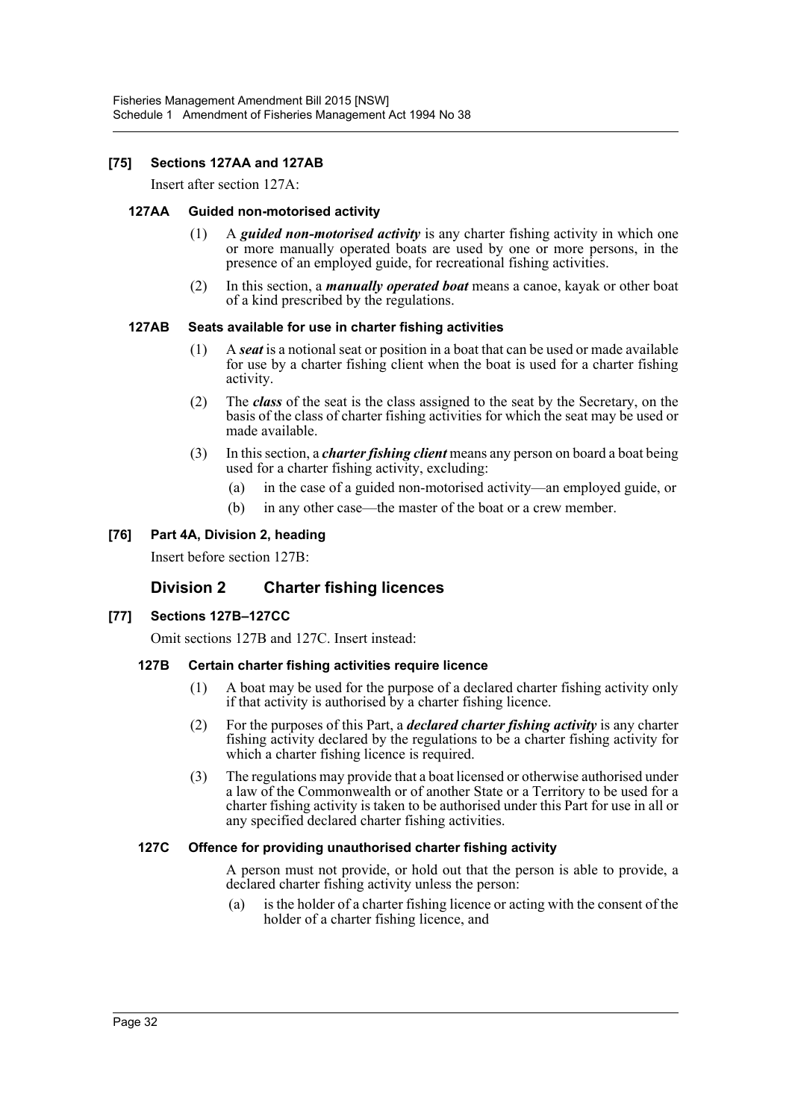#### **[75] Sections 127AA and 127AB**

Insert after section 127A:

#### **127AA Guided non-motorised activity**

- (1) A *guided non-motorised activity* is any charter fishing activity in which one or more manually operated boats are used by one or more persons, in the presence of an employed guide, for recreational fishing activities.
- (2) In this section, a *manually operated boat* means a canoe, kayak or other boat of a kind prescribed by the regulations.

#### **127AB Seats available for use in charter fishing activities**

- (1) A *seat* is a notional seat or position in a boat that can be used or made available for use by a charter fishing client when the boat is used for a charter fishing activity.
- (2) The *class* of the seat is the class assigned to the seat by the Secretary, on the basis of the class of charter fishing activities for which the seat may be used or made available.
- (3) In this section, a *charter fishing client* means any person on board a boat being used for a charter fishing activity, excluding:
	- (a) in the case of a guided non-motorised activity—an employed guide, or
	- (b) in any other case—the master of the boat or a crew member.

#### **[76] Part 4A, Division 2, heading**

Insert before section 127B:

## **Division 2 Charter fishing licences**

#### **[77] Sections 127B–127CC**

Omit sections 127B and 127C. Insert instead:

#### **127B Certain charter fishing activities require licence**

- (1) A boat may be used for the purpose of a declared charter fishing activity only if that activity is authorised by a charter fishing licence.
- (2) For the purposes of this Part, a *declared charter fishing activity* is any charter fishing activity declared by the regulations to be a charter fishing activity for which a charter fishing licence is required.
- (3) The regulations may provide that a boat licensed or otherwise authorised under a law of the Commonwealth or of another State or a Territory to be used for a charter fishing activity is taken to be authorised under this Part for use in all or any specified declared charter fishing activities.

#### **127C Offence for providing unauthorised charter fishing activity**

A person must not provide, or hold out that the person is able to provide, a declared charter fishing activity unless the person:

(a) is the holder of a charter fishing licence or acting with the consent of the holder of a charter fishing licence, and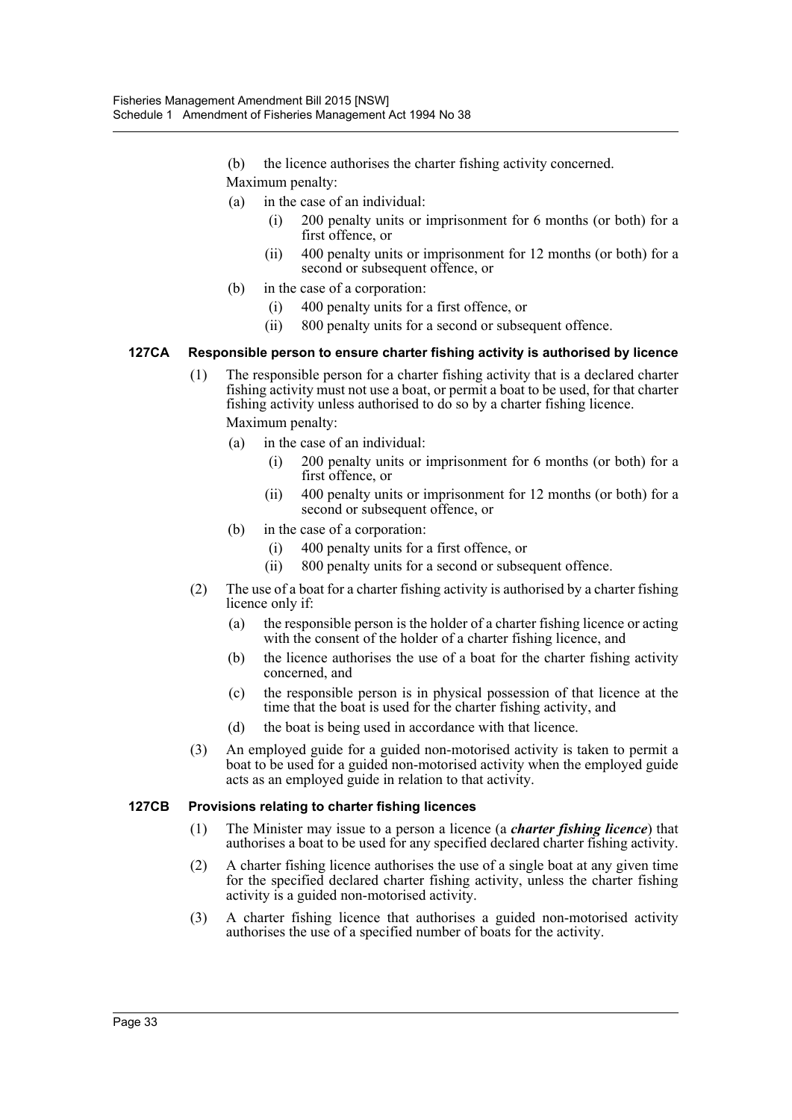- (b) the licence authorises the charter fishing activity concerned.
- Maximum penalty:
- (a) in the case of an individual:
	- 200 penalty units or imprisonment for 6 months (or both) for a first offence, or
	- (ii) 400 penalty units or imprisonment for 12 months (or both) for a second or subsequent offence, or
- (b) in the case of a corporation:
	- (i) 400 penalty units for a first offence, or
	- (ii) 800 penalty units for a second or subsequent offence.

#### **127CA Responsible person to ensure charter fishing activity is authorised by licence**

- (1) The responsible person for a charter fishing activity that is a declared charter fishing activity must not use a boat, or permit a boat to be used, for that charter fishing activity unless authorised to do so by a charter fishing licence. Maximum penalty:
	- (a) in the case of an individual:
		- 200 penalty units or imprisonment for 6 months (or both) for a first offence, or
		- (ii) 400 penalty units or imprisonment for 12 months (or both) for a second or subsequent offence, or
	- (b) in the case of a corporation:
		- (i) 400 penalty units for a first offence, or
		- (ii) 800 penalty units for a second or subsequent offence.
- (2) The use of a boat for a charter fishing activity is authorised by a charter fishing licence only if:
	- (a) the responsible person is the holder of a charter fishing licence or acting with the consent of the holder of a charter fishing licence, and
	- (b) the licence authorises the use of a boat for the charter fishing activity concerned, and
	- (c) the responsible person is in physical possession of that licence at the time that the boat is used for the charter fishing activity, and
	- (d) the boat is being used in accordance with that licence.
- (3) An employed guide for a guided non-motorised activity is taken to permit a boat to be used for a guided non-motorised activity when the employed guide acts as an employed guide in relation to that activity.

#### **127CB Provisions relating to charter fishing licences**

- (1) The Minister may issue to a person a licence (a *charter fishing licence*) that authorises a boat to be used for any specified declared charter fishing activity.
- (2) A charter fishing licence authorises the use of a single boat at any given time for the specified declared charter fishing activity, unless the charter fishing activity is a guided non-motorised activity.
- (3) A charter fishing licence that authorises a guided non-motorised activity authorises the use of a specified number of boats for the activity.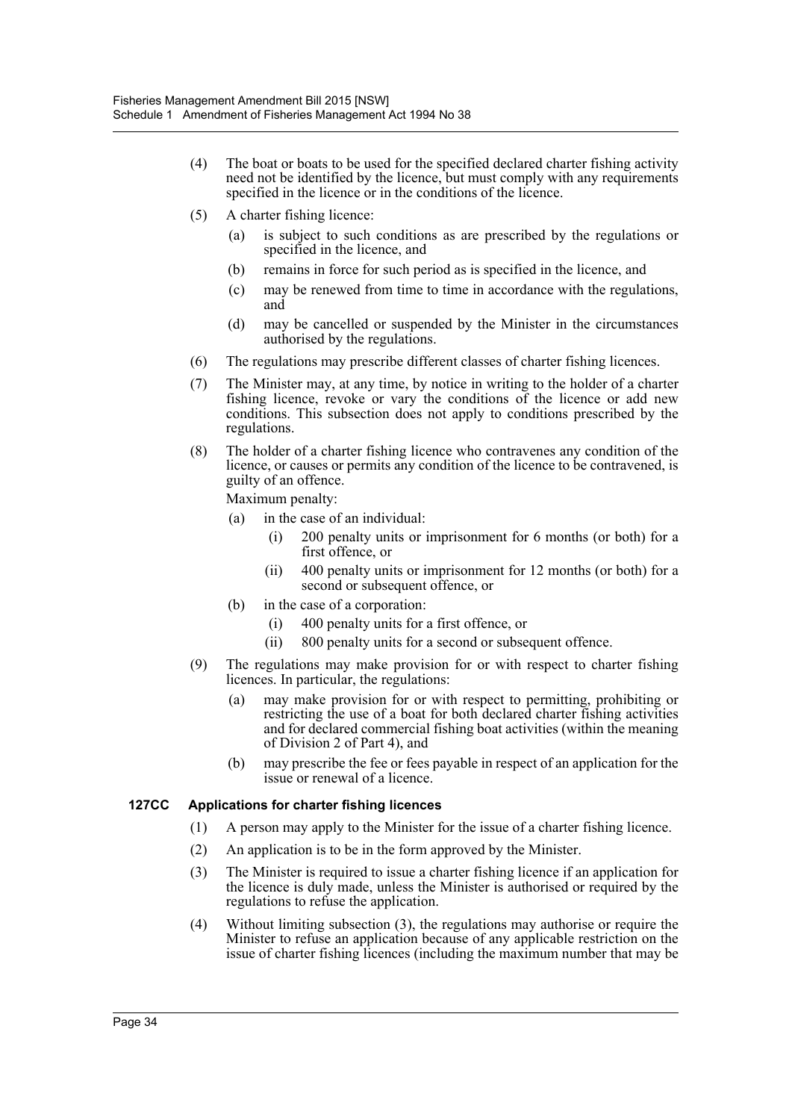- (4) The boat or boats to be used for the specified declared charter fishing activity need not be identified by the licence, but must comply with any requirements specified in the licence or in the conditions of the licence.
- (5) A charter fishing licence:
	- (a) is subject to such conditions as are prescribed by the regulations or specified in the licence, and
	- (b) remains in force for such period as is specified in the licence, and
	- (c) may be renewed from time to time in accordance with the regulations, and
	- (d) may be cancelled or suspended by the Minister in the circumstances authorised by the regulations.
- (6) The regulations may prescribe different classes of charter fishing licences.
- (7) The Minister may, at any time, by notice in writing to the holder of a charter fishing licence, revoke or vary the conditions of the licence or add new conditions. This subsection does not apply to conditions prescribed by the regulations.
- (8) The holder of a charter fishing licence who contravenes any condition of the licence, or causes or permits any condition of the licence to be contravened, is guilty of an offence.

Maximum penalty:

- (a) in the case of an individual:
	- (i) 200 penalty units or imprisonment for 6 months (or both) for a first offence, or
	- (ii) 400 penalty units or imprisonment for 12 months (or both) for a second or subsequent offence, or
- (b) in the case of a corporation:
	- (i) 400 penalty units for a first offence, or
	- (ii) 800 penalty units for a second or subsequent offence.
- (9) The regulations may make provision for or with respect to charter fishing licences. In particular, the regulations:
	- (a) may make provision for or with respect to permitting, prohibiting or restricting the use of a boat for both declared charter fishing activities and for declared commercial fishing boat activities (within the meaning of Division 2 of Part 4), and
	- (b) may prescribe the fee or fees payable in respect of an application for the issue or renewal of a licence.

#### **127CC Applications for charter fishing licences**

- (1) A person may apply to the Minister for the issue of a charter fishing licence.
- (2) An application is to be in the form approved by the Minister.
- (3) The Minister is required to issue a charter fishing licence if an application for the licence is duly made, unless the Minister is authorised or required by the regulations to refuse the application.
- (4) Without limiting subsection (3), the regulations may authorise or require the Minister to refuse an application because of any applicable restriction on the issue of charter fishing licences (including the maximum number that may be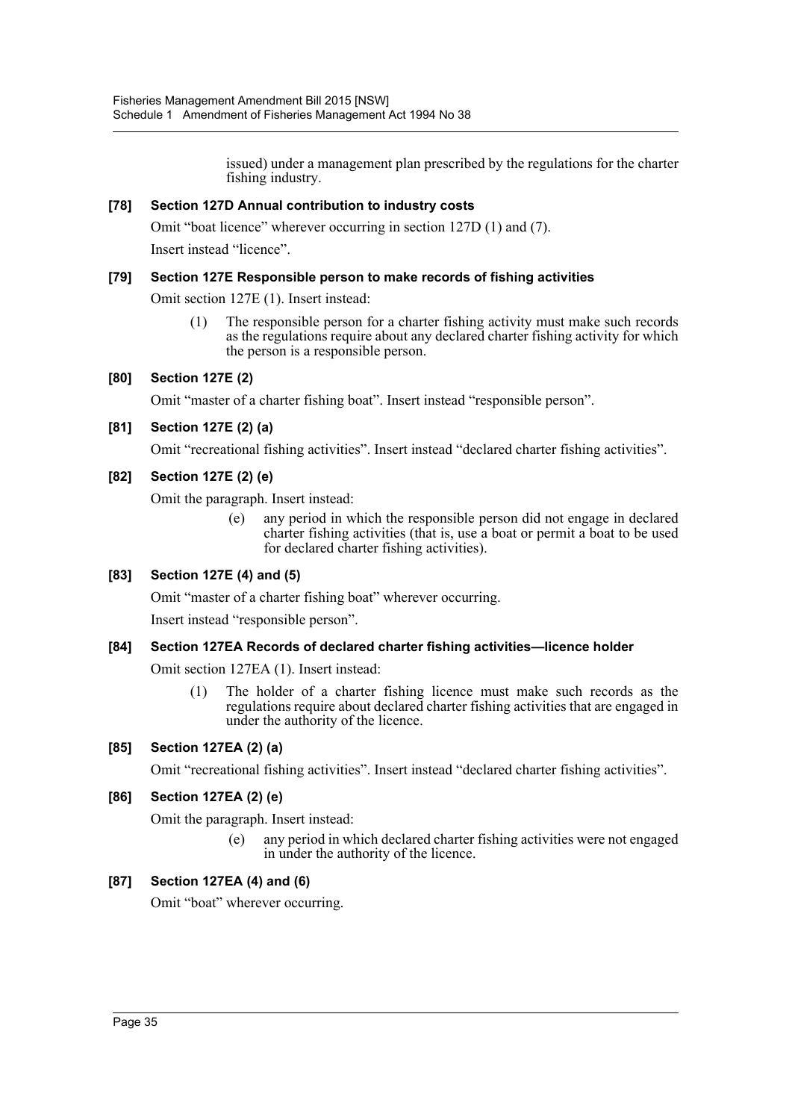issued) under a management plan prescribed by the regulations for the charter fishing industry.

#### **[78] Section 127D Annual contribution to industry costs**

Omit "boat licence" wherever occurring in section 127D (1) and (7).

Insert instead "licence".

#### **[79] Section 127E Responsible person to make records of fishing activities**

Omit section 127E (1). Insert instead:

(1) The responsible person for a charter fishing activity must make such records as the regulations require about any declared charter fishing activity for which the person is a responsible person.

#### **[80] Section 127E (2)**

Omit "master of a charter fishing boat". Insert instead "responsible person".

#### **[81] Section 127E (2) (a)**

Omit "recreational fishing activities". Insert instead "declared charter fishing activities".

#### **[82] Section 127E (2) (e)**

Omit the paragraph. Insert instead:

(e) any period in which the responsible person did not engage in declared charter fishing activities (that is, use a boat or permit a boat to be used for declared charter fishing activities).

### **[83] Section 127E (4) and (5)**

Omit "master of a charter fishing boat" wherever occurring.

Insert instead "responsible person".

#### **[84] Section 127EA Records of declared charter fishing activities—licence holder**

Omit section 127EA (1). Insert instead:

(1) The holder of a charter fishing licence must make such records as the regulations require about declared charter fishing activities that are engaged in under the authority of the licence.

### **[85] Section 127EA (2) (a)**

Omit "recreational fishing activities". Insert instead "declared charter fishing activities".

### **[86] Section 127EA (2) (e)**

Omit the paragraph. Insert instead:

any period in which declared charter fishing activities were not engaged in under the authority of the licence.

#### **[87] Section 127EA (4) and (6)**

Omit "boat" wherever occurring.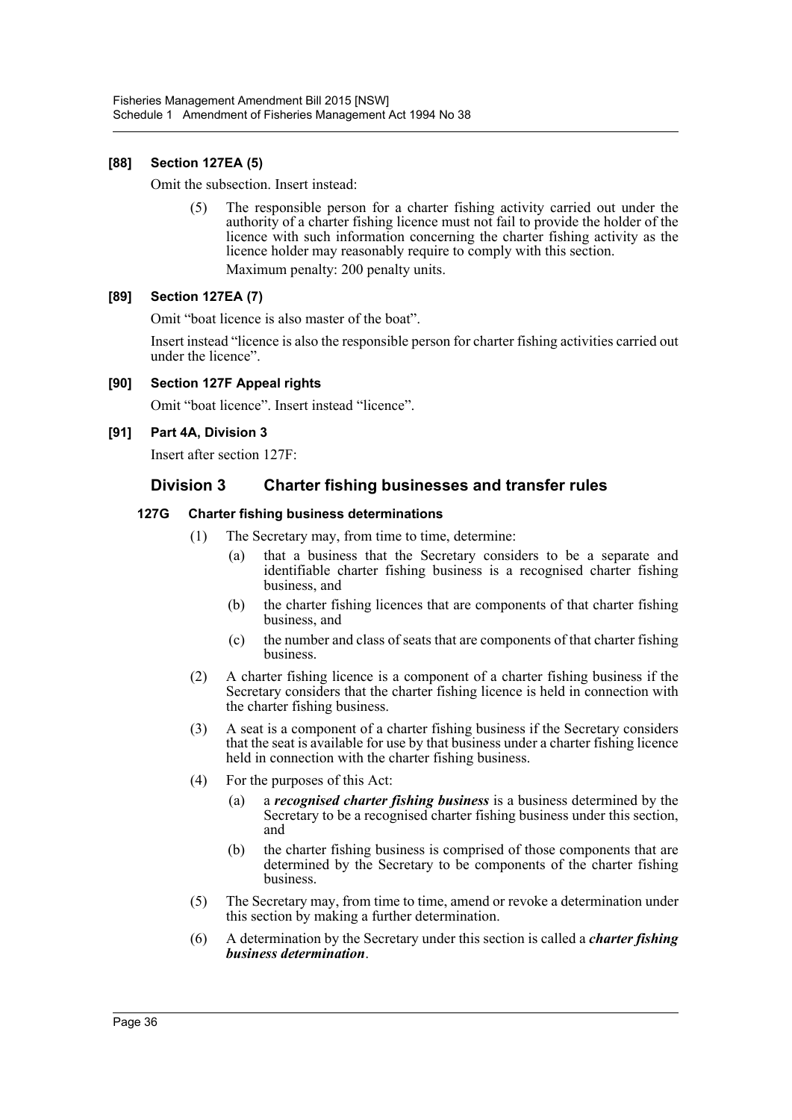### **[88] Section 127EA (5)**

Omit the subsection. Insert instead:

(5) The responsible person for a charter fishing activity carried out under the authority of a charter fishing licence must not fail to provide the holder of the licence with such information concerning the charter fishing activity as the licence holder may reasonably require to comply with this section. Maximum penalty: 200 penalty units.

### **[89] Section 127EA (7)**

Omit "boat licence is also master of the boat".

Insert instead "licence is also the responsible person for charter fishing activities carried out under the licence".

**[90] Section 127F Appeal rights**

Omit "boat licence". Insert instead "licence".

#### **[91] Part 4A, Division 3**

Insert after section 127F:

## **Division 3 Charter fishing businesses and transfer rules**

#### **127G Charter fishing business determinations**

- (1) The Secretary may, from time to time, determine:
	- (a) that a business that the Secretary considers to be a separate and identifiable charter fishing business is a recognised charter fishing business, and
	- (b) the charter fishing licences that are components of that charter fishing business, and
	- (c) the number and class of seats that are components of that charter fishing business.
- (2) A charter fishing licence is a component of a charter fishing business if the Secretary considers that the charter fishing licence is held in connection with the charter fishing business.
- (3) A seat is a component of a charter fishing business if the Secretary considers that the seat is available for use by that business under a charter fishing licence held in connection with the charter fishing business.
- (4) For the purposes of this Act:
	- (a) a *recognised charter fishing business* is a business determined by the Secretary to be a recognised charter fishing business under this section, and
	- (b) the charter fishing business is comprised of those components that are determined by the Secretary to be components of the charter fishing business.
- (5) The Secretary may, from time to time, amend or revoke a determination under this section by making a further determination.
- (6) A determination by the Secretary under this section is called a *charter fishing business determination*.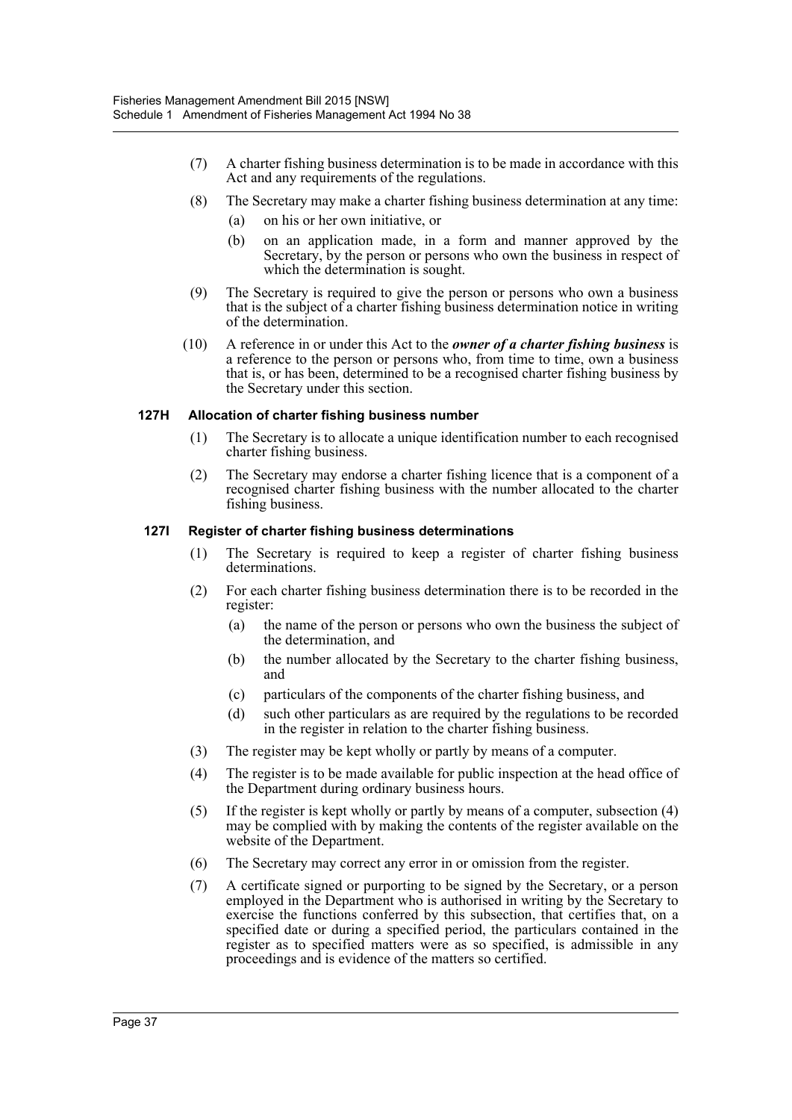- (7) A charter fishing business determination is to be made in accordance with this Act and any requirements of the regulations.
- (8) The Secretary may make a charter fishing business determination at any time:
	- (a) on his or her own initiative, or
	- (b) on an application made, in a form and manner approved by the Secretary, by the person or persons who own the business in respect of which the determination is sought.
- (9) The Secretary is required to give the person or persons who own a business that is the subject of a charter fishing business determination notice in writing of the determination.
- (10) A reference in or under this Act to the *owner of a charter fishing business* is a reference to the person or persons who, from time to time, own a business that is, or has been, determined to be a recognised charter fishing business by the Secretary under this section.

#### **127H Allocation of charter fishing business number**

- (1) The Secretary is to allocate a unique identification number to each recognised charter fishing business.
- (2) The Secretary may endorse a charter fishing licence that is a component of a recognised charter fishing business with the number allocated to the charter fishing business.

#### **127I Register of charter fishing business determinations**

- (1) The Secretary is required to keep a register of charter fishing business determinations.
- (2) For each charter fishing business determination there is to be recorded in the register:
	- (a) the name of the person or persons who own the business the subject of the determination, and
	- (b) the number allocated by the Secretary to the charter fishing business, and
	- (c) particulars of the components of the charter fishing business, and
	- (d) such other particulars as are required by the regulations to be recorded in the register in relation to the charter fishing business.
- (3) The register may be kept wholly or partly by means of a computer.
- (4) The register is to be made available for public inspection at the head office of the Department during ordinary business hours.
- (5) If the register is kept wholly or partly by means of a computer, subsection (4) may be complied with by making the contents of the register available on the website of the Department.
- (6) The Secretary may correct any error in or omission from the register.
- (7) A certificate signed or purporting to be signed by the Secretary, or a person employed in the Department who is authorised in writing by the Secretary to exercise the functions conferred by this subsection, that certifies that, on a specified date or during a specified period, the particulars contained in the register as to specified matters were as so specified, is admissible in any proceedings and is evidence of the matters so certified.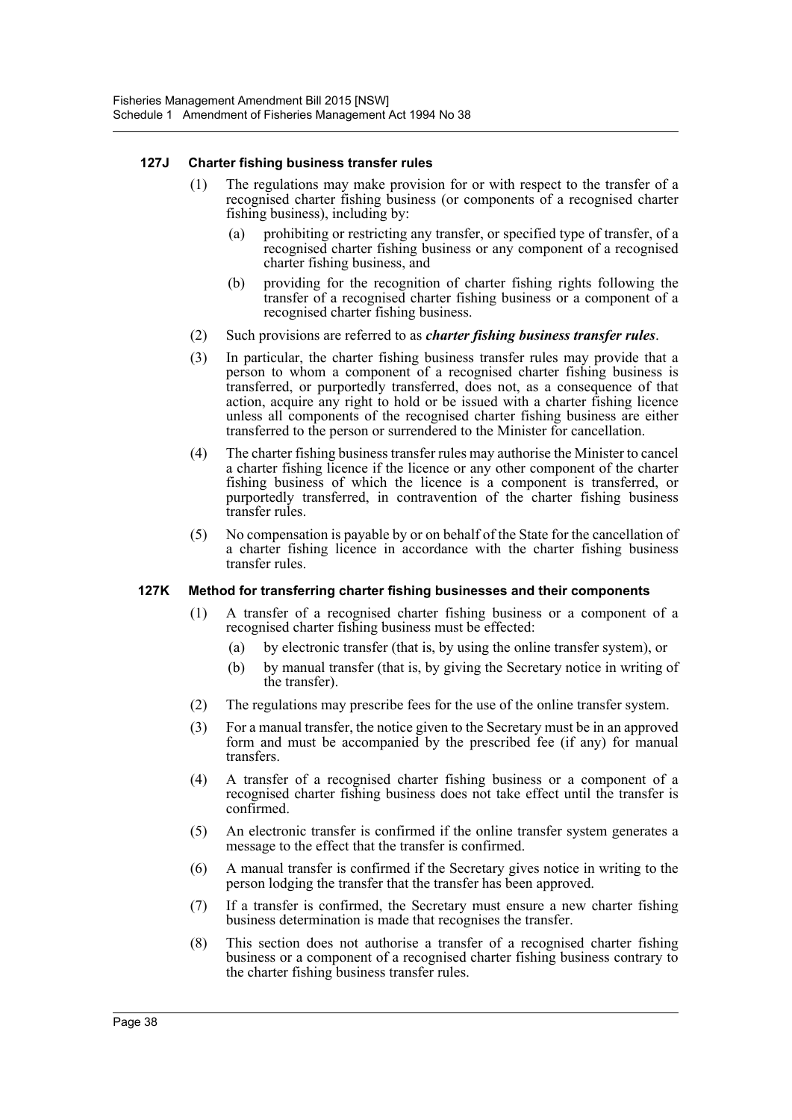#### **127J Charter fishing business transfer rules**

- (1) The regulations may make provision for or with respect to the transfer of a recognised charter fishing business (or components of a recognised charter fishing business), including by:
	- (a) prohibiting or restricting any transfer, or specified type of transfer, of a recognised charter fishing business or any component of a recognised charter fishing business, and
	- (b) providing for the recognition of charter fishing rights following the transfer of a recognised charter fishing business or a component of a recognised charter fishing business.
- (2) Such provisions are referred to as *charter fishing business transfer rules*.
- (3) In particular, the charter fishing business transfer rules may provide that a person to whom a component of a recognised charter fishing business is transferred, or purportedly transferred, does not, as a consequence of that action, acquire any right to hold or be issued with a charter fishing licence unless all components of the recognised charter fishing business are either transferred to the person or surrendered to the Minister for cancellation.
- (4) The charter fishing business transfer rules may authorise the Minister to cancel a charter fishing licence if the licence or any other component of the charter fishing business of which the licence is a component is transferred, or purportedly transferred, in contravention of the charter fishing business transfer rules.
- (5) No compensation is payable by or on behalf of the State for the cancellation of a charter fishing licence in accordance with the charter fishing business transfer rules.

#### **127K Method for transferring charter fishing businesses and their components**

- (1) A transfer of a recognised charter fishing business or a component of a recognised charter fishing business must be effected:
	- (a) by electronic transfer (that is, by using the online transfer system), or
	- (b) by manual transfer (that is, by giving the Secretary notice in writing of the transfer).
- (2) The regulations may prescribe fees for the use of the online transfer system.
- (3) For a manual transfer, the notice given to the Secretary must be in an approved form and must be accompanied by the prescribed fee (if any) for manual transfers.
- (4) A transfer of a recognised charter fishing business or a component of a recognised charter fishing business does not take effect until the transfer is confirmed.
- (5) An electronic transfer is confirmed if the online transfer system generates a message to the effect that the transfer is confirmed.
- (6) A manual transfer is confirmed if the Secretary gives notice in writing to the person lodging the transfer that the transfer has been approved.
- (7) If a transfer is confirmed, the Secretary must ensure a new charter fishing business determination is made that recognises the transfer.
- (8) This section does not authorise a transfer of a recognised charter fishing business or a component of a recognised charter fishing business contrary to the charter fishing business transfer rules.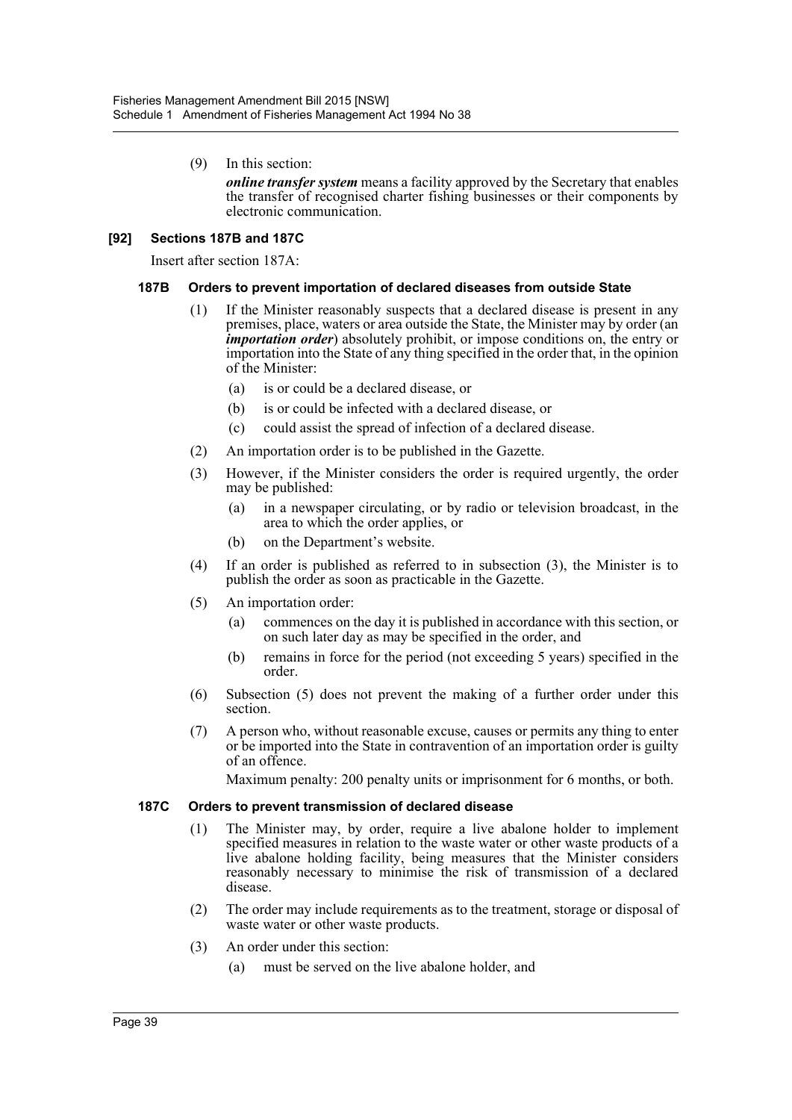(9) In this section:

*online transfer system* means a facility approved by the Secretary that enables the transfer of recognised charter fishing businesses or their components by electronic communication.

#### **[92] Sections 187B and 187C**

Insert after section 187A:

#### **187B Orders to prevent importation of declared diseases from outside State**

- (1) If the Minister reasonably suspects that a declared disease is present in any premises, place, waters or area outside the State, the Minister may by order (an *importation order*) absolutely prohibit, or impose conditions on, the entry or importation into the State of any thing specified in the order that, in the opinion of the Minister:
	- (a) is or could be a declared disease, or
	- (b) is or could be infected with a declared disease, or
	- (c) could assist the spread of infection of a declared disease.
- (2) An importation order is to be published in the Gazette.
- (3) However, if the Minister considers the order is required urgently, the order may be published:
	- (a) in a newspaper circulating, or by radio or television broadcast, in the area to which the order applies, or
	- (b) on the Department's website.
- (4) If an order is published as referred to in subsection (3), the Minister is to publish the order as soon as practicable in the Gazette.
- (5) An importation order:
	- (a) commences on the day it is published in accordance with this section, or on such later day as may be specified in the order, and
	- (b) remains in force for the period (not exceeding 5 years) specified in the order.
- (6) Subsection (5) does not prevent the making of a further order under this section.
- (7) A person who, without reasonable excuse, causes or permits any thing to enter or be imported into the State in contravention of an importation order is guilty of an offence.

Maximum penalty: 200 penalty units or imprisonment for 6 months, or both.

#### **187C Orders to prevent transmission of declared disease**

- (1) The Minister may, by order, require a live abalone holder to implement specified measures in relation to the waste water or other waste products of a live abalone holding facility, being measures that the Minister considers reasonably necessary to minimise the risk of transmission of a declared disease.
- (2) The order may include requirements as to the treatment, storage or disposal of waste water or other waste products.
- (3) An order under this section:
	- (a) must be served on the live abalone holder, and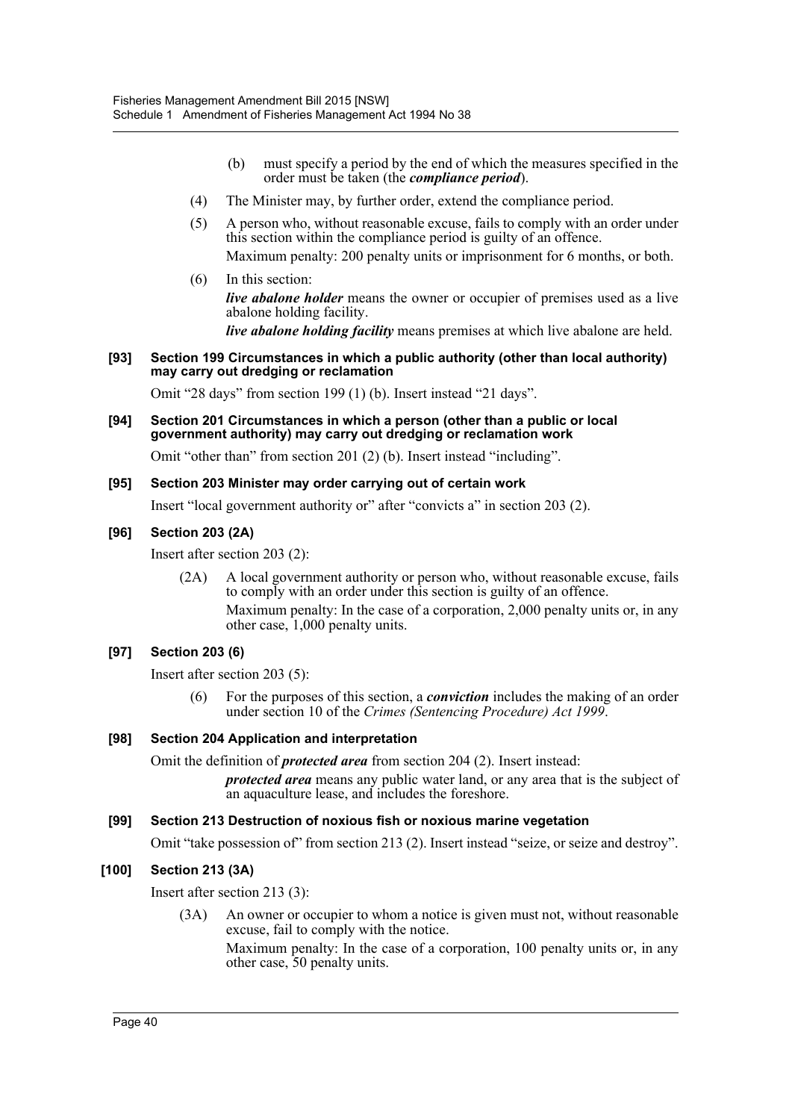- (b) must specify a period by the end of which the measures specified in the order must be taken (the *compliance period*).
- (4) The Minister may, by further order, extend the compliance period.
- (5) A person who, without reasonable excuse, fails to comply with an order under this section within the compliance period is guilty of an offence. Maximum penalty: 200 penalty units or imprisonment for 6 months, or both.
- (6) In this section: *live abalone holder* means the owner or occupier of premises used as a live abalone holding facility.

*live abalone holding facility* means premises at which live abalone are held.

#### **[93] Section 199 Circumstances in which a public authority (other than local authority) may carry out dredging or reclamation**

Omit "28 days" from section 199 (1) (b). Insert instead "21 days".

**[94] Section 201 Circumstances in which a person (other than a public or local government authority) may carry out dredging or reclamation work**

Omit "other than" from section 201 (2) (b). Insert instead "including".

#### **[95] Section 203 Minister may order carrying out of certain work**

Insert "local government authority or" after "convicts a" in section 203 (2).

### **[96] Section 203 (2A)**

Insert after section 203 (2):

(2A) A local government authority or person who, without reasonable excuse, fails to comply with an order under this section is guilty of an offence. Maximum penalty: In the case of a corporation, 2,000 penalty units or, in any other case, 1,000 penalty units.

### **[97] Section 203 (6)**

Insert after section 203 (5):

(6) For the purposes of this section, a *conviction* includes the making of an order under section 10 of the *Crimes (Sentencing Procedure) Act 1999*.

### **[98] Section 204 Application and interpretation**

Omit the definition of *protected area* from section 204 (2). Insert instead:

*protected area* means any public water land, or any area that is the subject of an aquaculture lease, and includes the foreshore.

### **[99] Section 213 Destruction of noxious fish or noxious marine vegetation**

Omit "take possession of" from section 213 (2). Insert instead "seize, or seize and destroy".

### **[100] Section 213 (3A)**

Insert after section 213 (3):

(3A) An owner or occupier to whom a notice is given must not, without reasonable excuse, fail to comply with the notice.

Maximum penalty: In the case of a corporation, 100 penalty units or, in any other case, 50 penalty units.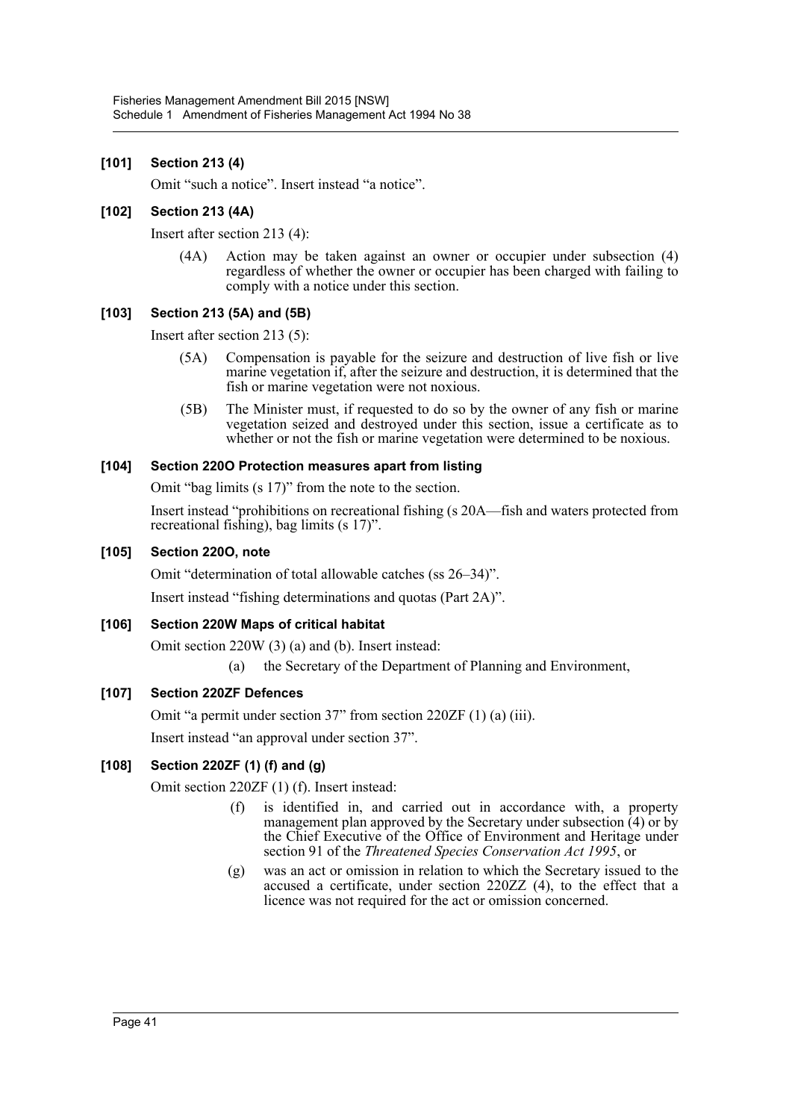### **[101] Section 213 (4)**

Omit "such a notice". Insert instead "a notice".

### **[102] Section 213 (4A)**

Insert after section 213 (4):

(4A) Action may be taken against an owner or occupier under subsection (4) regardless of whether the owner or occupier has been charged with failing to comply with a notice under this section.

### **[103] Section 213 (5A) and (5B)**

Insert after section 213 (5):

- (5A) Compensation is payable for the seizure and destruction of live fish or live marine vegetation if, after the seizure and destruction, it is determined that the fish or marine vegetation were not noxious.
- (5B) The Minister must, if requested to do so by the owner of any fish or marine vegetation seized and destroyed under this section, issue a certificate as to whether or not the fish or marine vegetation were determined to be noxious.

### **[104] Section 220O Protection measures apart from listing**

Omit "bag limits (s 17)" from the note to the section.

Insert instead "prohibitions on recreational fishing (s 20A—fish and waters protected from recreational fishing), bag limits (s 17)".

#### **[105] Section 220O, note**

Omit "determination of total allowable catches (ss 26–34)".

Insert instead "fishing determinations and quotas (Part 2A)".

### **[106] Section 220W Maps of critical habitat**

Omit section 220W (3) (a) and (b). Insert instead:

(a) the Secretary of the Department of Planning and Environment,

### **[107] Section 220ZF Defences**

Omit "a permit under section 37" from section 220ZF (1) (a) (iii).

Insert instead "an approval under section 37".

### **[108] Section 220ZF (1) (f) and (g)**

Omit section 220ZF (1) (f). Insert instead:

- (f) is identified in, and carried out in accordance with, a property management plan approved by the Secretary under subsection  $(4)$  or by the Chief Executive of the Office of Environment and Heritage under section 91 of the *Threatened Species Conservation Act 1995*, or
- (g) was an act or omission in relation to which the Secretary issued to the accused a certificate, under section 220ZZ (4), to the effect that a licence was not required for the act or omission concerned.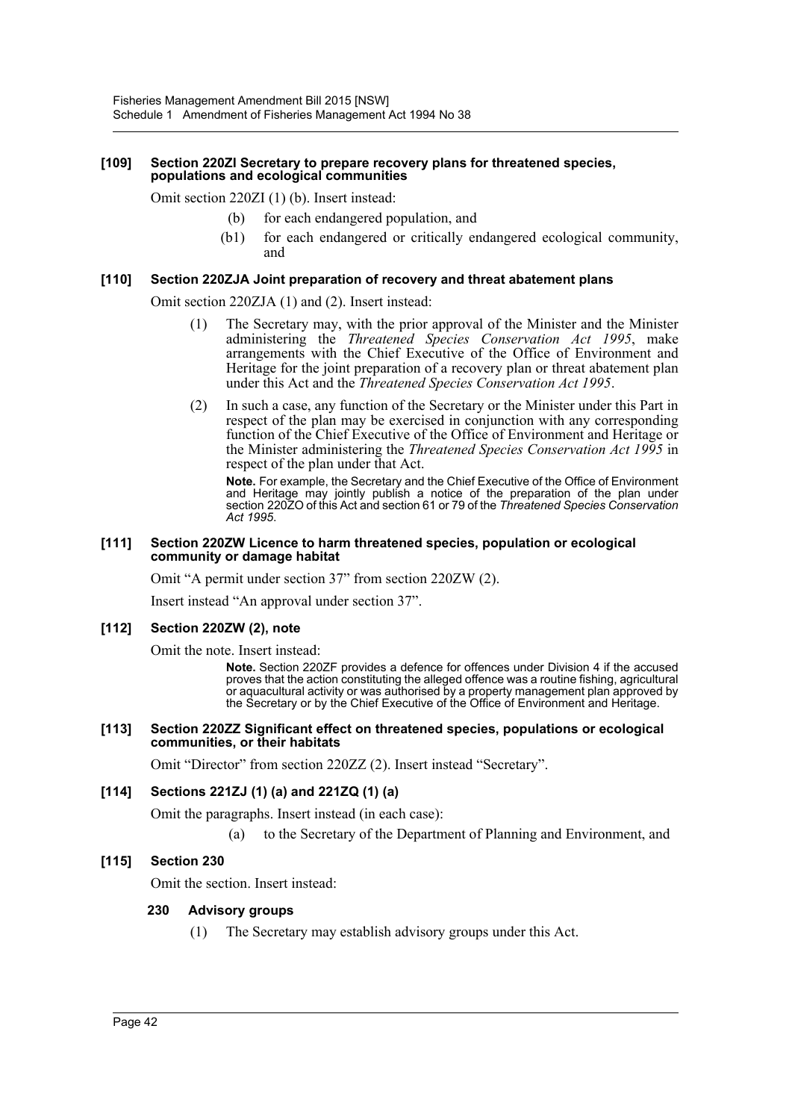#### **[109] Section 220ZI Secretary to prepare recovery plans for threatened species, populations and ecological communities**

Omit section 220ZI (1) (b). Insert instead:

- (b) for each endangered population, and
- (b1) for each endangered or critically endangered ecological community, and

#### **[110] Section 220ZJA Joint preparation of recovery and threat abatement plans**

Omit section 220ZJA (1) and (2). Insert instead:

- (1) The Secretary may, with the prior approval of the Minister and the Minister administering the *Threatened Species Conservation Act 1995*, make arrangements with the Chief Executive of the Office of Environment and Heritage for the joint preparation of a recovery plan or threat abatement plan under this Act and the *Threatened Species Conservation Act 1995*.
- (2) In such a case, any function of the Secretary or the Minister under this Part in respect of the plan may be exercised in conjunction with any corresponding function of the Chief Executive of the Office of Environment and Heritage or the Minister administering the *Threatened Species Conservation Act 1995* in respect of the plan under that Act.

**Note.** For example, the Secretary and the Chief Executive of the Office of Environment and Heritage may jointly publish a notice of the preparation of the plan under section 220ZO of this Act and section 61 or 79 of the *Threatened Species Conservation Act 1995*.

#### **[111] Section 220ZW Licence to harm threatened species, population or ecological community or damage habitat**

Omit "A permit under section 37" from section 220ZW (2).

Insert instead "An approval under section 37".

#### **[112] Section 220ZW (2), note**

Omit the note. Insert instead:

**Note.** Section 220ZF provides a defence for offences under Division 4 if the accused proves that the action constituting the alleged offence was a routine fishing, agricultural or aquacultural activity or was authorised by a property management plan approved by the Secretary or by the Chief Executive of the Office of Environment and Heritage.

#### **[113] Section 220ZZ Significant effect on threatened species, populations or ecological communities, or their habitats**

Omit "Director" from section 220ZZ (2). Insert instead "Secretary".

#### **[114] Sections 221ZJ (1) (a) and 221ZQ (1) (a)**

Omit the paragraphs. Insert instead (in each case):

(a) to the Secretary of the Department of Planning and Environment, and

#### **[115] Section 230**

Omit the section. Insert instead:

#### **230 Advisory groups**

(1) The Secretary may establish advisory groups under this Act.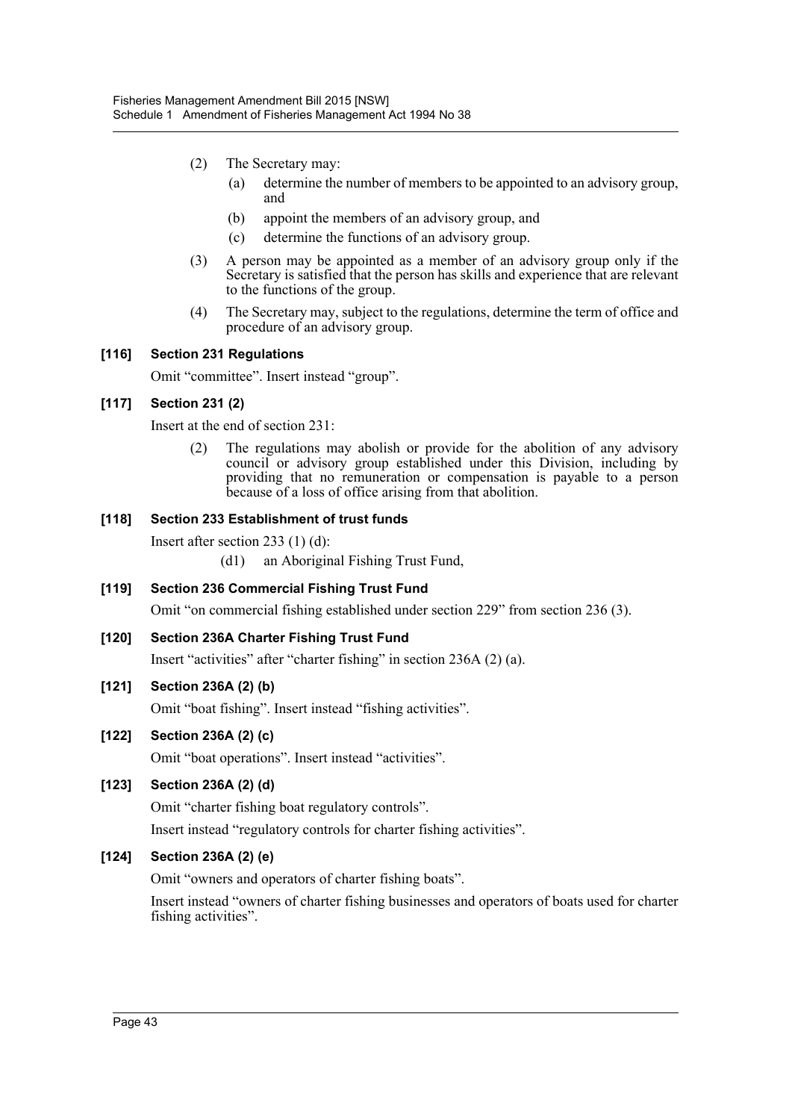- (2) The Secretary may:
	- (a) determine the number of members to be appointed to an advisory group, and
	- (b) appoint the members of an advisory group, and
	- (c) determine the functions of an advisory group.
- (3) A person may be appointed as a member of an advisory group only if the Secretary is satisfied that the person has skills and experience that are relevant to the functions of the group.
- (4) The Secretary may, subject to the regulations, determine the term of office and procedure of an advisory group.

### **[116] Section 231 Regulations**

Omit "committee". Insert instead "group".

## **[117] Section 231 (2)**

Insert at the end of section 231:

(2) The regulations may abolish or provide for the abolition of any advisory council or advisory group established under this Division, including by providing that no remuneration or compensation is payable to a person because of a loss of office arising from that abolition.

### **[118] Section 233 Establishment of trust funds**

Insert after section 233 (1) (d):

(d1) an Aboriginal Fishing Trust Fund,

**[119] Section 236 Commercial Fishing Trust Fund**

Omit "on commercial fishing established under section 229" from section 236 (3).

### **[120] Section 236A Charter Fishing Trust Fund**

Insert "activities" after "charter fishing" in section 236A (2) (a).

### **[121] Section 236A (2) (b)**

Omit "boat fishing". Insert instead "fishing activities".

### **[122] Section 236A (2) (c)**

Omit "boat operations". Insert instead "activities".

### **[123] Section 236A (2) (d)**

Omit "charter fishing boat regulatory controls".

Insert instead "regulatory controls for charter fishing activities".

### **[124] Section 236A (2) (e)**

Omit "owners and operators of charter fishing boats".

Insert instead "owners of charter fishing businesses and operators of boats used for charter fishing activities".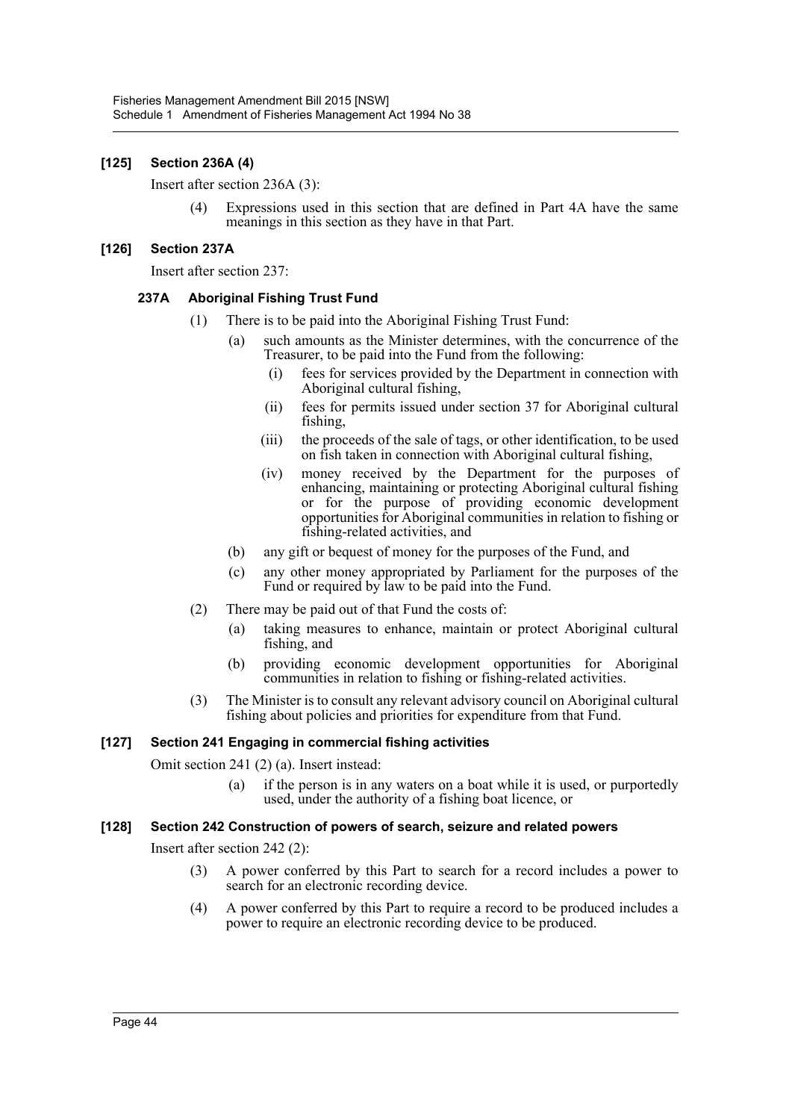### **[125] Section 236A (4)**

Insert after section 236A (3):

(4) Expressions used in this section that are defined in Part 4A have the same meanings in this section as they have in that Part.

#### **[126] Section 237A**

Insert after section 237:

#### **237A Aboriginal Fishing Trust Fund**

- (1) There is to be paid into the Aboriginal Fishing Trust Fund:
	- (a) such amounts as the Minister determines, with the concurrence of the Treasurer, to be paid into the Fund from the following:
		- (i) fees for services provided by the Department in connection with Aboriginal cultural fishing,
		- (ii) fees for permits issued under section 37 for Aboriginal cultural fishing,
		- (iii) the proceeds of the sale of tags, or other identification, to be used on fish taken in connection with Aboriginal cultural fishing,
		- (iv) money received by the Department for the purposes of enhancing, maintaining or protecting Aboriginal cultural fishing or for the purpose of providing economic development opportunities for Aboriginal communities in relation to fishing or fishing-related activities, and
	- (b) any gift or bequest of money for the purposes of the Fund, and
	- (c) any other money appropriated by Parliament for the purposes of the Fund or required by law to be paid into the Fund.
- (2) There may be paid out of that Fund the costs of:
	- (a) taking measures to enhance, maintain or protect Aboriginal cultural fishing, and
	- (b) providing economic development opportunities for Aboriginal communities in relation to fishing or fishing-related activities.
- (3) The Minister is to consult any relevant advisory council on Aboriginal cultural fishing about policies and priorities for expenditure from that Fund.

#### **[127] Section 241 Engaging in commercial fishing activities**

Omit section 241 (2) (a). Insert instead:

(a) if the person is in any waters on a boat while it is used, or purportedly used, under the authority of a fishing boat licence, or

#### **[128] Section 242 Construction of powers of search, seizure and related powers**

Insert after section 242 (2):

- (3) A power conferred by this Part to search for a record includes a power to search for an electronic recording device.
- (4) A power conferred by this Part to require a record to be produced includes a power to require an electronic recording device to be produced.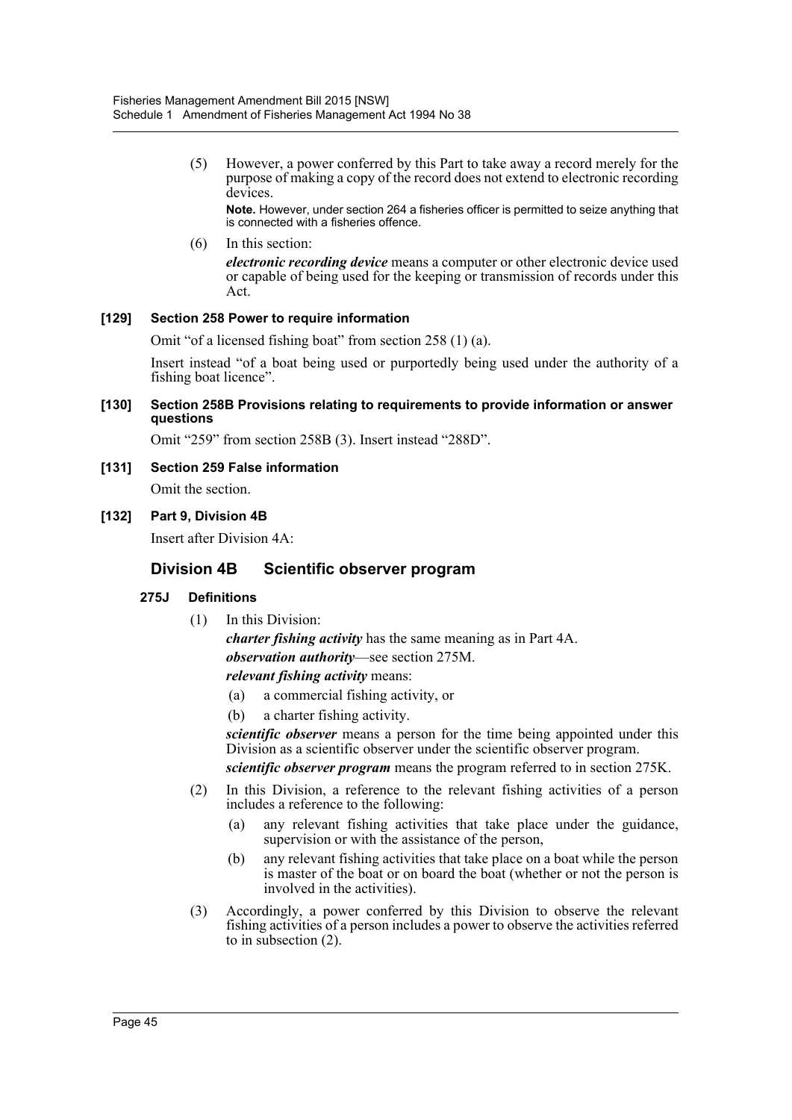(5) However, a power conferred by this Part to take away a record merely for the purpose of making a copy of the record does not extend to electronic recording devices.

**Note.** However, under section 264 a fisheries officer is permitted to seize anything that is connected with a fisheries offence.

#### (6) In this section:

*electronic recording device* means a computer or other electronic device used or capable of being used for the keeping or transmission of records under this Act.

#### **[129] Section 258 Power to require information**

Omit "of a licensed fishing boat" from section 258 (1) (a).

Insert instead "of a boat being used or purportedly being used under the authority of a fishing boat licence".

#### **[130] Section 258B Provisions relating to requirements to provide information or answer questions**

Omit "259" from section 258B (3). Insert instead "288D".

**[131] Section 259 False information**

Omit the section.

#### **[132] Part 9, Division 4B**

Insert after Division 4A:

### **Division 4B Scientific observer program**

### **275J Definitions**

(1) In this Division:

*charter fishing activity* has the same meaning as in Part 4A. *observation authority*—see section 275M. *relevant fishing activity* means:

- (a) a commercial fishing activity, or
- (b) a charter fishing activity.

*scientific observer* means a person for the time being appointed under this Division as a scientific observer under the scientific observer program.

*scientific observer program* means the program referred to in section 275K.

- (2) In this Division, a reference to the relevant fishing activities of a person includes a reference to the following:
	- (a) any relevant fishing activities that take place under the guidance, supervision or with the assistance of the person,
	- (b) any relevant fishing activities that take place on a boat while the person is master of the boat or on board the boat (whether or not the person is involved in the activities).
- (3) Accordingly, a power conferred by this Division to observe the relevant fishing activities of a person includes a power to observe the activities referred to in subsection (2).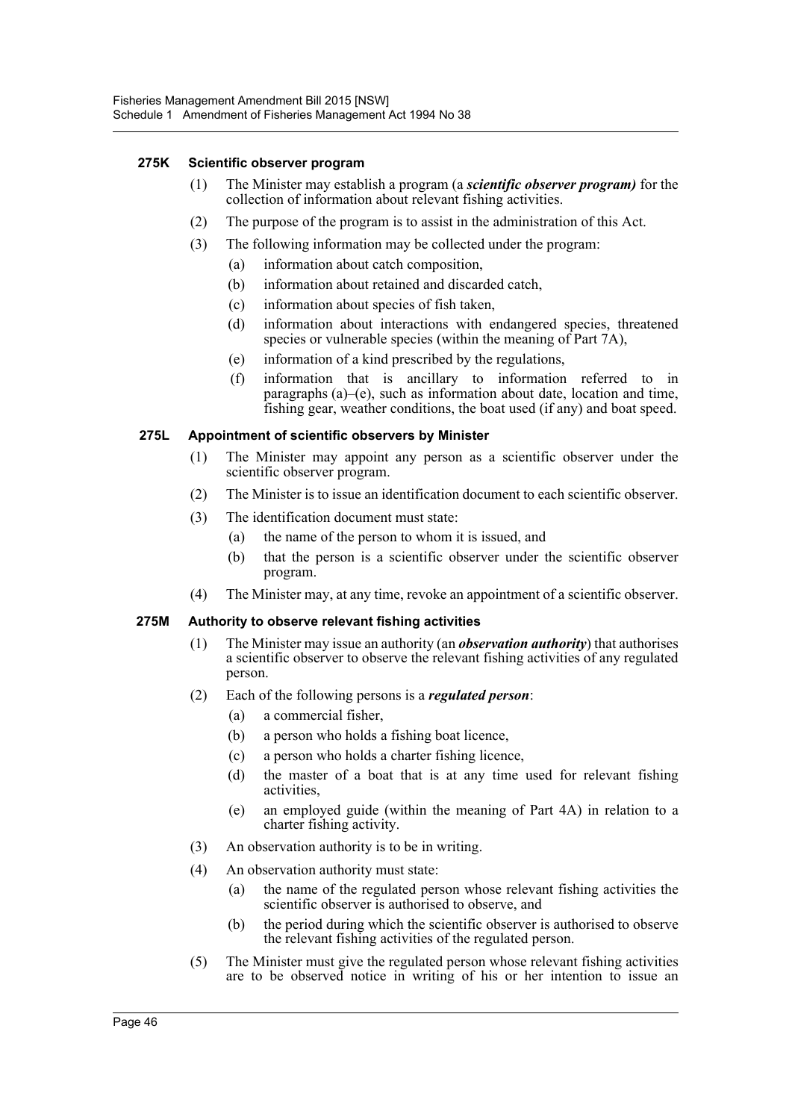#### **275K Scientific observer program**

- (1) The Minister may establish a program (a *scientific observer program)* for the collection of information about relevant fishing activities.
- (2) The purpose of the program is to assist in the administration of this Act.
- (3) The following information may be collected under the program:
	- (a) information about catch composition,
	- (b) information about retained and discarded catch,
	- (c) information about species of fish taken,
	- (d) information about interactions with endangered species, threatened species or vulnerable species (within the meaning of Part 7A),
	- (e) information of a kind prescribed by the regulations,
	- (f) information that is ancillary to information referred to in paragraphs (a)–(e), such as information about date, location and time, fishing gear, weather conditions, the boat used (if any) and boat speed.

#### **275L Appointment of scientific observers by Minister**

- (1) The Minister may appoint any person as a scientific observer under the scientific observer program.
- (2) The Minister is to issue an identification document to each scientific observer.
- (3) The identification document must state:
	- (a) the name of the person to whom it is issued, and
	- (b) that the person is a scientific observer under the scientific observer program.
- (4) The Minister may, at any time, revoke an appointment of a scientific observer.

#### **275M Authority to observe relevant fishing activities**

- (1) The Minister may issue an authority (an *observation authority*) that authorises a scientific observer to observe the relevant fishing activities of any regulated person.
- (2) Each of the following persons is a *regulated person*:
	- (a) a commercial fisher,
	- (b) a person who holds a fishing boat licence,
	- (c) a person who holds a charter fishing licence,
	- (d) the master of a boat that is at any time used for relevant fishing activities,
	- (e) an employed guide (within the meaning of Part 4A) in relation to a charter fishing activity.
- (3) An observation authority is to be in writing.
- (4) An observation authority must state:
	- (a) the name of the regulated person whose relevant fishing activities the scientific observer is authorised to observe, and
	- (b) the period during which the scientific observer is authorised to observe the relevant fishing activities of the regulated person.
- (5) The Minister must give the regulated person whose relevant fishing activities are to be observed notice in writing of his or her intention to issue an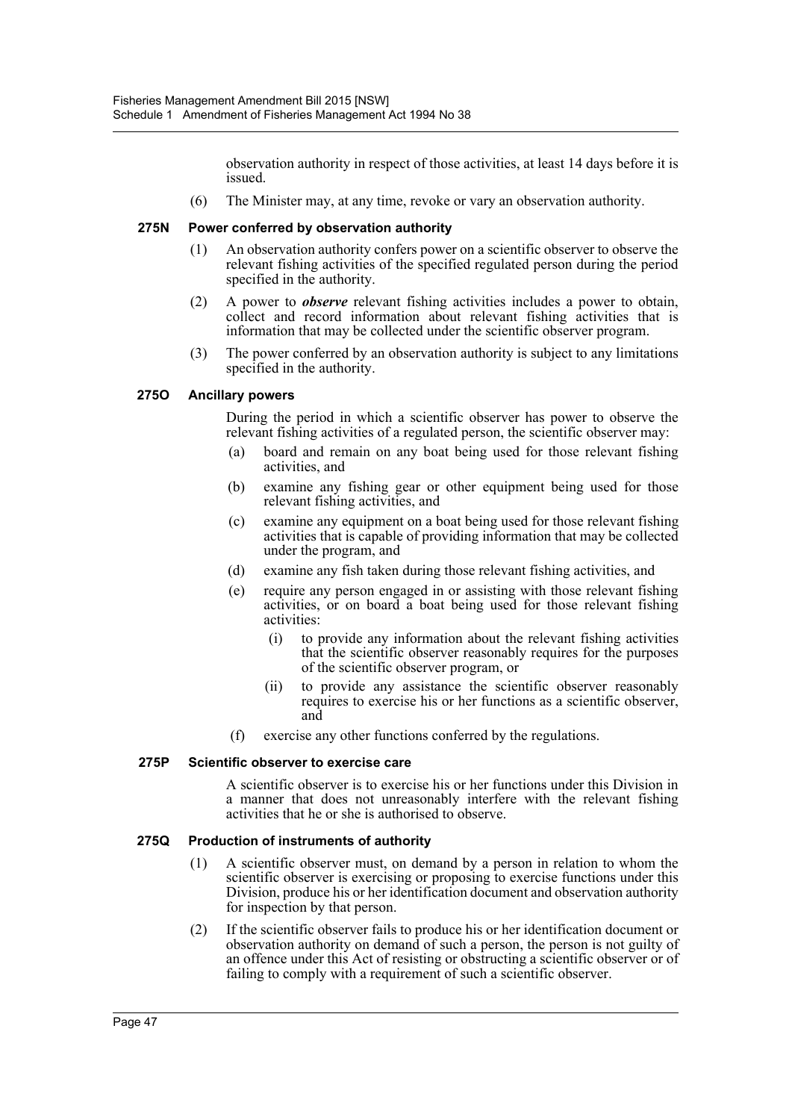observation authority in respect of those activities, at least 14 days before it is issued.

(6) The Minister may, at any time, revoke or vary an observation authority.

#### **275N Power conferred by observation authority**

- (1) An observation authority confers power on a scientific observer to observe the relevant fishing activities of the specified regulated person during the period specified in the authority.
- (2) A power to *observe* relevant fishing activities includes a power to obtain, collect and record information about relevant fishing activities that is information that may be collected under the scientific observer program.
- (3) The power conferred by an observation authority is subject to any limitations specified in the authority.

#### **275O Ancillary powers**

During the period in which a scientific observer has power to observe the relevant fishing activities of a regulated person, the scientific observer may:

- (a) board and remain on any boat being used for those relevant fishing activities, and
- (b) examine any fishing gear or other equipment being used for those relevant fishing activities, and
- (c) examine any equipment on a boat being used for those relevant fishing activities that is capable of providing information that may be collected under the program, and
- (d) examine any fish taken during those relevant fishing activities, and
- (e) require any person engaged in or assisting with those relevant fishing activities, or on board a boat being used for those relevant fishing activities:
	- (i) to provide any information about the relevant fishing activities that the scientific observer reasonably requires for the purposes of the scientific observer program, or
	- (ii) to provide any assistance the scientific observer reasonably requires to exercise his or her functions as a scientific observer, and
- (f) exercise any other functions conferred by the regulations.

#### **275P Scientific observer to exercise care**

A scientific observer is to exercise his or her functions under this Division in a manner that does not unreasonably interfere with the relevant fishing activities that he or she is authorised to observe.

#### **275Q Production of instruments of authority**

- (1) A scientific observer must, on demand by a person in relation to whom the scientific observer is exercising or proposing to exercise functions under this Division, produce his or her identification document and observation authority for inspection by that person.
- (2) If the scientific observer fails to produce his or her identification document or observation authority on demand of such a person, the person is not guilty of an offence under this Act of resisting or obstructing a scientific observer or of failing to comply with a requirement of such a scientific observer.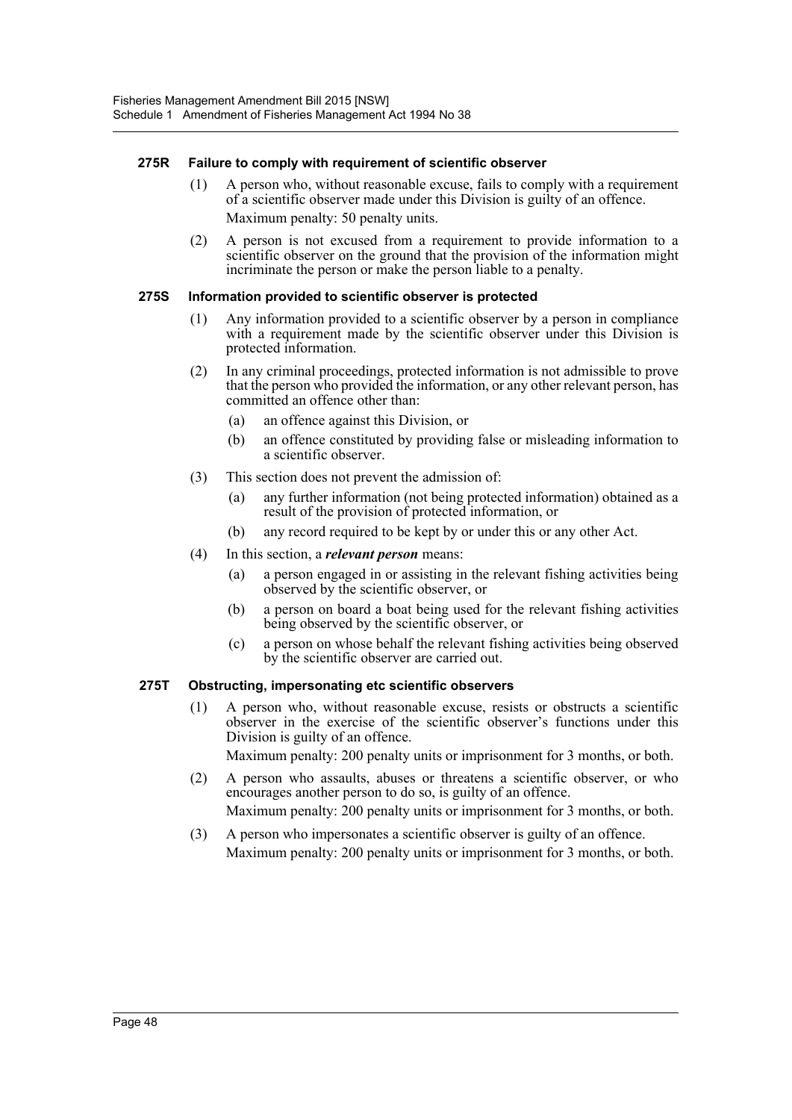#### **275R Failure to comply with requirement of scientific observer**

- (1) A person who, without reasonable excuse, fails to comply with a requirement of a scientific observer made under this Division is guilty of an offence. Maximum penalty: 50 penalty units.
- (2) A person is not excused from a requirement to provide information to a scientific observer on the ground that the provision of the information might incriminate the person or make the person liable to a penalty.

#### **275S Information provided to scientific observer is protected**

- (1) Any information provided to a scientific observer by a person in compliance with a requirement made by the scientific observer under this Division is protected information.
- (2) In any criminal proceedings, protected information is not admissible to prove that the person who provided the information, or any other relevant person, has committed an offence other than:
	- (a) an offence against this Division, or
	- (b) an offence constituted by providing false or misleading information to a scientific observer.
- (3) This section does not prevent the admission of:
	- (a) any further information (not being protected information) obtained as a result of the provision of protected information, or
	- (b) any record required to be kept by or under this or any other Act.
- (4) In this section, a *relevant person* means:
	- (a) a person engaged in or assisting in the relevant fishing activities being observed by the scientific observer, or
	- (b) a person on board a boat being used for the relevant fishing activities being observed by the scientific observer, or
	- (c) a person on whose behalf the relevant fishing activities being observed by the scientific observer are carried out.

### **275T Obstructing, impersonating etc scientific observers**

(1) A person who, without reasonable excuse, resists or obstructs a scientific observer in the exercise of the scientific observer's functions under this Division is guilty of an offence.

Maximum penalty: 200 penalty units or imprisonment for 3 months, or both.

- (2) A person who assaults, abuses or threatens a scientific observer, or who encourages another person to do so, is guilty of an offence. Maximum penalty: 200 penalty units or imprisonment for 3 months, or both.
- (3) A person who impersonates a scientific observer is guilty of an offence. Maximum penalty: 200 penalty units or imprisonment for 3 months, or both.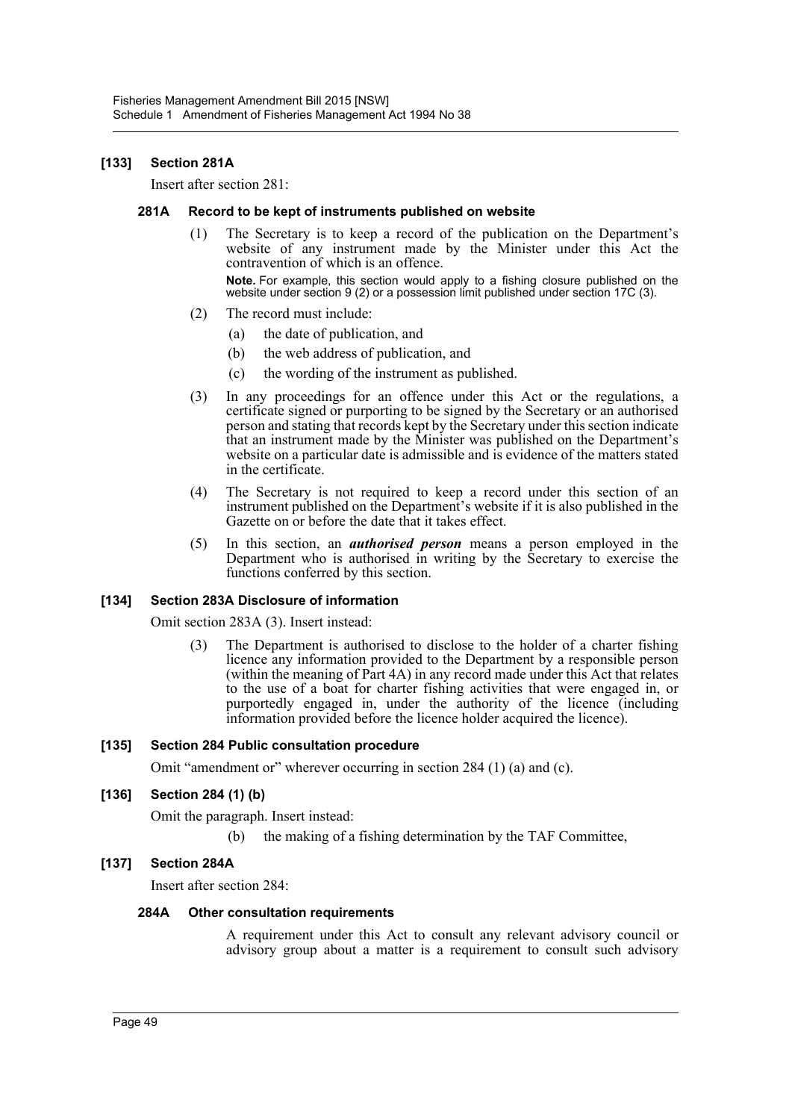#### **[133] Section 281A**

Insert after section 281:

#### **281A Record to be kept of instruments published on website**

- (1) The Secretary is to keep a record of the publication on the Department's website of any instrument made by the Minister under this Act the contravention of which is an offence. **Note.** For example, this section would apply to a fishing closure published on the website under section 9 (2) or a possession limit published under section 17C (3).
- (2) The record must include:
	- (a) the date of publication, and
	- (b) the web address of publication, and
	- (c) the wording of the instrument as published.
- (3) In any proceedings for an offence under this Act or the regulations, a certificate signed or purporting to be signed by the Secretary or an authorised person and stating that records kept by the Secretary under this section indicate that an instrument made by the Minister was published on the Department's website on a particular date is admissible and is evidence of the matters stated in the certificate.
- (4) The Secretary is not required to keep a record under this section of an instrument published on the Department's website if it is also published in the Gazette on or before the date that it takes effect.
- (5) In this section, an *authorised person* means a person employed in the Department who is authorised in writing by the Secretary to exercise the functions conferred by this section.

#### **[134] Section 283A Disclosure of information**

Omit section 283A (3). Insert instead:

(3) The Department is authorised to disclose to the holder of a charter fishing licence any information provided to the Department by a responsible person (within the meaning of Part 4A) in any record made under this Act that relates to the use of a boat for charter fishing activities that were engaged in, or purportedly engaged in, under the authority of the licence (including information provided before the licence holder acquired the licence).

#### **[135] Section 284 Public consultation procedure**

Omit "amendment or" wherever occurring in section 284 (1) (a) and (c).

#### **[136] Section 284 (1) (b)**

Omit the paragraph. Insert instead:

(b) the making of a fishing determination by the TAF Committee,

#### **[137] Section 284A**

Insert after section 284:

#### **284A Other consultation requirements**

A requirement under this Act to consult any relevant advisory council or advisory group about a matter is a requirement to consult such advisory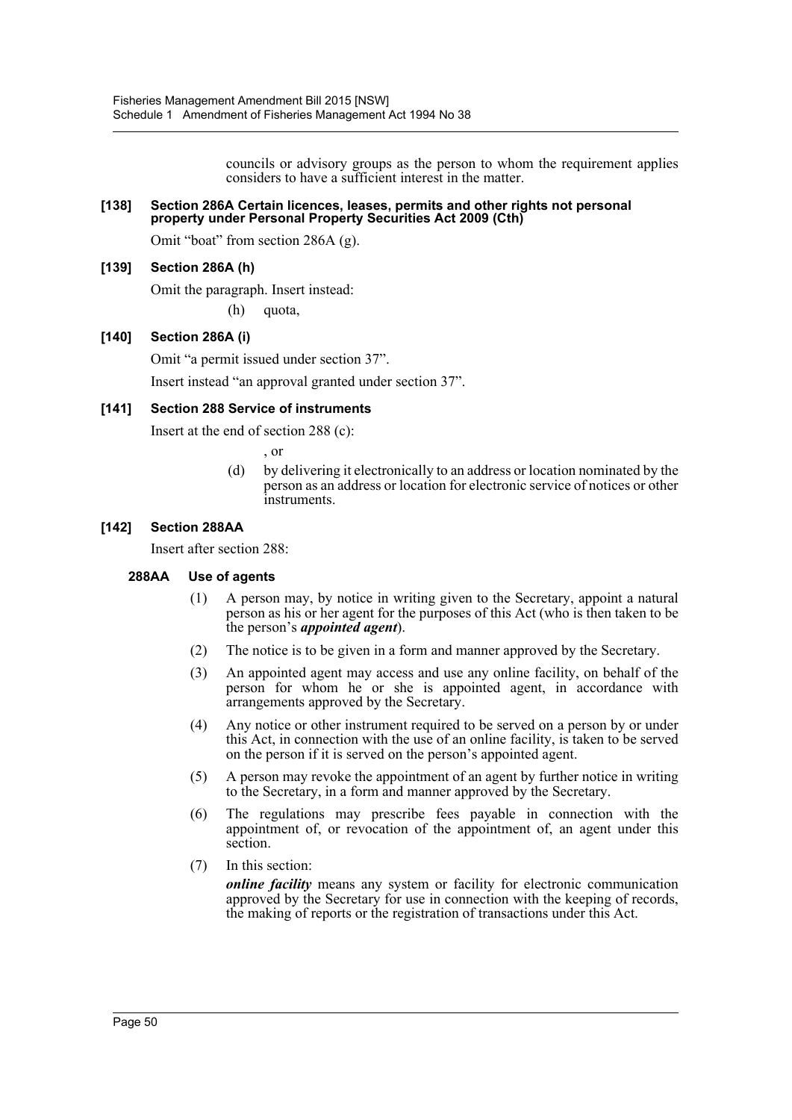councils or advisory groups as the person to whom the requirement applies considers to have a sufficient interest in the matter.

#### **[138] Section 286A Certain licences, leases, permits and other rights not personal property under Personal Property Securities Act 2009 (Cth)**

Omit "boat" from section 286A (g).

#### **[139] Section 286A (h)**

Omit the paragraph. Insert instead:

(h) quota,

#### **[140] Section 286A (i)**

Omit "a permit issued under section 37". Insert instead "an approval granted under section 37".

#### **[141] Section 288 Service of instruments**

Insert at the end of section 288 (c):

, or

(d) by delivering it electronically to an address or location nominated by the person as an address or location for electronic service of notices or other instruments.

#### **[142] Section 288AA**

Insert after section 288:

#### **288AA Use of agents**

- (1) A person may, by notice in writing given to the Secretary, appoint a natural person as his or her agent for the purposes of this Act (who is then taken to be the person's *appointed agent*).
- (2) The notice is to be given in a form and manner approved by the Secretary.
- (3) An appointed agent may access and use any online facility, on behalf of the person for whom he or she is appointed agent, in accordance with arrangements approved by the Secretary.
- (4) Any notice or other instrument required to be served on a person by or under this Act, in connection with the use of an online facility, is taken to be served on the person if it is served on the person's appointed agent.
- (5) A person may revoke the appointment of an agent by further notice in writing to the Secretary, in a form and manner approved by the Secretary.
- (6) The regulations may prescribe fees payable in connection with the appointment of, or revocation of the appointment of, an agent under this section.
- (7) In this section:

*online facility* means any system or facility for electronic communication approved by the Secretary for use in connection with the keeping of records, the making of reports or the registration of transactions under this Act.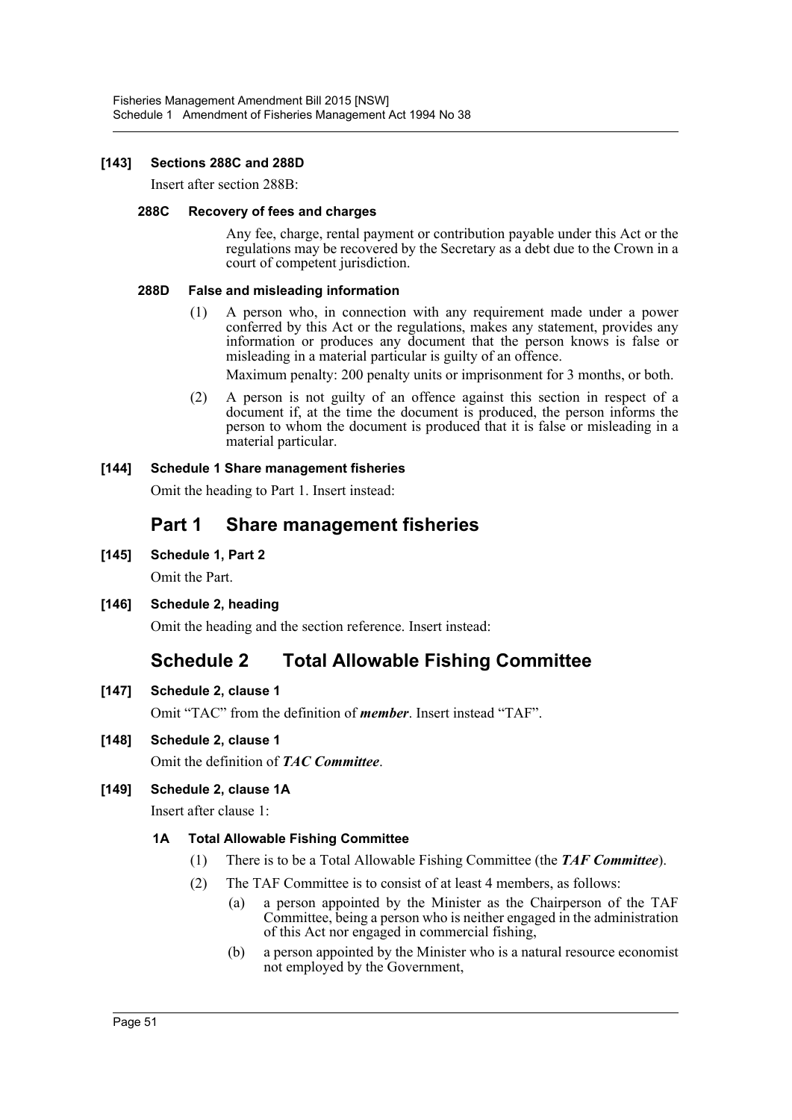#### **[143] Sections 288C and 288D**

Insert after section 288B:

#### **288C Recovery of fees and charges**

Any fee, charge, rental payment or contribution payable under this Act or the regulations may be recovered by the Secretary as a debt due to the Crown in a court of competent jurisdiction.

#### **288D False and misleading information**

(1) A person who, in connection with any requirement made under a power conferred by this Act or the regulations, makes any statement, provides any information or produces any document that the person knows is false or misleading in a material particular is guilty of an offence.

Maximum penalty: 200 penalty units or imprisonment for 3 months, or both.

(2) A person is not guilty of an offence against this section in respect of a document if, at the time the document is produced, the person informs the person to whom the document is produced that it is false or misleading in a material particular.

#### **[144] Schedule 1 Share management fisheries**

Omit the heading to Part 1. Insert instead:

# **Part 1 Share management fisheries**

**[145] Schedule 1, Part 2**

Omit the Part.

**[146] Schedule 2, heading**

Omit the heading and the section reference. Insert instead:

# **Schedule 2 Total Allowable Fishing Committee**

**[147] Schedule 2, clause 1**

Omit "TAC" from the definition of *member*. Insert instead "TAF".

**[148] Schedule 2, clause 1**

Omit the definition of *TAC Committee*.

### **[149] Schedule 2, clause 1A**

Insert after clause 1:

### **1A Total Allowable Fishing Committee**

- (1) There is to be a Total Allowable Fishing Committee (the *TAF Committee*).
- (2) The TAF Committee is to consist of at least 4 members, as follows:
	- (a) a person appointed by the Minister as the Chairperson of the TAF Committee, being a person who is neither engaged in the administration of this Act nor engaged in commercial fishing,
	- (b) a person appointed by the Minister who is a natural resource economist not employed by the Government,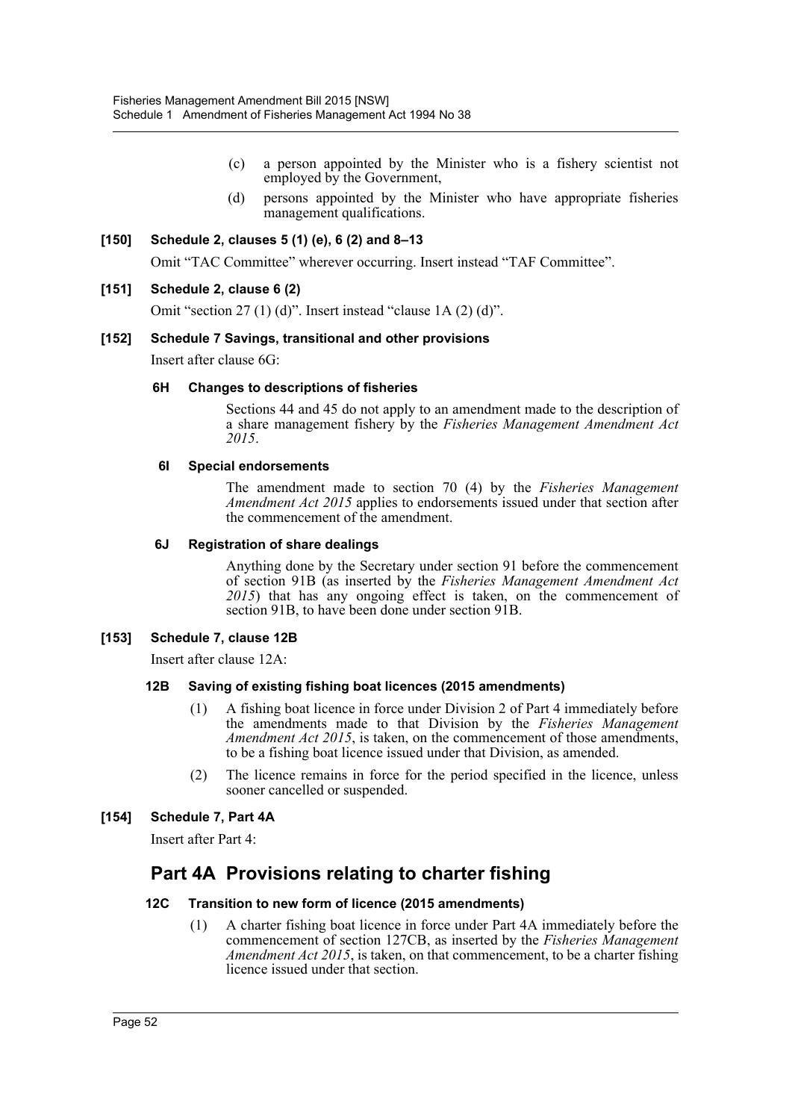- (c) a person appointed by the Minister who is a fishery scientist not employed by the Government,
- (d) persons appointed by the Minister who have appropriate fisheries management qualifications.

#### **[150] Schedule 2, clauses 5 (1) (e), 6 (2) and 8–13**

Omit "TAC Committee" wherever occurring. Insert instead "TAF Committee".

#### **[151] Schedule 2, clause 6 (2)**

Omit "section 27 (1) (d)". Insert instead "clause 1A (2) (d)".

#### **[152] Schedule 7 Savings, transitional and other provisions**

Insert after clause 6G:

#### **6H Changes to descriptions of fisheries**

Sections 44 and 45 do not apply to an amendment made to the description of a share management fishery by the *Fisheries Management Amendment Act 2015*.

#### **6I Special endorsements**

The amendment made to section 70 (4) by the *Fisheries Management Amendment Act 2015* applies to endorsements issued under that section after the commencement of the amendment.

#### **6J Registration of share dealings**

Anything done by the Secretary under section 91 before the commencement of section 91B (as inserted by the *Fisheries Management Amendment Act 2015*) that has any ongoing effect is taken, on the commencement of section 91B, to have been done under section 91B.

#### **[153] Schedule 7, clause 12B**

Insert after clause 12A:

#### **12B Saving of existing fishing boat licences (2015 amendments)**

- (1) A fishing boat licence in force under Division 2 of Part 4 immediately before the amendments made to that Division by the *Fisheries Management Amendment Act 2015*, is taken, on the commencement of those amendments, to be a fishing boat licence issued under that Division, as amended.
- (2) The licence remains in force for the period specified in the licence, unless sooner cancelled or suspended.

#### **[154] Schedule 7, Part 4A**

Insert after Part 4:

# **Part 4A Provisions relating to charter fishing**

#### **12C Transition to new form of licence (2015 amendments)**

(1) A charter fishing boat licence in force under Part 4A immediately before the commencement of section 127CB, as inserted by the *Fisheries Management Amendment Act 2015*, is taken, on that commencement, to be a charter fishing licence issued under that section.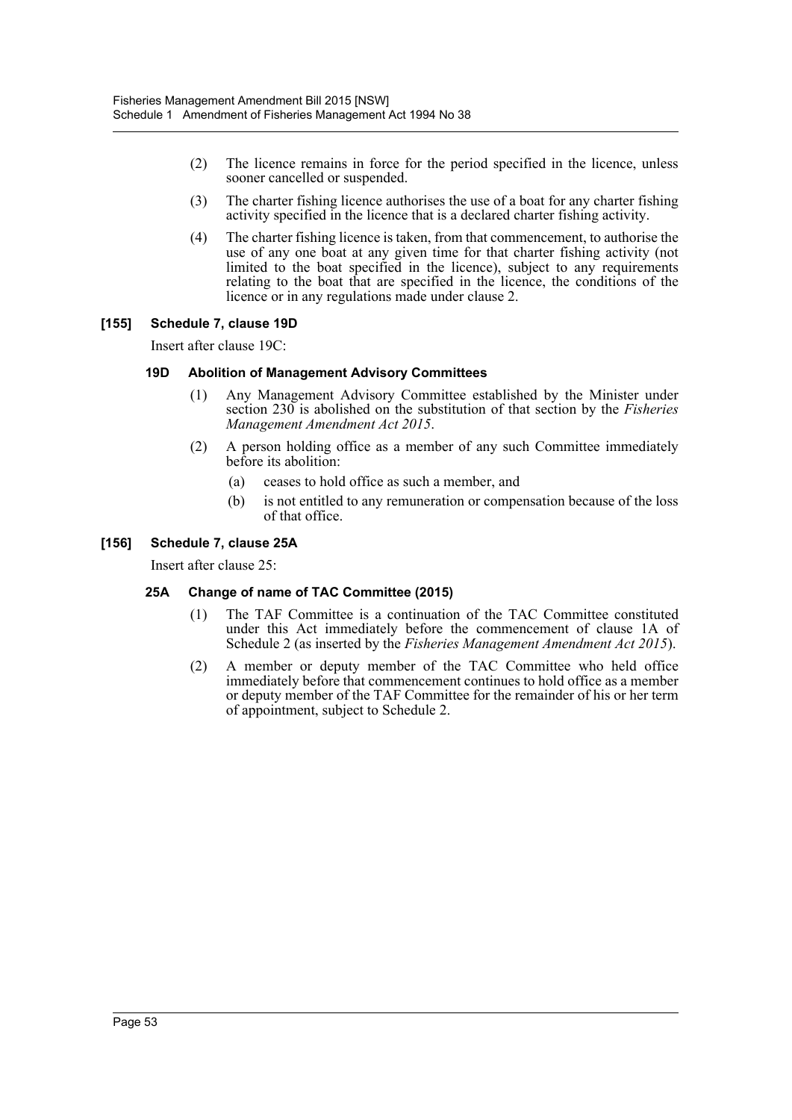- (2) The licence remains in force for the period specified in the licence, unless sooner cancelled or suspended.
- (3) The charter fishing licence authorises the use of a boat for any charter fishing activity specified in the licence that is a declared charter fishing activity.
- (4) The charter fishing licence is taken, from that commencement, to authorise the use of any one boat at any given time for that charter fishing activity (not limited to the boat specified in the licence), subject to any requirements relating to the boat that are specified in the licence, the conditions of the licence or in any regulations made under clause 2.

#### **[155] Schedule 7, clause 19D**

Insert after clause 19C:

#### **19D Abolition of Management Advisory Committees**

- (1) Any Management Advisory Committee established by the Minister under section 230 is abolished on the substitution of that section by the *Fisheries Management Amendment Act 2015*.
- (2) A person holding office as a member of any such Committee immediately before its abolition:
	- (a) ceases to hold office as such a member, and
	- (b) is not entitled to any remuneration or compensation because of the loss of that office.

#### **[156] Schedule 7, clause 25A**

Insert after clause 25:

#### **25A Change of name of TAC Committee (2015)**

- (1) The TAF Committee is a continuation of the TAC Committee constituted under this Act immediately before the commencement of clause 1A of Schedule 2 (as inserted by the *Fisheries Management Amendment Act 2015*).
- (2) A member or deputy member of the TAC Committee who held office immediately before that commencement continues to hold office as a member or deputy member of the TAF Committee for the remainder of his or her term of appointment, subject to Schedule 2.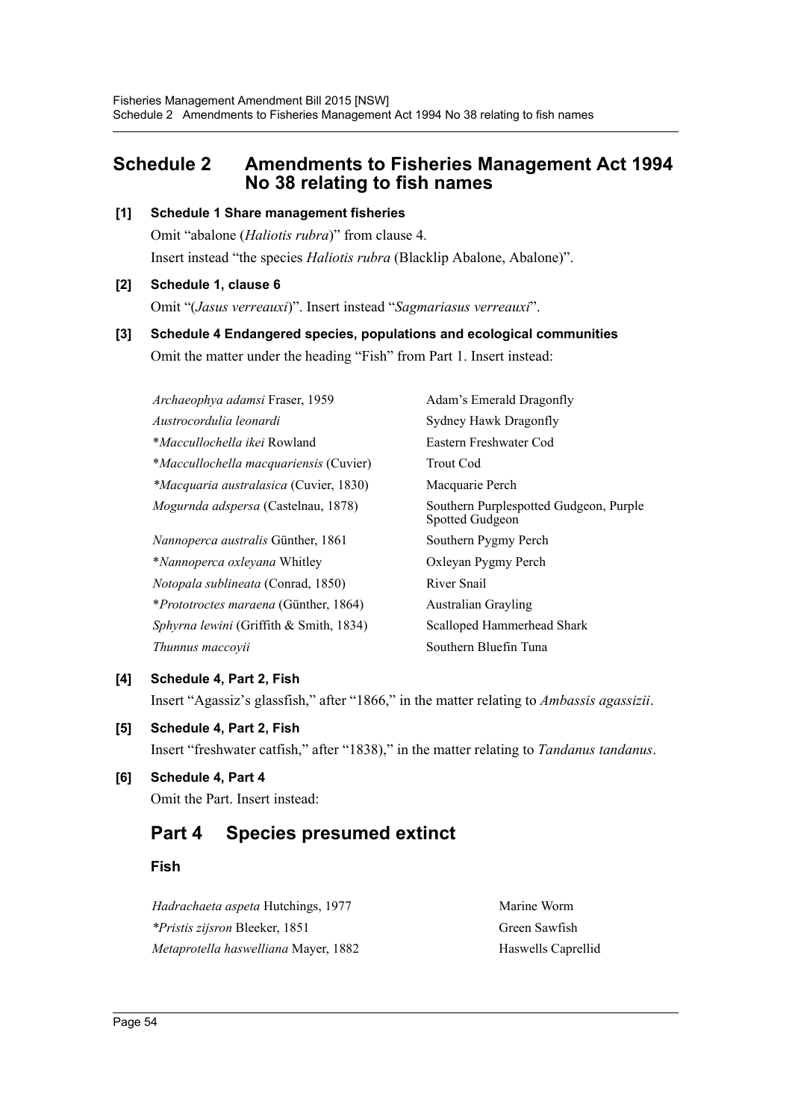# <span id="page-54-0"></span>**Schedule 2 Amendments to Fisheries Management Act 1994 No 38 relating to fish names**

#### **[1] Schedule 1 Share management fisheries**

Omit "abalone (*Haliotis rubra*)" from clause 4. Insert instead "the species *Haliotis rubra* (Blacklip Abalone, Abalone)".

#### **[2] Schedule 1, clause 6**

Omit "(*Jasus verreauxi*)". Insert instead "*Sagmariasus verreauxi*".

# **[3] Schedule 4 Endangered species, populations and ecological communities** Omit the matter under the heading "Fish" from Part 1. Insert instead:

| Archaeophya adamsi Fraser, 1959               | Adam's Emerald Dragonfly                                  |  |
|-----------------------------------------------|-----------------------------------------------------------|--|
| Austrocordulia leonardi                       | Sydney Hawk Dragonfly                                     |  |
| <i>*Maccullochella ikei</i> Rowland           | Eastern Freshwater Cod                                    |  |
| <i>*Maccullochella macquariensis (Cuvier)</i> | <b>Trout Cod</b>                                          |  |
| <i>*Macquaria australasica</i> (Cuvier, 1830) | Macquarie Perch                                           |  |
| Mogurnda adspersa (Castelnau, 1878)           | Southern Purplespotted Gudgeon, Purple<br>Spotted Gudgeon |  |
| <i>Nannoperca australis Günther, 1861</i>     | Southern Pygmy Perch                                      |  |
| *Nannoperca oxleyana Whitley                  | Oxleyan Pygmy Perch                                       |  |
| <i>Notopala sublineata</i> (Conrad, 1850)     | River Snail                                               |  |
| <i>*Prototroctes maraena</i> (Günther, 1864)  | <b>Australian Grayling</b>                                |  |
| Sphyrna lewini (Griffith & Smith, 1834)       | Scalloped Hammerhead Shark                                |  |
| Thunnus maccovii                              | Southern Bluefin Tuna                                     |  |

### **[4] Schedule 4, Part 2, Fish**

Insert "Agassiz's glassfish," after "1866," in the matter relating to *Ambassis agassizii*.

## **[5] Schedule 4, Part 2, Fish**

Insert "freshwater catfish," after "1838)," in the matter relating to *Tandanus tandanus*.

# **[6] Schedule 4, Part 4**

Omit the Part. Insert instead:

# **Part 4 Species presumed extinct**

## **Fish**

*Hadrachaeta aspeta* Hutchings, 1977 Marine Worm *\*Pristis zijsron* Bleeker, 1851 Green Sawfish *Metaprotella haswelliana* Mayer, 1882 Haswells Caprellid